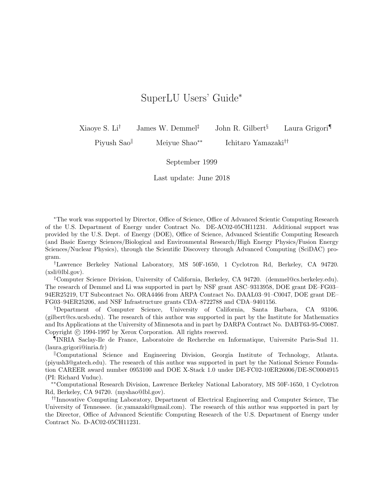## SuperLU Users' Guide<sup>∗</sup>

Xiaoye S. Li<sup>†</sup> James W. Demmel<sup>‡</sup> John R. Gilbert<sup>§</sup> Laura Grigori

Piyush Sao<sup>∥</sup> Meiyue Shao<sup>∗∗</sup> Ichitaro Yamazaki<sup>††</sup>

September 1999

Last update: June 2018

<sup>∗</sup>The work was supported by Director, Office of Science, Office of Advanced Scientic Computing Research of the U.S. Department of Energy under Contract No. DE-AC02-05CH11231. Additional support was provided by the U.S. Dept. of Energy (DOE), Office of Science, Advanced Scientific Computing Research (and Basic Energy Sciences/Biological and Environmental Research/High Energy Physics/Fusion Energy Sciences/Nuclear Physics), through the Scientific Discovery through Advanced Computing (SciDAC) program.

†Lawrence Berkeley National Laboratory, MS 50F-1650, 1 Cyclotron Rd, Berkeley, CA 94720. (xsli@lbl.gov).

‡Computer Science Division, University of California, Berkeley, CA 94720. (demmel@cs.berkeley.edu). The research of Demmel and Li was supported in part by NSF grant ASC–9313958, DOE grant DE–FG03– 94ER25219, UT Subcontract No. ORA4466 from ARPA Contract No. DAAL03–91–C0047, DOE grant DE– FG03–94ER25206, and NSF Infrastructure grants CDA–8722788 and CDA–9401156.

§Department of Computer Science, University of California, Santa Barbara, CA 93106. (gilbert@cs.ucsb.edu). The research of this author was supported in part by the Institute for Mathematics and Its Applications at the University of Minnesota and in part by DARPA Contract No. DABT63-95-C0087. Copyright (c) 1994-1997 by Xerox Corporation. All rights reserved.

¶INRIA Saclay-Ile de France, Laboratoire de Recherche en Informatique, Universite Paris-Sud 11. (laura.grigori@inria.fr)

Computational Science and Engineering Division, Georgia Institute of Technology, Atlanta. (piyush3@gatech.edu). The research of this author was supported in part by the National Science Foundation CAREER award number 0953100 and DOE X-Stack 1.0 under DE-FC02-10ER26006/DE-SC0004915 (PI: Richard Vuduc).

∗∗Computational Research Division, Lawrence Berkeley National Laboratory, MS 50F-1650, 1 Cyclotron Rd, Berkeley, CA 94720. (myshao@lbl.gov).

††Innovative Computing Laboratory, Department of Electrical Engineering and Computer Science, The University of Tennessee. (ic.yamazaki@gmail.com). The research of this author was supported in part by the Director, Office of Advanced Scientific Computing Research of the U.S. Department of Energy under Contract No. D-AC02-05CH11231.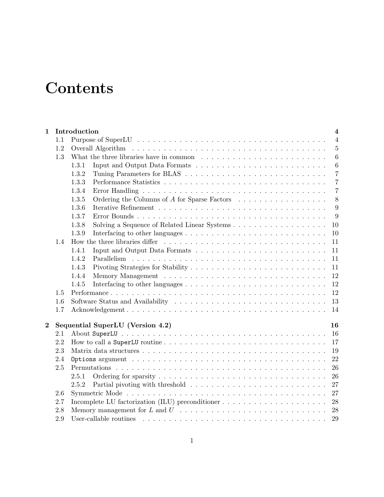# **Contents**

| 1        |     | Introduction<br>$\overline{4}$                                                                                     |
|----------|-----|--------------------------------------------------------------------------------------------------------------------|
|          | 1.1 | $\overline{4}$                                                                                                     |
|          | 1.2 | $5\,$                                                                                                              |
|          | 1.3 | $6\phantom{.}6$<br>What the three libraries have in common $\dots \dots \dots \dots \dots \dots \dots \dots \dots$ |
|          |     | $\,6\,$<br>1.3.1                                                                                                   |
|          |     | $\overline{7}$<br>1.3.2                                                                                            |
|          |     | $\overline{7}$<br>1.3.3                                                                                            |
|          |     | 1.3.4<br>$\overline{7}$                                                                                            |
|          |     | Ordering the Columns of A for Sparse Factors<br>8<br>1.3.5                                                         |
|          |     | 9<br>1.3.6                                                                                                         |
|          |     | 1.3.7<br>9                                                                                                         |
|          |     | 1.3.8<br>10                                                                                                        |
|          |     | 1.3.9<br>10                                                                                                        |
|          | 1.4 | 11                                                                                                                 |
|          |     | 1.4.1<br>11                                                                                                        |
|          |     | 1.4.2<br>11                                                                                                        |
|          |     | 1.4.3<br>11                                                                                                        |
|          |     | 1.4.4<br>12                                                                                                        |
|          |     | 1.4.5<br>12                                                                                                        |
|          | 1.5 | 12                                                                                                                 |
|          | 1.6 | 13                                                                                                                 |
|          | 1.7 | 14                                                                                                                 |
| $\bf{2}$ |     | Sequential SuperLU (Version 4.2)<br>16                                                                             |
|          | 2.1 | 16                                                                                                                 |
|          | 2.2 | 17                                                                                                                 |
|          | 2.3 | 19                                                                                                                 |
|          | 2.4 | 22                                                                                                                 |
|          | 2.5 | 26                                                                                                                 |
|          |     | 26<br>2.5.1                                                                                                        |
|          |     | 27<br>2.5.2                                                                                                        |
|          | 2.6 | 27                                                                                                                 |
|          | 2.7 | Incomplete LU factorization (ILU) preconditioner $\dots \dots \dots \dots \dots \dots \dots$<br>28                 |
|          | 2.8 |                                                                                                                    |
|          | 2.9 | 29                                                                                                                 |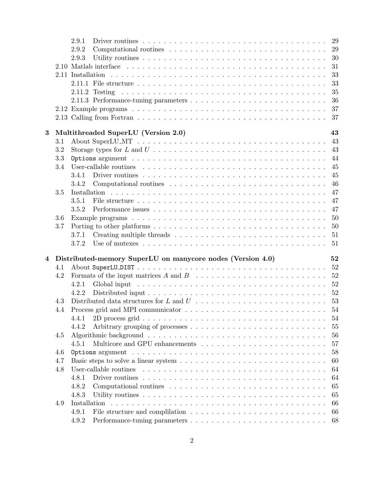|                         |     | 2.9.1                                                                                                                  |    |
|-------------------------|-----|------------------------------------------------------------------------------------------------------------------------|----|
|                         |     | 2.9.2                                                                                                                  | 29 |
|                         |     | 2.9.3                                                                                                                  | 30 |
|                         |     |                                                                                                                        | 31 |
|                         |     |                                                                                                                        | 33 |
|                         |     |                                                                                                                        | 33 |
|                         |     |                                                                                                                        | 35 |
|                         |     |                                                                                                                        | 36 |
|                         |     |                                                                                                                        | 37 |
|                         |     |                                                                                                                        | 37 |
|                         |     |                                                                                                                        |    |
| 3                       |     | Multithreaded SuperLU (Version 2.0)                                                                                    | 43 |
|                         | 3.1 |                                                                                                                        | 43 |
|                         | 3.2 |                                                                                                                        |    |
|                         | 3.3 |                                                                                                                        | 44 |
|                         | 3.4 |                                                                                                                        | 45 |
|                         |     | 3.4.1                                                                                                                  | 45 |
|                         |     | 3.4.2                                                                                                                  | 46 |
|                         | 3.5 |                                                                                                                        | 47 |
|                         |     | 3.5.1                                                                                                                  | 47 |
|                         |     | 3.5.2                                                                                                                  | 47 |
|                         | 3.6 |                                                                                                                        | 50 |
|                         | 3.7 |                                                                                                                        | 50 |
|                         |     | 3.7.1                                                                                                                  |    |
|                         |     | Use of mutexes $\dots \dots \dots \dots \dots \dots \dots \dots \dots \dots \dots \dots \dots \dots \dots 51$<br>3.7.2 |    |
|                         |     |                                                                                                                        |    |
| $\overline{\mathbf{4}}$ |     | Distributed-memory SuperLU on manycore nodes (Version 4.0)                                                             | 52 |
|                         | 4.1 |                                                                                                                        |    |
|                         | 4.2 |                                                                                                                        | 52 |
|                         |     | 4.2.1                                                                                                                  | 52 |
|                         |     | 52<br>4.2.2                                                                                                            |    |
|                         | 4.3 |                                                                                                                        |    |
|                         | 4.4 |                                                                                                                        |    |
|                         |     |                                                                                                                        | 54 |
|                         |     | 4.4.2                                                                                                                  | 55 |
|                         | 4.5 |                                                                                                                        | 56 |
|                         |     | 4.5.1                                                                                                                  | 57 |
|                         | 4.6 |                                                                                                                        | 58 |
|                         | 4.7 |                                                                                                                        | 60 |
|                         | 4.8 | User-callable routines                                                                                                 | 64 |
|                         |     | Driver routines $\ldots \ldots \ldots \ldots \ldots \ldots \ldots \ldots \ldots \ldots \ldots \ldots \ldots$<br>4.8.1  | 64 |
|                         |     | 4.8.2                                                                                                                  | 65 |
|                         |     |                                                                                                                        |    |
|                         |     | 4.8.3                                                                                                                  | 65 |
|                         | 4.9 |                                                                                                                        | 66 |
|                         |     | 4.9.1                                                                                                                  | 66 |
|                         |     | 4.9.2                                                                                                                  | 68 |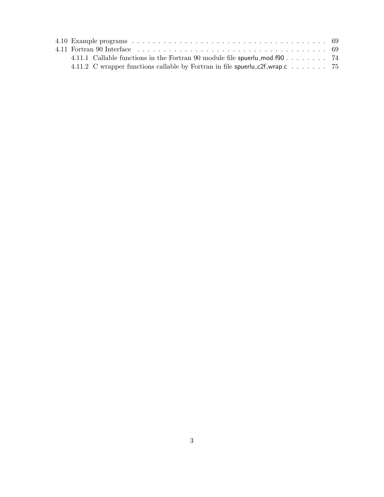| 4.11.1 Callable functions in the Fortran 90 module file spuerly-mod. $f90$ 74 |  |
|-------------------------------------------------------------------------------|--|
|                                                                               |  |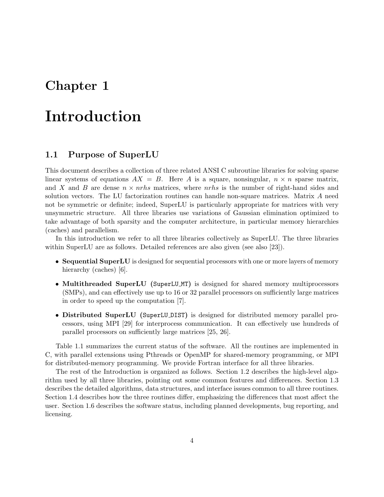## Chapter 1

## Introduction

## 1.1 Purpose of SuperLU

This document describes a collection of three related ANSI C subroutine libraries for solving sparse linear systems of equations  $AX = B$ . Here A is a square, nonsingular,  $n \times n$  sparse matrix, and X and B are dense  $n \times n$ rhs matrices, where nrhs is the number of right-hand sides and solution vectors. The LU factorization routines can handle non-square matrices. Matrix A need not be symmetric or definite; indeed, SuperLU is particularly appropriate for matrices with very unsymmetric structure. All three libraries use variations of Gaussian elimination optimized to take advantage of both sparsity and the computer architecture, in particular memory hierarchies (caches) and parallelism.

In this introduction we refer to all three libraries collectively as SuperLU. The three libraries within SuperLU are as follows. Detailed references are also given (see also [23]).

- Sequential SuperLU is designed for sequential processors with one or more layers of memory hierarchy (caches) [6].
- Multithreaded SuperLU (SuperLU\_MT) is designed for shared memory multiprocessors (SMPs), and can effectively use up to 16 or 32 parallel processors on sufficiently large matrices in order to speed up the computation [7].
- Distributed SuperLU (SuperLU DIST) is designed for distributed memory parallel processors, using MPI [29] for interprocess communication. It can effectively use hundreds of parallel processors on sufficiently large matrices [25, 26].

Table 1.1 summarizes the current status of the software. All the routines are implemented in C, with parallel extensions using Pthreads or OpenMP for shared-memory programming, or MPI for distributed-memory programming. We provide Fortran interface for all three libraries.

The rest of the Introduction is organized as follows. Section 1.2 describes the high-level algorithm used by all three libraries, pointing out some common features and differences. Section 1.3 describes the detailed algorithms, data structures, and interface issues common to all three routines. Section 1.4 describes how the three routines differ, emphasizing the differences that most affect the user. Section 1.6 describes the software status, including planned developments, bug reporting, and licensing.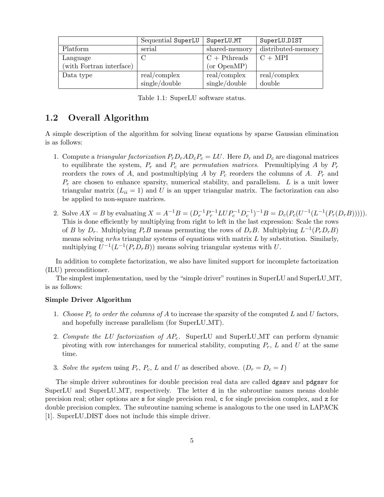|                          | Sequential SuperLU | SuperLU_MT      | SuperLU_DIST       |
|--------------------------|--------------------|-----------------|--------------------|
| Platform                 | serial             | shared-memory   | distributed-memory |
| Language                 |                    | $C + Pth reads$ | $C + MPI$          |
| (with Fortran interface) |                    | (or OpenMP)     |                    |
| Data type                | real/complex       | real/complex    | real/complex       |
|                          | single/double      | single/double   | double             |

Table 1.1: SuperLU software status.

## 1.2 Overall Algorithm

A simple description of the algorithm for solving linear equations by sparse Gaussian elimination is as follows:

- 1. Compute a triangular factorization  $P_r D_r A D_c P_c = LU$ . Here  $D_r$  and  $D_c$  are diagonal matrices to equilibrate the system,  $P_r$  and  $P_c$  are *permutation matrices*. Premultiplying A by  $P_r$ reorders the rows of A, and postmultiplying A by  $P_c$  reorders the columns of A.  $P_r$  and  $P_c$  are chosen to enhance sparsity, numerical stability, and parallelism. L is a unit lower triangular matrix  $(L_{ii} = 1)$  and U is an upper triangular matrix. The factorization can also be applied to non-square matrices.
- 2. Solve  $AX = B$  by evaluating  $X = A^{-1}B = (D_r^{-1}P_r^{-1}LUP_c^{-1}D_c^{-1})^{-1}B = D_c(P_c(U^{-1}(L^{-1}(P_r(D_rB))))).$ This is done efficiently by multiplying from right to left in the last expression: Scale the rows of B by  $D_r$ . Multiplying  $P_rB$  means permuting the rows of  $D_rB$ . Multiplying  $L^{-1}(P_rD_rB)$ means solving  $nrhs$  triangular systems of equations with matrix  $L$  by substitution. Similarly, multiplying  $U^{-1}(L^{-1}(P_rD_rB))$  means solving triangular systems with U.

In addition to complete factorization, we also have limited support for incomplete factorization (ILU) preconditioner.

The simplest implementation, used by the "simple driver" routines in SuperLU and SuperLU MT, is as follows:

## Simple Driver Algorithm

- 1. Choose  $P_c$  to order the columns of A to increase the sparsity of the computed L and U factors, and hopefully increase parallelism (for SuperLU MT).
- 2. Compute the LU factorization of  $AP_c$ . SuperLU and SuperLU MT can perform dynamic pivoting with row interchanges for numerical stability, computing  $P_r$ , L and U at the same time.
- 3. Solve the system using  $P_r$ ,  $P_c$ ,  $L$  and  $U$  as described above.  $(D_r = D_c = I)$

The simple driver subroutines for double precision real data are called dgssv and pdgssv for SuperLU and SuperLU MT, respectively. The letter d in the subroutine names means double precision real; other options are s for single precision real, c for single precision complex, and z for double precision complex. The subroutine naming scheme is analogous to the one used in LAPACK [1]. SuperLU DIST does not include this simple driver.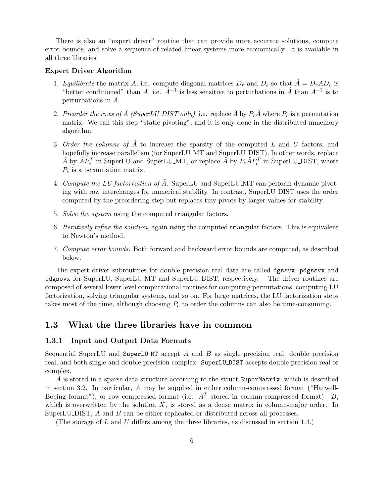There is also an "expert driver" routine that can provide more accurate solutions, compute error bounds, and solve a sequence of related linear systems more economically. It is available in all three libraries.

#### Expert Driver Algorithm

- 1. Equilibrate the matrix A, i.e. compute diagonal matrices  $D_r$  and  $D_c$  so that  $\hat{A} = D_r A D_c$  is "better conditioned" than A, i.e.  $\hat{A}^{-1}$  is less sensitive to perturbations in  $\hat{A}$  than  $A^{-1}$  is to perturbations in A.
- 2. Preorder the rows of  $\hat{A}$  (SuperLU\_DIST only), i.e. replace  $\hat{A}$  by  $P_r\hat{A}$  where  $P_r$  is a permutation matrix. We call this step "static pivoting", and it is only done in the distributed-mmemory algorithm.
- 3. Order the columns of  $\hat{A}$  to increase the sparsity of the computed L and U factors, and hopefully increase parallelism (for SuperLU MT and SuperLU DIST). In other words, replace  $\hat{A}$  by  $\hat{A}P_c^T$  in SuperLU and SuperLU\_MT, or replace  $\hat{A}$  by  $P_c\hat{A}P_c^T$  in SuperLU\_DIST, where  $P_c$  is a permutation matrix.
- 4. Compute the LU factorization of  $\hat{A}$ . SuperLU and SuperLU MT can perform dynamic pivoting with row interchanges for numerical stability. In contrast, SuperLU DIST uses the order computed by the preordering step but replaces tiny pivots by larger values for stability.
- 5. Solve the system using the computed triangular factors.
- 6. Iteratively refine the solution, again using the computed triangular factors. This is equivalent to Newton's method.
- 7. Compute error bounds. Both forward and backward error bounds are computed, as described below.

The expert driver subroutines for double precision real data are called dgssvx, pdgssvx and pdgssvx for SuperLU, SuperLU MT and SuperLU DIST, respectively. The driver routines are composed of several lower level computational routines for computing permutations, computing LU factorization, solving triangular systems, and so on. For large matrices, the LU factorization steps takes most of the time, although choosing  $P_c$  to order the columns can also be time-consuming.

## 1.3 What the three libraries have in common

#### 1.3.1 Input and Output Data Formats

Sequential SuperLU and SuperLU MT accept A and B as single precision real, double precision real, and both single and double precision complex. SuperLU DIST accepts double precision real or complex.

A is stored in a sparse data structure according to the struct SuperMatrix, which is described in section 3.2. In particular, A may be supplied in either column-compressed format ("Harwell-Boeing format"), or row-compressed format (i.e.  $A<sup>T</sup>$  stored in column-compressed format). B, which is overwritten by the solution  $X$ , is stored as a dense matrix in column-major order. In SuperLU DIST, A and B can be either replicated or distributed across all processes.

(The storage of L and U differs among the three libraries, as discussed in section 1.4.)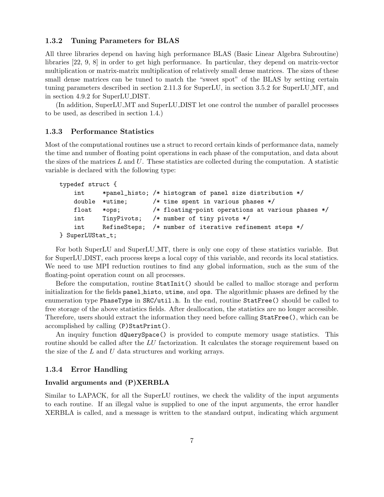## 1.3.2 Tuning Parameters for BLAS

All three libraries depend on having high performance BLAS (Basic Linear Algebra Subroutine) libraries [22, 9, 8] in order to get high performance. In particular, they depend on matrix-vector multiplication or matrix-matrix multiplication of relatively small dense matrices. The sizes of these small dense matrices can be tuned to match the "sweet spot" of the BLAS by setting certain tuning parameters described in section 2.11.3 for SuperLU, in section 3.5.2 for SuperLU MT, and in section 4.9.2 for SuperLU DIST.

(In addition, SuperLU MT and SuperLU DIST let one control the number of parallel processes to be used, as described in section 1.4.)

## 1.3.3 Performance Statistics

Most of the computational routines use a struct to record certain kinds of performance data, namely the time and number of floating point operations in each phase of the computation, and data about the sizes of the matrices  $L$  and  $U$ . These statistics are collected during the computation. A statistic variable is declared with the following type:

```
typedef struct {
   int *panel_histo; /* histogram of panel size distribution */
   double *utime; /* time spent in various phases */
   float *ops; /* floating-point operations at various phases */
   int TinyPivots; /* number of tiny pivots */
   int RefineSteps; /* number of iterative refinement steps */
} SuperLUStat_t;
```
For both SuperLU and SuperLU MT, there is only one copy of these statistics variable. But for SuperLU DIST, each process keeps a local copy of this variable, and records its local statistics. We need to use MPI reduction routines to find any global information, such as the sum of the floating-point operation count on all processes.

Before the computation, routine StatInit() should be called to malloc storage and perform initialization for the fields panel histo, utime, and ops. The algorithmic phases are defined by the enumeration type PhaseType in SRC/util.h. In the end, routine StatFree() should be called to free storage of the above statistics fields. After deallocation, the statistics are no longer accessible. Therefore, users should extract the information they need before calling StatFree(), which can be accomplished by calling (P)StatPrint().

An inquiry function dQuerySpace() is provided to compute memory usage statistics. This routine should be called after the LU factorization. It calculates the storage requirement based on the size of the  $L$  and  $U$  data structures and working arrays.

## 1.3.4 Error Handling

## Invalid arguments and (P)XERBLA

Similar to LAPACK, for all the SuperLU routines, we check the validity of the input arguments to each routine. If an illegal value is supplied to one of the input arguments, the error handler XERBLA is called, and a message is written to the standard output, indicating which argument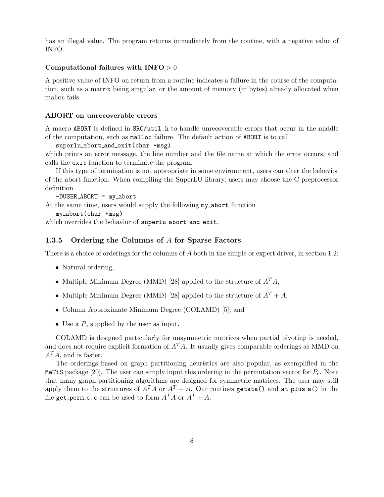has an illegal value. The program returns immediately from the routine, with a negative value of INFO.

#### Computational failures with  $INFO > 0$

A positive value of INFO on return from a routine indicates a failure in the course of the computation, such as a matrix being singular, or the amount of memory (in bytes) already allocated when malloc fails.

#### ABORT on unrecoverable errors

A macro ABORT is defined in SRC/util.h to handle unrecoverable errors that occur in the middle of the computation, such as malloc failure. The default action of ABORT is to call

```
superlu_abort_and_exit(char *msg)
```
which prints an error message, the line number and the file name at which the error occurs, and calls the exit function to terminate the program.

If this type of termination is not appropriate in some environment, users can alter the behavior of the abort function. When compiling the SuperLU library, users may choose the C preprocessor definition

```
-DUSER\_ABORT = my\_abort
```
At the same time, users would supply the following my abort function

```
my abort(char *msg)
```
which overrides the behavior of superlu\_abort\_and\_exit.

#### 1.3.5 Ordering the Columns of A for Sparse Factors

There is a choice of orderings for the columns of A both in the simple or expert driver, in section 1.2:

- Natural ordering,
- Multiple Minimum Degree (MMD) [28] applied to the structure of  $A<sup>T</sup>A$ ,
- Multiple Minimum Degree (MMD) [28] applied to the structure of  $A<sup>T</sup> + A$ ,
- Column Approximate Minimum Degree (COLAMD) [5], and
- Use a  $P_c$  supplied by the user as input.

COLAMD is designed particularly for unsymmetric matrices when partial pivoting is needed, and does not require explicit formation of  $A<sup>T</sup>A$ . It usually gives comparable orderings as MMD on  $A<sup>T</sup>A$ , and is faster.

The orderings based on graph partitioning heuristics are also popular, as exemplified in the MeTiS package [20]. The user can simply input this ordering in the permutation vector for  $P_c$ . Note that many graph partitioning algorithms are designed for symmetric matrices. The user may still apply them to the structures of  $A^T A$  or  $A^T + A$ . Our routines getata() and at plus a() in the file get perm c.c can be used to form  $A^T A$  or  $A^T + A$ .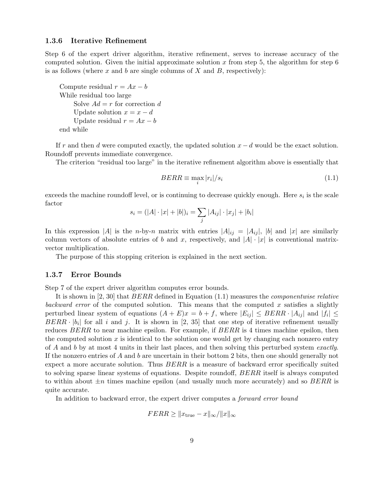#### 1.3.6 Iterative Refinement

Step 6 of the expert driver algorithm, iterative refinement, serves to increase accuracy of the computed solution. Given the initial approximate solution x from step 5, the algorithm for step  $6$ is as follows (where x and b are single columns of X and B, respectively):

Compute residual  $r = Ax - b$ While residual too large Solve  $Ad = r$  for correction d Update solution  $x = x - d$ Update residual  $r = Ax - b$ end while

If r and then d were computed exactly, the updated solution  $x - d$  would be the exact solution. Roundoff prevents immediate convergence.

The criterion "residual too large" in the iterative refinement algorithm above is essentially that

$$
BERR \equiv \max_{i} |r_i|/s_i \tag{1.1}
$$

exceeds the machine roundoff level, or is continuing to decrease quickly enough. Here  $s_i$  is the scale factor

$$
s_i = (|A| \cdot |x| + |b|)_i = \sum_j |A_{ij}| \cdot |x_j| + |b_i|
$$

In this expression |A| is the *n*-by-*n* matrix with entries  $|A|_{ij} = |A_{ij}|$ , |b| and |x| are similarly column vectors of absolute entries of b and x, respectively, and  $|A| \cdot |x|$  is conventional matrixvector multiplication.

The purpose of this stopping criterion is explained in the next section.

#### 1.3.7 Error Bounds

Step 7 of the expert driver algorithm computes error bounds.

It is shown in [2, 30] that BERR defined in Equation  $(1.1)$  measures the *componentwise relative* backward error of the computed solution. This means that the computed x satisfies a slightly perturbed linear system of equations  $(A + E)x = b + f$ , where  $|E_{ij}| \leq BERR \cdot |A_{ij}|$  and  $|f_i| \leq$  $BERR \cdot |b_i|$  for all i and j. It is shown in [2, 35] that one step of iterative refinement usually reduces BERR to near machine epsilon. For example, if BERR is 4 times machine epsilon, then the computed solution  $x$  is identical to the solution one would get by changing each nonzero entry of A and b by at most 4 units in their last places, and then solving this perturbed system exactly. If the nonzero entries of A and b are uncertain in their bottom 2 bits, then one should generally not expect a more accurate solution. Thus  $BERR$  is a measure of backward error specifically suited to solving sparse linear systems of equations. Despite roundoff, BERR itself is always computed to within about  $\pm n$  times machine epsilon (and usually much more accurately) and so BERR is quite accurate.

In addition to backward error, the expert driver computes a *forward error bound* 

$$
FERR \ge ||x_{\text{true}} - x||_{\infty}/||x||_{\infty}
$$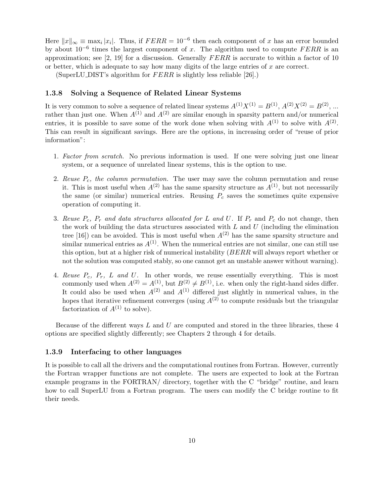Here  $||x||_{\infty} \equiv \max_i |x_i|$ . Thus, if  $FERR = 10^{-6}$  then each component of x has an error bounded by about  $10^{-6}$  times the largest component of x. The algorithm used to compute FERR is an approximation; see [2, 19] for a discussion. Generally FERR is accurate to within a factor of 10 or better, which is adequate to say how many digits of the large entries of  $x$  are correct.

(SuperLU\_DIST's algorithm for  $FERR$  is slightly less reliable [26].)

#### 1.3.8 Solving a Sequence of Related Linear Systems

It is very common to solve a sequence of related linear systems  $A^{(1)}X^{(1)} = B^{(1)}$ ,  $A^{(2)}X^{(2)} = B^{(2)}$ , ... rather than just one. When  $A^{(1)}$  and  $A^{(2)}$  are similar enough in sparsity pattern and/or numerical entries, it is possible to save some of the work done when solving with  $A^{(1)}$  to solve with  $A^{(2)}$ . This can result in significant savings. Here are the options, in increasing order of "reuse of prior information":

- 1. Factor from scratch. No previous information is used. If one were solving just one linear system, or a sequence of unrelated linear systems, this is the option to use.
- 2. Reuse  $P_c$ , the column permutation. The user may save the column permutation and reuse it. This is most useful when  $A^{(2)}$  has the same sparsity structure as  $A^{(1)}$ , but not necessarily the same (or similar) numerical entries. Reusing  $P_c$  saves the sometimes quite expensive operation of computing it.
- 3. Reuse  $P_c$ ,  $P_r$  and data structures allocated for L and U. If  $P_r$  and  $P_c$  do not change, then the work of building the data structures associated with  $L$  and  $U$  (including the elimination tree [16]) can be avoided. This is most useful when  $A^{(2)}$  has the same sparsity structure and similar numerical entries as  $A^{(1)}$ . When the numerical entries are not similar, one can still use this option, but at a higher risk of numerical instability (BERR will always report whether or not the solution was computed stably, so one cannot get an unstable answer without warning).
- 4. Reuse  $P_c$ ,  $P_r$ ,  $L$  and  $U$ . In other words, we reuse essentially everything. This is most commonly used when  $A^{(2)} = A^{(1)}$ , but  $B^{(2)} \neq B^{(1)}$ , i.e. when only the right-hand sides differ. It could also be used when  $A^{(2)}$  and  $A^{(1)}$  differed just slightly in numerical values, in the hopes that iterative refinement converges (using  $A^{(2)}$  to compute residuals but the triangular factorization of  $A^{(1)}$  to solve).

Because of the different ways  $L$  and  $U$  are computed and stored in the three libraries, these  $4$ options are specified slightly differently; see Chapters 2 through 4 for details.

#### 1.3.9 Interfacing to other languages

It is possible to call all the drivers and the computational routines from Fortran. However, currently the Fortran wrapper functions are not complete. The users are expected to look at the Fortran example programs in the FORTRAN/ directory, together with the C "bridge" routine, and learn how to call SuperLU from a Fortran program. The users can modify the C bridge routine to fit their needs.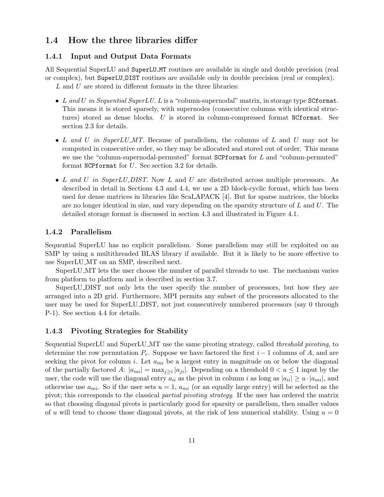## 1.4 How the three libraries differ

## 1.4.1 Input and Output Data Formats

All Sequential SuperLU and SuperLU MT routines are available in single and double precision (real or complex), but SuperLU DIST routines are available only in double precision (real or complex).  $L$  and  $U$  are stored in different formats in the three libraries:

- L and U in Sequential SuperLU. L is a "column-supernodal" matrix, in storage type SCformat. This means it is stored sparsely, with supernodes (consecutive columns with identical structures) stored as dense blocks. U is stored in column-compressed format NCformat. See section 2.3 for details.
- L and U in SuperLU\_MT. Because of parallelism, the columns of L and U may not be computed in consecutive order, so they may be allocated and stored out of order. This means we use the "column-supernodal-permuted" format  $SCP$  format for  $L$  and "column-permuted" format NCPformat for U. See section 3.2 for details.
- L and U in SuperLU\_DIST. Now L and U are distributed across multiple processors. As described in detail in Sections 4.3 and 4.4, we use a 2D block-cyclic format, which has been used for dense matrices in libraries like ScaLAPACK [4]. But for sparse matrices, the blocks are no longer identical in size, and vary depending on the sparsity structure of  $L$  and  $U$ . The detailed storage format is discussed in section 4.3 and illustrated in Figure 4.1.

#### 1.4.2 Parallelism

Sequential SuperLU has no explicit parallelism. Some parallelism may still be exploited on an SMP by using a multithreaded BLAS library if available. But it is likely to be more effective to use SuperLU MT on an SMP, described next.

SuperLU MT lets the user choose the number of parallel threads to use. The mechanism varies from platform to platform and is described in section 3.7.

SuperLU DIST not only lets the user specify the number of processors, but how they are arranged into a 2D grid. Furthermore, MPI permits any subset of the processors allocated to the user may be used for SuperLU DIST, not just consecutively numbered processors (say 0 through P-1). See section 4.4 for details.

### 1.4.3 Pivoting Strategies for Stability

Sequential SuperLU and SuperLU MT use the same pivoting strategy, called threshold pivoting, to determine the row permutation  $P_r$ . Suppose we have factored the first  $i-1$  columns of A, and are seeking the pivot for column i. Let  $a_{mi}$  be a largest entry in magnitude on or below the diagonal of the partially factored A:  $|a_{mi}| = \max_{j \geq i} |a_{ji}|$ . Depending on a threshold  $0 < u \leq 1$  input by the user, the code will use the diagonal entry  $a_{ii}$  as the pivot in column i as long as  $|a_{ii}| \geq u \cdot |a_{mi}|$ , and otherwise use  $a_{mi}$ . So if the user sets  $u = 1$ ,  $a_{mi}$  (or an equally large entry) will be selected as the pivot; this corresponds to the classical partial pivoting strategy. If the user has ordered the matrix so that choosing diagonal pivots is particularly good for sparsity or parallelism, then smaller values of u will tend to choose those diagonal pivots, at the risk of less numerical stability. Using  $u = 0$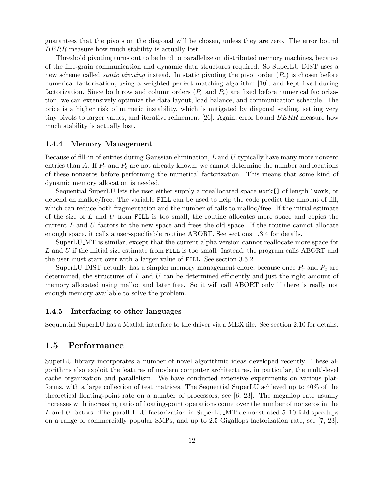guarantees that the pivots on the diagonal will be chosen, unless they are zero. The error bound BERR measure how much stability is actually lost.

Threshold pivoting turns out to be hard to parallelize on distributed memory machines, because of the fine-grain communication and dynamic data structures required. So SuperLU DIST uses a new scheme called *static pivoting* instead. In static pivoting the pivot order  $(P_r)$  is chosen before numerical factorization, using a weighted perfect matching algorithm [10], and kept fixed during factorization. Since both row and column orders  $(P_r$  and  $P_c)$  are fixed before numerical factorization, we can extensively optimize the data layout, load balance, and communication schedule. The price is a higher risk of numeric instability, which is mitigated by diagonal scaling, setting very tiny pivots to larger values, and iterative refinement [26]. Again, error bound BERR measure how much stability is actually lost.

#### 1.4.4 Memory Management

Because of fill-in of entries during Gaussian elimination, L and U typically have many more nonzero entries than A. If  $P_r$  and  $P_c$  are not already known, we cannot determine the number and locations of these nonzeros before performing the numerical factorization. This means that some kind of dynamic memory allocation is needed.

Sequential SuperLU lets the user either supply a preallocated space work[] of length lwork, or depend on malloc/free. The variable FILL can be used to help the code predict the amount of fill, which can reduce both fragmentation and the number of calls to malloc/free. If the initial estimate of the size of  $L$  and  $U$  from FILL is too small, the routine allocates more space and copies the current  $L$  and  $U$  factors to the new space and frees the old space. If the routine cannot allocate enough space, it calls a user-specifiable routine ABORT. See sections 1.3.4 for details.

SuperLU MT is similar, except that the current alpha version cannot reallocate more space for L and U if the initial size estimate from FILL is too small. Instead, the program calls ABORT and the user must start over with a larger value of FILL. See section 3.5.2.

SuperLU DIST actually has a simpler memory management chore, because once  $P_r$  and  $P_c$  are determined, the structures of  $L$  and  $U$  can be determined efficiently and just the right amount of memory allocated using malloc and later free. So it will call ABORT only if there is really not enough memory available to solve the problem.

#### 1.4.5 Interfacing to other languages

Sequential SuperLU has a Matlab interface to the driver via a MEX file. See section 2.10 for details.

## 1.5 Performance

SuperLU library incorporates a number of novel algorithmic ideas developed recently. These algorithms also exploit the features of modern computer architectures, in particular, the multi-level cache organization and parallelism. We have conducted extensive experiments on various platforms, with a large collection of test matrices. The Sequential SuperLU achieved up to 40% of the theoretical floating-point rate on a number of processors, see [6, 23]. The megaflop rate usually increases with increasing ratio of floating-point operations count over the number of nonzeros in the L and U factors. The parallel LU factorization in SuperLU MT demonstrated 5–10 fold speedups on a range of commercially popular SMPs, and up to 2.5 Gigaflops factorization rate, see [7, 23].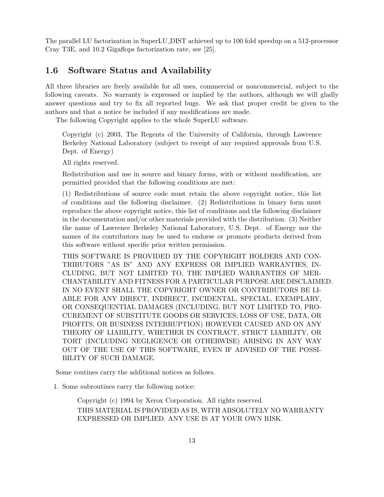The parallel LU factorization in SuperLU DIST achieved up to 100 fold speedup on a 512-processor Cray T3E, and 10.2 Gigaflops factorization rate, see [25].

## 1.6 Software Status and Availability

All three libraries are freely available for all uses, commercial or noncommercial, subject to the following caveats. No warranty is expressed or implied by the authors, although we will gladly answer questions and try to fix all reported bugs. We ask that proper credit be given to the authors and that a notice be included if any modifications are made.

The following Copyright applies to the whole SuperLU software.

Copyright (c) 2003, The Regents of the University of California, through Lawrence Berkeley National Laboratory (subject to receipt of any required approvals from U.S. Dept. of Energy)

All rights reserved.

Redistribution and use in source and binary forms, with or without modification, are permitted provided that the following conditions are met:

(1) Redistributions of source code must retain the above copyright notice, this list of conditions and the following disclaimer. (2) Redistributions in binary form must reproduce the above copyright notice, this list of conditions and the following disclaimer in the documentation and/or other materials provided with the distribution. (3) Neither the name of Lawrence Berkeley National Laboratory, U.S. Dept. of Energy nor the names of its contributors may be used to endorse or promote products derived from this software without specific prior written permission.

THIS SOFTWARE IS PROVIDED BY THE COPYRIGHT HOLDERS AND CON-TRIBUTORS "AS IS" AND ANY EXPRESS OR IMPLIED WARRANTIES, IN-CLUDING, BUT NOT LIMITED TO, THE IMPLIED WARRANTIES OF MER-CHANTABILITY AND FITNESS FOR A PARTICULAR PURPOSE ARE DISCLAIMED. IN NO EVENT SHALL THE COPYRIGHT OWNER OR CONTRIBUTORS BE LI-ABLE FOR ANY DIRECT, INDIRECT, INCIDENTAL, SPECIAL, EXEMPLARY, OR CONSEQUENTIAL DAMAGES (INCLUDING, BUT NOT LIMITED TO, PRO-CUREMENT OF SUBSTITUTE GOODS OR SERVICES; LOSS OF USE, DATA, OR PROFITS; OR BUSINESS INTERRUPTION) HOWEVER CAUSED AND ON ANY THEORY OF LIABILITY, WHETHER IN CONTRACT, STRICT LIABILITY, OR TORT (INCLUDING NEGLIGENCE OR OTHERWISE) ARISING IN ANY WAY OUT OF THE USE OF THIS SOFTWARE, EVEN IF ADVISED OF THE POSSI-BILITY OF SUCH DAMAGE.

Some routines carry the additional notices as follows.

1. Some subroutines carry the following notice:

Copyright (c) 1994 by Xerox Corporation. All rights reserved. THIS MATERIAL IS PROVIDED AS IS, WITH ABSOLUTELY NO WARRANTY EXPRESSED OR IMPLIED. ANY USE IS AT YOUR OWN RISK.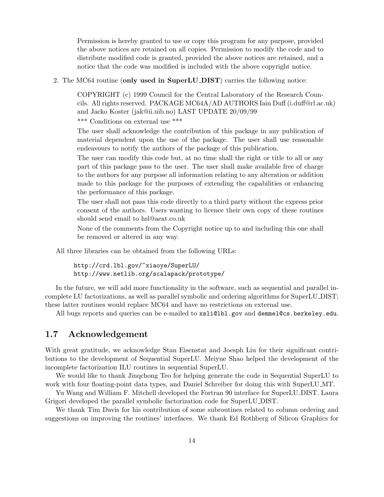Permission is hereby granted to use or copy this program for any purpose, provided the above notices are retained on all copies. Permission to modify the code and to distribute modified code is granted, provided the above notices are retained, and a notice that the code was modified is included with the above copyright notice.

2. The MC64 routine (only used in SuperLU\_DIST) carries the following notice:

COPYRIGHT (c) 1999 Council for the Central Laboratory of the Research Councils. All rights reserved. PACKAGE MC64A/AD AUTHORS Iain Duff (i.duff@rl.ac.uk) and Jacko Koster (jak@ii.uib.no) LAST UPDATE 20/09/99

\*\*\* Conditions on external use \*\*\*

The user shall acknowledge the contribution of this package in any publication of material dependent upon the use of the package. The user shall use reasonable endeavours to notify the authors of the package of this publication.

The user can modify this code but, at no time shall the right or title to all or any part of this package pass to the user. The user shall make available free of charge to the authors for any purpose all information relating to any alteration or addition made to this package for the purposes of extending the capabilities or enhancing the performance of this package.

The user shall not pass this code directly to a third party without the express prior consent of the authors. Users wanting to licence their own copy of these routines should send email to hsl@aeat.co.uk

None of the comments from the Copyright notice up to and including this one shall be removed or altered in any way.

All three libraries can be obtained from the following URLs:

http://crd.lbl.gov/~xiaoye/SuperLU/ http://www.netlib.org/scalapack/prototype/

In the future, we will add more functionality in the software, such as sequential and parallel incomplete LU factorizations, as well as parallel symbolic and ordering algorithms for SuperLU DIST; these latter routines would replace MC64 and have no restrictions on external use.

All bugs reports and queries can be e-mailed to xsli@lbl.gov and demmel@cs.berkeley.edu.

## 1.7 Acknowledgement

With great gratitude, we acknowledge Stan Eisenstat and Joesph Liu for their significant contributions to the development of Sequential SuperLU. Meiyue Shao helped the development of the incomplete factorization ILU routines in sequential SuperLU.

We would like to thank Jinqchong Teo for helping generate the code in Sequential SuperLU to work with four floating-point data types, and Daniel Schreiber for doing this with SuperLU MT.

Yu Wang and William F. Mitchell developed the Fortran 90 interface for SuperLU DIST. Laura Grigori developed the parallel symbolic factorization code for SuperLU DIST.

We thank Tim Davis for his contribution of some subroutines related to column ordering and suggestions on improving the routines' interfaces. We thank Ed Rothberg of Silicon Graphics for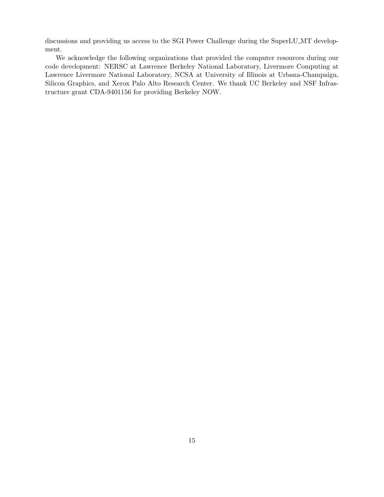discussions and providing us access to the SGI Power Challenge during the SuperLU MT development.

We acknowledge the following organizations that provided the computer resources during our code development: NERSC at Lawrence Berkeley National Laboratory, Livermore Computing at Lawrence Livermore National Laboratory, NCSA at University of Illinois at Urbana-Champaign, Silicon Graphics, and Xerox Palo Alto Research Center. We thank UC Berkeley and NSF Infrastructure grant CDA-9401156 for providing Berkeley NOW.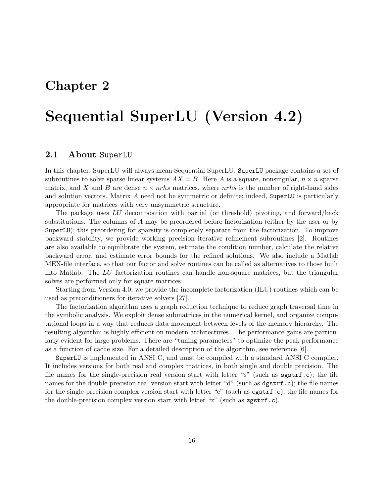## Chapter 2

# Sequential SuperLU (Version 4.2)

## 2.1 About SuperLU

In this chapter, SuperLU will always mean Sequential SuperLU. SuperLU package contains a set of subroutines to solve sparse linear systems  $AX = B$ . Here A is a square, nonsingular,  $n \times n$  sparse matrix, and X and B are dense  $n \times n$ rhs matrices, where nrhs is the number of right-hand sides and solution vectors. Matrix A need not be symmetric or definite; indeed, SuperLU is particularly appropriate for matrices with very unsymmetric structure.

The package uses LU decomposition with partial (or threshold) pivoting, and forward/back substitutions. The columns of A may be preordered before factorization (either by the user or by SuperLU); this preordering for sparsity is completely separate from the factorization. To improve backward stability, we provide working precision iterative refinement subroutines [2]. Routines are also available to equilibrate the system, estimate the condition number, calculate the relative backward error, and estimate error bounds for the refined solutions. We also include a Matlab MEX-file interface, so that our factor and solve routines can be called as alternatives to those built into Matlab. The LU factorization routines can handle non-square matrices, but the triangular solves are performed only for square matrices.

Starting from Version 4.0, we provide the incomplete factorization (ILU) routines which can be used as preconditioners for iterative solvers [27].

The factorization algorithm uses a graph reduction technique to reduce graph traversal time in the symbolic analysis. We exploit dense submatrices in the numerical kernel, and organize computational loops in a way that reduces data movement between levels of the memory hierarchy. The resulting algorithm is highly efficient on modern architectures. The performance gains are particularly evident for large problems. There are "tuning parameters" to optimize the peak performance as a function of cache size. For a detailed description of the algorithm, see reference [6].

SuperLU is implemented in ANSI C, and must be compiled with a standard ANSI C compiler. It includes versions for both real and complex matrices, in both single and double precision. The file names for the single-precision real version start with letter "s" (such as sgstrf.c); the file names for the double-precision real version start with letter "d" (such as  $dgstrf.c$ ); the file names for the single-precision complex version start with letter "c" (such as cgstrf.c); the file names for the double-precision complex version start with letter "z" (such as zgstrf.c).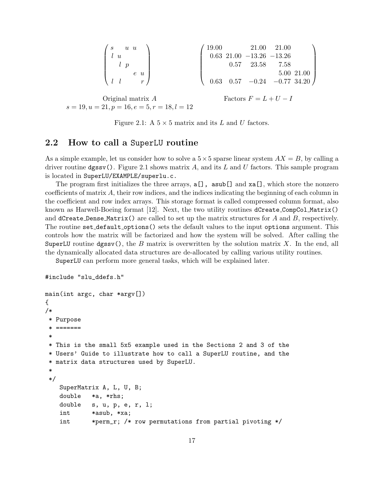| $\begin{pmatrix} s & u & u \ u & & \end{pmatrix}$                                               |                                                                                                                                 |  |
|-------------------------------------------------------------------------------------------------|---------------------------------------------------------------------------------------------------------------------------------|--|
|                                                                                                 | $\begin{array}{cccc} \text{'} & 19.00 & 21.00 & 21.00 \\ 0.63 & 21.00 & -13.26 & -13.26 \\ & & 0.57 & 23.58 & 7.58 \end{array}$ |  |
| $\left( \begin{array}{ccccc} & l & p & & \ & & e & u & \ & & & l & l & & r \end{array} \right)$ |                                                                                                                                 |  |
|                                                                                                 | $0.63$ 0.57 $-0.24$ $-0.77$ 34.20                                                                                               |  |
|                                                                                                 |                                                                                                                                 |  |
| Original matrix $A$                                                                             | Factors $F = L + U - I$                                                                                                         |  |
| $s = 19, u = 21, p = 16, e = 5, r = 18, l = 12$                                                 |                                                                                                                                 |  |

Figure 2.1: A  $5 \times 5$  matrix and its L and U factors.

## 2.2 How to call a SuperLU routine

As a simple example, let us consider how to solve a  $5 \times 5$  sparse linear system  $AX = B$ , by calling a driver routine  $\text{dgssv}$ ). Figure 2.1 shows matrix A, and its L and U factors. This sample program is located in SuperLU/EXAMPLE/superlu.c.

The program first initializes the three arrays,  $a[]$ ,  $asub[]$  and  $xa[]$ , which store the nonzero coefficients of matrix A, their row indices, and the indices indicating the beginning of each column in the coefficient and row index arrays. This storage format is called compressed column format, also known as Harwell-Boeing format [12]. Next, the two utility routines dCreate CompCol Matrix() and dCreate Dense Matrix() are called to set up the matrix structures for A and B, respectively. The routine set default options() sets the default values to the input options argument. This controls how the matrix will be factorized and how the system will be solved. After calling the SuperLU routine dgssv(), the B matrix is overwritten by the solution matrix X. In the end, all the dynamically allocated data structures are de-allocated by calling various utility routines.

SuperLU can perform more general tasks, which will be explained later.

```
#include "slu_ddefs.h"
```

```
main(int argc, char *argv[])
{
/*
 * Purpose
 * =======
 *
 * This is the small 5x5 example used in the Sections 2 and 3 of the
 * Users' Guide to illustrate how to call a SuperLU routine, and the
 * matrix data structures used by SuperLU.
 *
 */
   SuperMatrix A, L, U, B;
   double *a, *rhs;
   double s, u, p, e, r, l;
    int *asub, *xa;
    int *perm_r; /* row permutations from partial pivoting */
```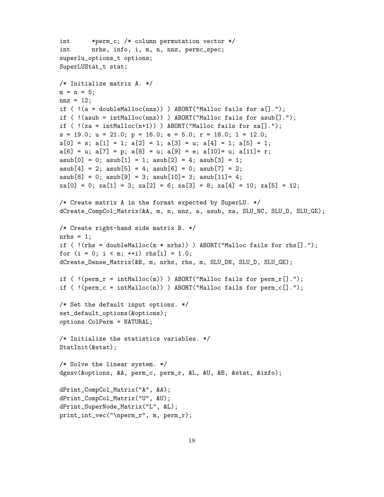```
int *perm_c; /* column permutation vector */
int nrhs, info, i, m, n, nnz, permc_spec;
superlu_options_t options;
SuperLUStat_t stat;
/* Initialize matrix A. */
m = n = 5;
nnz = 12;
if ( !(a = doubleMalloc(nnz)) ) ABORT("Malloc fails for a[].");
if ( !( asub = intMalloc(nnz)) ) ABORT("Malloc fails for asub[].");
if (!(xa = intMailloc(n+1))) ABORT("Malloc fails for xa[].");
s = 19.0; u = 21.0; p = 16.0; e = 5.0; r = 18.0; 1 = 12.0;a[0] = s; a[1] = 1; a[2] = 1; a[3] = u; a[4] = 1; a[5] = 1;a[6] = u; a[7] = p; a[8] = u; a[9] = e; a[10] = u; a[11] = r;asub[0] = 0; asub[1] = 1; asub[2] = 4; asub[3] = 1;
asub[4] = 2; asub[5] = 4; asub[6] = 0; asub[7] = 2;asub[8] = 0; asub[9] = 3; asub[10] = 3; asub[11] = 4;
xa[0] = 0; xa[1] = 3; xa[2] = 6; xa[3] = 8; xa[4] = 10; xa[5] = 12;/* Create matrix A in the format expected by SuperLU. */
dCreate_CompCol_Matrix(&A, m, n, nnz, a, asub, xa, SLU_NC, SLU_D, SLU_GE);
/* Create right-hand side matrix B. */
nrhs = 1;
if ( !( rhs = doubleMalloc(m * nrhs)) ) ABORT("Malloc fails for rhs[].");
for (i = 0; i < m; ++i) rhs[i] = 1.0;dCreate_Dense_Matrix(&B, m, nrhs, rhs, m, SLU_DN, SLU_D, SLU_GE);
if ( !(perm_r = intMailloc(m)) ) ABORT("Malloc fails for perm_r[].");
if ( !(perm_c = intMailloc(n)) ) ABORT("Malloc fails for perm_c[].");
/* Set the default input options. */
set_default_options(&options);
options.ColPerm = NATURAL;
/* Initialize the statistics variables. */
StatInit(&stat);
/* Solve the linear system. */
dgssv(&options, &A, perm_c, perm_r, &L, &U, &B, &stat, &info);
dPrint_CompCol_Matrix("A", &A);
dPrint_CompCol_Matrix("U", &U);
dPrint_SuperNode_Matrix("L", &L);
print_int_vec("\nperm_r", m, perm_r);
```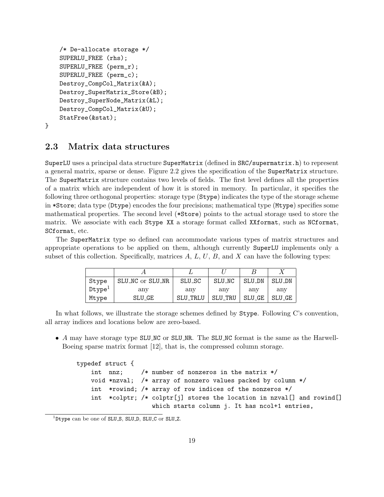```
/* De-allocate storage */
SUPERLU_FREE (rhs);
SUPERLU_FREE (perm_r);
SUPERLU_FREE (perm_c);
Destroy_CompCol_Matrix(&A);
Destroy_SuperMatrix_Store(&B);
Destroy_SuperNode_Matrix(&L);
Destroy_CompCol_Matrix(&U);
StatFree(&stat);
```

```
}
```
## 2.3 Matrix data structures

SuperLU uses a principal data structure SuperMatrix (defined in SRC/supermatrix.h) to represent a general matrix, sparse or dense. Figure 2.2 gives the specification of the SuperMatrix structure. The SuperMatrix structure contains two levels of fields. The first level defines all the properties of a matrix which are independent of how it is stored in memory. In particular, it specifies the following three orthogonal properties: storage type (Stype) indicates the type of the storage scheme in \*Store; data type (Dtype) encodes the four precisions; mathematical type (Mtype) specifies some mathematical properties. The second level (\*Store) points to the actual storage used to store the matrix. We associate with each Stype XX a storage format called XXformat, such as NCformat, SCformat, etc.

The SuperMatrix type so defined can accommodate various types of matrix structures and appropriate operations to be applied on them, although currently SuperLU implements only a subset of this collection. Specifically, matrices  $A, L, U, B$ , and  $X$  can have the following types:

| Stype              | SLU_NC or SLU_NR | SLU_SC   | SLU_NC  | SLU_DN | SLU_DN |
|--------------------|------------------|----------|---------|--------|--------|
| Dtype <sup>T</sup> | any              | anv      | any     | anv    | anv    |
| Mtype              | SLU_GE           | SLU_TRLU | SLU_TRU | SLU_GE | SLU_GE |

In what follows, we illustrate the storage schemes defined by Stype. Following C's convention, all array indices and locations below are zero-based.

• A may have storage type SLU\_NC or SLU\_NR. The SLU\_NC format is the same as the Harwell-Boeing sparse matrix format [12], that is, the compressed column storage.

```
typedef struct {
    int nnz; /* number of nonzeros in the matrix */
    void *nzval; /* array of nonzero values packed by column */
    int *rowind; /* array of row indices of the nonzeros */
    int *colptr; /* colptr[j] stores the location in nzval[] and rowind[]
                    which starts column j. It has ncol+1 entries,
```
<sup>&</sup>lt;sup>1</sup>Dtype can be one of SLU<sub>-S</sub>, SLU<sub>-D</sub>, SLU<sub>-C</sub> or SLU<sub>-Z</sub>.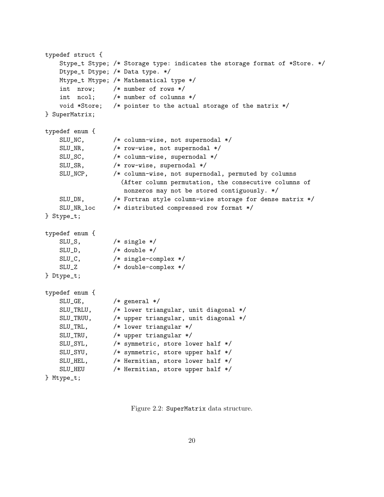```
typedef struct {
   Stype_t Stype; /* Storage type: indicates the storage format of *Store. */
   Dtype_t Dtype; /* Data type. */
   Mtype_t Mtype; /* Mathematical type */
   int nrow; /* number of rows */
   int ncol; /* number of columns */
   void *Store; /* pointer to the actual storage of the matrix */
} SuperMatrix;
typedef enum {
   SLU_NC, /* column-wise, not supernodal */
   SLU_NR, /* row-wise, not supernodal */
   SLU_SC, /* column-wise, supernodal */
   SLU_SR, /* row-wise, supernodal */
   SLU_NCP, /* column-wise, not supernodal, permuted by columns
                   (After column permutation, the consecutive columns of
                   nonzeros may not be stored contiguously. */
   SLU_DN, /* Fortran style column-wise storage for dense matrix */
   SLU_NR_loc /* distributed compressed row format */
} Stype_t;
typedef enum {
   SLU_S, /* single */
   SLU_D, /* double */
   SLU_C, /* single-complex */
   SLU_Z /* double-complex */
} Dtype_t;
typedef enum {
   SLU_GE, /* general */
   SLU_TRLU, /* lower triangular, unit diagonal */
   SLU_TRUU, /* upper triangular, unit diagonal */
   SLU_TRL, /* lower triangular */
   SLU_TRU, /* upper triangular */
   SLU_SYL, /* symmetric, store lower half */
   SLU_SYU, /* symmetric, store upper half */
   SLU_HEL, /* Hermitian, store lower half */
   SLU_HEU /* Hermitian, store upper half */
} Mtype_t;
```
Figure 2.2: SuperMatrix data structure.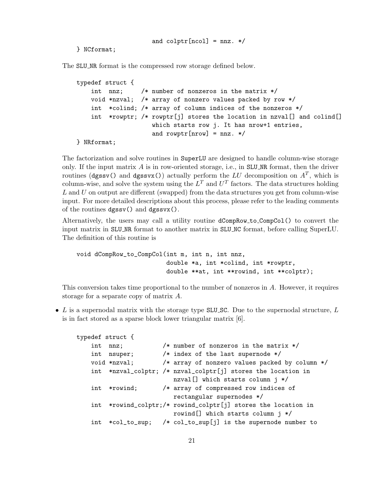and  $\text{colptr}[\text{ncol}] = \text{nnz. } */$ 

} NCformat;

The SLU<sub>NR</sub> format is the compressed row storage defined below.

```
typedef struct {
    int nnz; /* number of nonzeros in the matrix */
    void *nzval; /* array of nonzero values packed by row */
    int *colind; /* array of column indices of the nonzeros */
    int *rowptr; /* rowptr[j] stores the location in nzval[] and colind[]
                    which starts row j. It has nrow+1 entries,
                    and rowptr[nrow] = nnz. */
```

```
} NRformat;
```
The factorization and solve routines in SuperLU are designed to handle column-wise storage only. If the input matrix  $\vec{A}$  is in row-oriented storage, i.e., in SLU\_NR format, then the driver routines (dgssv() and dgssvx()) actually perform the LU decomposition on  $A<sup>T</sup>$ , which is column-wise, and solve the system using the  $L^T$  and  $U^T$  factors. The data structures holding  $L$  and  $U$  on output are different (swapped) from the data structures you get from column-wise input. For more detailed descriptions about this process, please refer to the leading comments of the routines dgssv() and dgssvx().

Alternatively, the users may call a utility routine dCompRow to CompCol() to convert the input matrix in SLU NR format to another matrix in SLU NC format, before calling SuperLU. The definition of this routine is

```
void dCompRow_to_CompCol(int m, int n, int nnz,
                         double *a, int *colind, int *rowptr,
                         double **at, int **rowind, int **colptr);
```
This conversion takes time proportional to the number of nonzeros in A. However, it requires storage for a separate copy of matrix A.

• L is a supernodal matrix with the storage type SLU\_SC. Due to the supernodal structure,  $L$ is in fact stored as a sparse block lower triangular matrix [6].

```
typedef struct {
   int nnz; /* number of nonzeros in the matrix */
   int nsuper; /* index of the last supernode */
   void *nzval; /* array of nonzero values packed by column */
   int *nzval_colptr; /* nzval_colptr[j] stores the location in
                         nzval[] which starts column j */
   int *rowind; /* array of compressed row indices of
                         rectangular supernodes */
   int *rowind_colptr;/* rowind_colptr[j] stores the location in
                         rowind[] which starts column j */
   int *col_to_sup; /* col_to_sup[j] is the supernode number to
```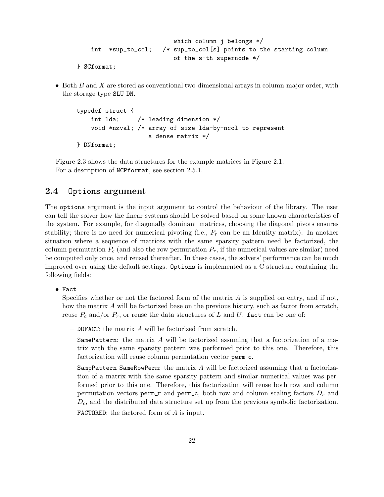```
which column j belongs */
int *sup_to_col; /* sup_to_col[s] points to the starting column
                      of the s-th supernode */
```
- } SCformat;
- Both B and X are stored as conventional two-dimensional arrays in column-major order, with the storage type SLU DN.

```
typedef struct {
    int lda; /* leading dimension */
    void *nzval; /* array of size lda-by-ncol to represent
                    a dense matrix */
} DNformat;
```
Figure 2.3 shows the data structures for the example matrices in Figure 2.1. For a description of NCPformat, see section 2.5.1.

## 2.4 Options argument

The options argument is the input argument to control the behaviour of the library. The user can tell the solver how the linear systems should be solved based on some known characteristics of the system. For example, for diagonally dominant matrices, choosing the diagonal pivots ensures stability; there is no need for numerical pivoting (i.e.,  $P_r$  can be an Identity matrix). In another situation where a sequence of matrices with the same sparsity pattern need be factorized, the column permutation  $P_c$  (and also the row permutation  $P_r$ , if the numerical values are similar) need be computed only once, and reused thereafter. In these cases, the solvers' performance can be much improved over using the default settings. Options is implemented as a C structure containing the following fields:

• Fact

Specifies whether or not the factored form of the matrix  $A$  is supplied on entry, and if not, how the matrix A will be factorized base on the previous history, such as factor from scratch, reuse  $P_c$  and/or  $P_r$ , or reuse the data structures of L and U. fact can be one of:

- DOFACT: the matrix A will be factorized from scratch.
- $-$  SamePattern: the matrix  $A$  will be factorized assuming that a factorization of a matrix with the same sparsity pattern was performed prior to this one. Therefore, this factorization will reuse column permutation vector perm  $c$ .
- SampPattern SameRowPerm: the matrix A will be factorized assuming that a factorization of a matrix with the same sparsity pattern and similar numerical values was performed prior to this one. Therefore, this factorization will reuse both row and column permutation vectors perm  $\mathbf r$  and perm  $\mathbf c$ , both row and column scaling factors  $D_r$  and  $D_c$ , and the distributed data structure set up from the previous symbolic factorization.
- **FACTORED:** the factored form of  $A$  is input.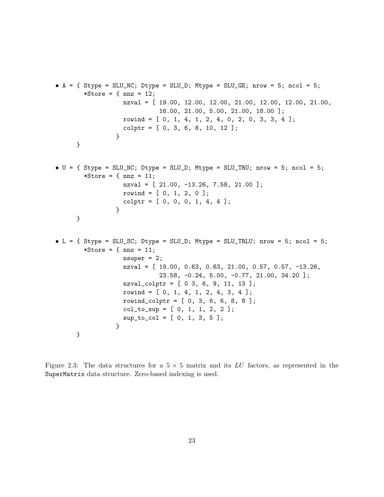```
• A = \{ Stype = SLU_NC; Dtype = SLU_D; Mtype = SLU_GE; nrow = 5; ncol = 5;
       *Store = \{ nnz = 12;
                  nzval = [ 19.00, 12.00, 12.00, 21.00, 12.00, 12.00, 21.00,
                             16.00, 21.00, 5.00, 21.00, 18.00 ];
                  rowind = [ 0, 1, 4, 1, 2, 4, 0, 2, 0, 3, 3, 4 ];
                   colptr = [0, 3, 6, 8, 10, 12];}
     }
\bullet U = { Stype = SLU_NC; Dtype = SLU_D; Mtype = SLU_TRU; nrow = 5; ncol = 5;
       *Store = {max = 11;}nzval = [ 21.00, -13.26, 7.58, 21.00 ];
                  rowind = [0, 1, 2, 0];
                  colptr = [0, 0, 0, 1, 4, 4];}
     }
• L = \{ Stype = SLU_SC; Dtype = SLU_D; Mtype = SLU_TRLU; nrow = 5; ncol = 5;
       *Store = {~} nnz = 11;
                  nsuper = 2;
                  nzval = [ 19.00, 0.63, 0.63, 21.00, 0.57, 0.57, -13.26,
                             23.58, -0.24, 5.00, -0.77, 21.00, 34.20 ];
                  nzval_colptr = [ 0 3, 6, 9, 11, 13 ];
                   rowind = [0, 1, 4, 1, 2, 4, 3, 4];
                   rowind_colptr = [0, 3, 6, 6, 8, 8];
                   col_to_sup = [0, 1, 1, 2, 2];sup_to_col = [0, 1, 3, 5];}
     }
```
Figure 2.3: The data structures for a  $5 \times 5$  matrix and its LU factors, as represented in the SuperMatrix data structure. Zero-based indexing is used.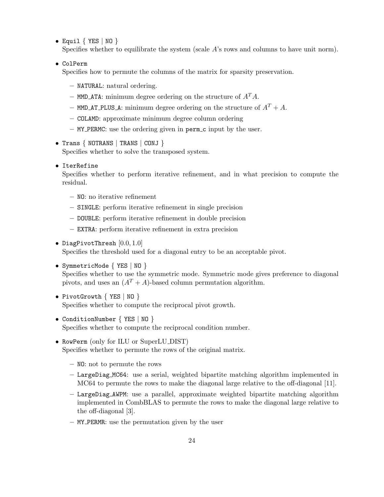• Equil  $\{$  YES  $\|$  NO  $\}$ 

Specifies whether to equilibrate the system (scale  $A$ 's rows and columns to have unit norm).

• ColPerm

Specifies how to permute the columns of the matrix for sparsity preservation.

- NATURAL: natural ordering.
- MMD\_ATA: minimum degree ordering on the structure of  $A<sup>T</sup>A$ .
- MMD\_AT\_PLUS\_A: minimum degree ordering on the structure of  $A<sup>T</sup> + A$ .
- COLAMD: approximate minimum degree column ordering
- MY PERMC: use the ordering given in perm c input by the user.
- Trans { NOTRANS | TRANS | CONJ } Specifies whether to solve the transposed system.
- IterRefine

Specifies whether to perform iterative refinement, and in what precision to compute the residual.

- NO: no iterative refinement
- SINGLE: perform iterative refinement in single precision
- DOUBLE: perform iterative refinement in double precision
- EXTRA: perform iterative refinement in extra precision
- DiagPivotThresh [0.0, 1.0]

Specifies the threshold used for a diagonal entry to be an acceptable pivot.

```
• SymmetricMode { YES | NO }
```
Specifies whether to use the symmetric mode. Symmetric mode gives preference to diagonal pivots, and uses an  $(A^T + A)$ -based column permutation algorithm.

- PivotGrowth { YES | NO } Specifies whether to compute the reciprocal pivot growth.
- ConditionNumber { YES | NO } Specifies whether to compute the reciprocal condition number.
- RowPerm (only for ILU or SuperLU\_DIST) Specifies whether to permute the rows of the original matrix.
	- NO: not to permute the rows
	- LargeDiag MC64: use a serial, weighted bipartite matching algorithm implemented in MC64 to permute the rows to make the diagonal large relative to the off-diagonal [11].
	- LargeDiag AWPM: use a parallel, approximate weighted bipartite matching algorithm implemented in CombBLAS to permute the rows to make the diagonal large relative to the off-diagonal [3].
	- MY PERMR: use the permutation given by the user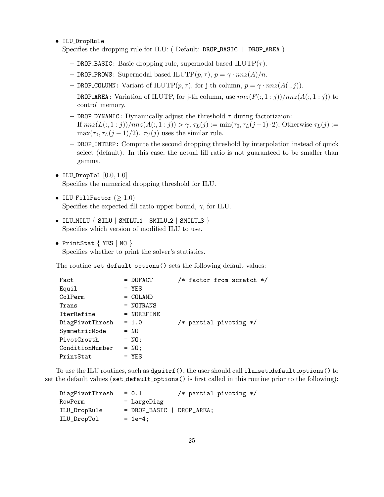• ILU DropRule

Specifies the dropping rule for ILU: ( Default: DROP BASIC | DROP AREA )

- DROP BASIC: Basic dropping rule, supernodal based  $\text{I} \text{L} \text{UTP}(\tau)$ .
- DROP PROWS: Supernodal based ILUTP $(p, \tau)$ ,  $p = \gamma \cdot nnz(A)/n$ .
- DROP COLUMN: Variant of ILUTP $(p, \tau)$ , for j-th column,  $p = \gamma \cdot nnz(A(:,j)).$
- DROP AREA: Variation of ILUTP, for j-th column, use  $nnz(F(:, 1:j))/nnz(A(:, 1:j))$  to control memory.
- DROP DYNAMIC: Dynamically adjust the threshold  $τ$  during factorizaion: If  $nnz(L(:, 1:j))/nnz(A(:, 1:j)) > \gamma$ ,  $\tau_L(j) := min(\tau_0, \tau_L(j-1) \cdot 2)$ ; Otherwise  $\tau_L(j) :=$  $\max(\tau_0, \tau_L(j-1)/2)$ .  $\tau_U(j)$  uses the similar rule.
- DROP INTERP: Compute the second dropping threshold by interpolation instead of quick select (default). In this case, the actual fill ratio is not guaranteed to be smaller than gamma.
- ILU\_DropTol  $[0.0, 1.0]$ Specifies the numerical dropping threshold for ILU.
- ILU\_FillFactor  $(\geq 1.0)$ Specifies the expected fill ratio upper bound,  $\gamma$ , for ILU.
- $\bullet$  ILU\_MILU  $\{$  SILU  $\|$  SMILU\_1  $\|$  SMILU\_2  $\|$  SMILU\_3  $\}$ Specifies which version of modified ILU to use.
- PrintStat { YES | NO } Specifies whether to print the solver's statistics.

The routine set\_default\_options() sets the following default values:

| Fact            | $=$ DOFACT    | /* factor from scratch */ |
|-----------------|---------------|---------------------------|
| Equil           | $=$ YES       |                           |
| ColPerm         | $= COLAMD$    |                           |
| Trans           | = NOTRANS     |                           |
| IterRefine      | $= NOTE$      |                           |
| DiagPivotThresh | $= 1.0$       | /* partial pivoting $*/$  |
| SymmetricMode   | $= NQ$        |                           |
| PivotGrowth     | $= \text{NO}$ |                           |
| ConditionNumber | $= \text{NO}$ |                           |
| PrintStat       | $=$ YES       |                           |

To use the ILU routines, such as  $q$ gsitrf $()$ , the user should call ilu\_set\_default\_options $()$  to set the default values (set\_default\_options() is first called in this routine prior to the following):

| DiagPivotThresh | $= 0.1$                     |  | /* partial pivoting $*/$ |  |
|-----------------|-----------------------------|--|--------------------------|--|
| RowPerm         | = LargeDiag                 |  |                          |  |
| ILU_DropRule    | $= DROP_BASIC$   DROP AREA; |  |                          |  |
| ILU_DropTol     | $= 1e-4$ ;                  |  |                          |  |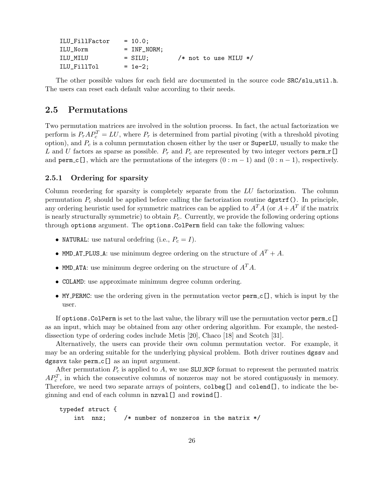| ILU_FillFactor | $= 10.0$ ;    |  |  |                           |  |
|----------------|---------------|--|--|---------------------------|--|
| ILU Norm       | $=$ INF NORM; |  |  |                           |  |
| ILU MILU       | $=$ SILU:     |  |  | $/*$ not to use MILU $*/$ |  |
| ILU FillTol    | $= 1e-2$ ;    |  |  |                           |  |

The other possible values for each field are documented in the source code  $SRC/slu.util.h$ . The users can reset each default value according to their needs.

## 2.5 Permutations

Two permutation matrices are involved in the solution process. In fact, the actual factorization we perform is  $P_r A P_c^T = LU$ , where  $P_r$  is determined from partial pivoting (with a threshold pivoting option), and  $P_c$  is a column permutation chosen either by the user or SuperLU, usually to make the L and U factors as sparse as possible.  $P_r$  and  $P_c$  are represented by two integer vectors perm r[] and perm c[], which are the permutations of the integers  $(0 : m - 1)$  and  $(0 : n - 1)$ , respectively.

#### 2.5.1 Ordering for sparsity

Column reordering for sparsity is completely separate from the LU factorization. The column permutation  $P_c$  should be applied before calling the factorization routine  $\text{dgstrf}($ ). In principle, any ordering heuristic used for symmetric matrices can be applied to  $A<sup>T</sup>A$  (or  $A + A<sup>T</sup>$  if the matrix is nearly structurally symmetric) to obtain  $P_c$ . Currently, we provide the following ordering options through options argument. The options.ColPerm field can take the following values:

- NATURAL: use natural ordefring (i.e.,  $P_c = I$ ).
- MMD AT PLUS A: use minimum degree ordering on the structure of  $A<sup>T</sup> + A$ .
- MMD ATA: use minimum degree ordering on the structure of  $A<sup>T</sup>A$ .
- COLAMD: use approximate minimum degree column ordering.
- MY\_PERMC: use the ordering given in the permutation vector  $\text{perm.c}[\ ]$ , which is input by the user.

If options.ColPerm is set to the last value, the library will use the permutation vector perm c[] as an input, which may be obtained from any other ordering algorithm. For example, the nesteddissection type of ordering codes include Metis [20], Chaco [18] and Scotch [31].

Alternatively, the users can provide their own column permutation vector. For example, it may be an ordering suitable for the underlying physical problem. Both driver routines dgssv and dgssvx take perm c[] as an input argument.

After permutation  $P_c$  is applied to A, we use SLU NCP format to represent the permuted matrix  $AP_c^T$ , in which the consecutive columns of nonzeros may not be stored contiguously in memory. Therefore, we need two separate arrays of pointers, colbeg[] and colend[], to indicate the beginning and end of each column in nzval[] and rowind[].

```
typedef struct {
   int nnz; /* number of nonzeros in the matrix */
```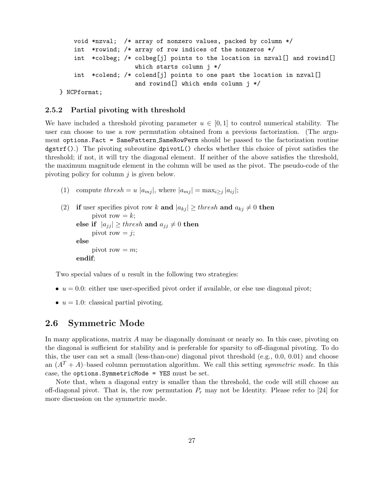```
void *nzval; /* array of nonzero values, packed by column */
    int *rowind; /* array of row indices of the nonzeros */
    int *colbeg; /* colbeg[j] points to the location in nzval[] and rowind[]
                     which starts column j */
    int *colend; /* colend[j] points to one past the location in nzval[]
                     and rowind[] which ends column j */
} NCPformat;
```
#### 2.5.2 Partial pivoting with threshold

We have included a threshold pivoting parameter  $u \in [0,1]$  to control numerical stability. The user can choose to use a row permutation obtained from a previous factorization. (The argument options.Fact = SamePattern SameRowPerm should be passed to the factorization routine  $dgstrf(.)$ ) The pivoting subroutine  $dpivotL()$  checks whether this choice of pivot satisfies the threshold; if not, it will try the diagonal element. If neither of the above satisfies the threshold, the maximum magnitude element in the column will be used as the pivot. The pseudo-code of the pivoting policy for column  $j$  is given below.

(1) compute thresh = u  $|a_{mj}|$ , where  $|a_{mj}| = \max_{i \geq j} |a_{ij}|$ ;

```
(2) if user specifies pivot row k and |a_{ki}| \geq thresh and a_{ki} \neq 0 then
           pivot row =k;
     else if |a_{jj}| \geq thresh and a_{jj} \neq 0 then
           pivot row = j;
     else
           pivot row = m;
     endif;
```
Two special values of u result in the following two strategies:

- $u = 0.0$ : either use user-specified pivot order if available, or else use diagonal pivot;
- $u = 1.0$ : classical partial pivoting.

## 2.6 Symmetric Mode

In many applications, matrix A may be diagonally dominant or nearly so. In this case, pivoting on the diagonal is sufficient for stability and is preferable for sparsity to off-diagonal pivoting. To do this, the user can set a small (less-than-one) diagonal pivot threshold (e.g., 0.0, 0.01) and choose an  $(A^T + A)$ –based column permutation algorithm. We call this setting *symmetric mode*. In this case, the options.SymmetricMode = YES must be set.

Note that, when a diagonal entry is smaller than the threshold, the code will still choose an off-diagonal pivot. That is, the row permutation  $P_r$  may not be Identity. Please refer to [24] for more discussion on the symmetric mode.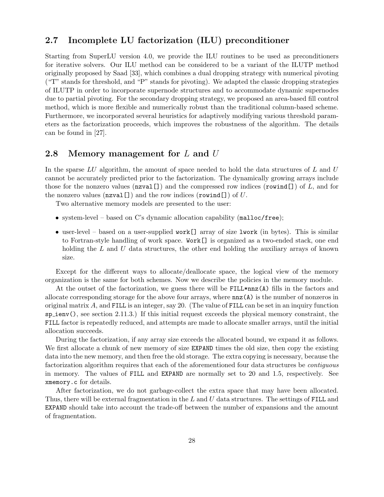## 2.7 Incomplete LU factorization (ILU) preconditioner

Starting from SuperLU version 4.0, we provide the ILU routines to be used as preconditioners for iterative solvers. Our ILU method can be considered to be a variant of the ILUTP method originally proposed by Saad [33], which combines a dual dropping strategy with numerical pivoting ("T" stands for threshold, and "P" stands for pivoting). We adapted the classic dropping strategies of ILUTP in order to incorporate supernode structures and to accommodate dynamic supernodes due to partial pivoting. For the secondary dropping strategy, we proposed an area-based fill control method, which is more flexible and numerically robust than the traditional column-based scheme. Furthermore, we incorporated several heuristics for adaptively modifying various threshold parameters as the factorization proceeds, which improves the robustness of the algorithm. The details can be found in [27].

## 2.8 Memory management for  $L$  and  $U$

In the sparse  $LU$  algorithm, the amount of space needed to hold the data structures of  $L$  and  $U$ cannot be accurately predicted prior to the factorization. The dynamically growing arrays include those for the nonzero values ( $\texttt{nzval}$ []) and the compressed row indices ( $\texttt{rowind}$ []) of L, and for the nonzero values  $(\texttt{nzval}[\cdot])$  and the row indices  $(\texttt{rowind}[\cdot])$  of U.

Two alternative memory models are presented to the user:

- system-level based on C's dynamic allocation capability (malloc/free);
- user-level based on a user-supplied work  $[]$  array of size lwork (in bytes). This is similar to Fortran-style handling of work space. Work[] is organized as a two-ended stack, one end holding the  $L$  and  $U$  data structures, the other end holding the auxiliary arrays of known size.

Except for the different ways to allocate/deallocate space, the logical view of the memory organization is the same for both schemes. Now we describe the policies in the memory module.

At the outset of the factorization, we guess there will be FILL\*nnz(A) fills in the factors and allocate corresponding storage for the above four arrays, where nnz(A) is the number of nonzeros in original matrix A, and FILL is an integer, say 20. (The value of FILL can be set in an inquiry function  $\text{sp}$  ienv(), see section 2.11.3.) If this initial request exceeds the physical memory constraint, the FILL factor is repeatedly reduced, and attempts are made to allocate smaller arrays, until the initial allocation succeeds.

During the factorization, if any array size exceeds the allocated bound, we expand it as follows. We first allocate a chunk of new memory of size EXPAND times the old size, then copy the existing data into the new memory, and then free the old storage. The extra copying is necessary, because the factorization algorithm requires that each of the aforementioned four data structures be contiguous in memory. The values of FILL and EXPAND are normally set to 20 and 1.5, respectively. See xmemory.c for details.

After factorization, we do not garbage-collect the extra space that may have been allocated. Thus, there will be external fragmentation in the  $L$  and  $U$  data structures. The settings of FILL and EXPAND should take into account the trade-off between the number of expansions and the amount of fragmentation.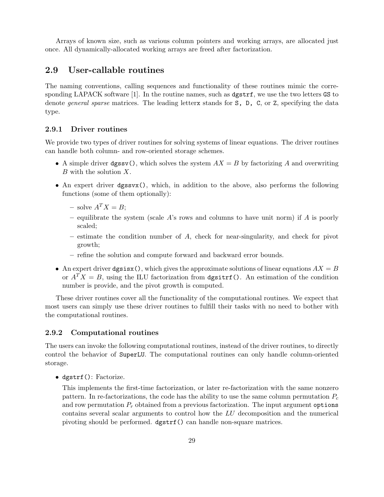Arrays of known size, such as various column pointers and working arrays, are allocated just once. All dynamically-allocated working arrays are freed after factorization.

## 2.9 User-callable routines

The naming conventions, calling sequences and functionality of these routines mimic the corresponding LAPACK software [1]. In the routine names, such as dgstrf, we use the two letters GS to denote *general sparse* matrices. The leading letterx stands for S, D, C, or Z, specifying the data type.

## 2.9.1 Driver routines

We provide two types of driver routines for solving systems of linear equations. The driver routines can handle both column- and row-oriented storage schemes.

- A simple driver dgssv(), which solves the system  $AX = B$  by factorizing A and overwriting B with the solution X.
- An expert driver dgssvx(), which, in addition to the above, also performs the following functions (some of them optionally):
	- solve  $A^T X = B$ ;
	- equilibrate the system (scale  $A$ 's rows and columns to have unit norm) if  $A$  is poorly scaled;
	- $-$  estimate the condition number of  $A$ , check for near-singularity, and check for pivot growth;
	- refine the solution and compute forward and backward error bounds.
- An expert driver dgsisx(), which gives the approximate solutions of linear equations  $AX = B$ or  $A^T X = B$ , using the ILU factorization from dgsitrf(). An estimation of the condition number is provide, and the pivot growth is computed.

These driver routines cover all the functionality of the computational routines. We expect that most users can simply use these driver routines to fulfill their tasks with no need to bother with the computational routines.

### 2.9.2 Computational routines

The users can invoke the following computational routines, instead of the driver routines, to directly control the behavior of SuperLU. The computational routines can only handle column-oriented storage.

• dgstrf(): Factorize.

This implements the first-time factorization, or later re-factorization with the same nonzero pattern. In re-factorizations, the code has the ability to use the same column permutation  $P_c$ and row permutation  $P_r$  obtained from a previous factorization. The input argument options contains several scalar arguments to control how the LU decomposition and the numerical pivoting should be performed. dgstrf() can handle non-square matrices.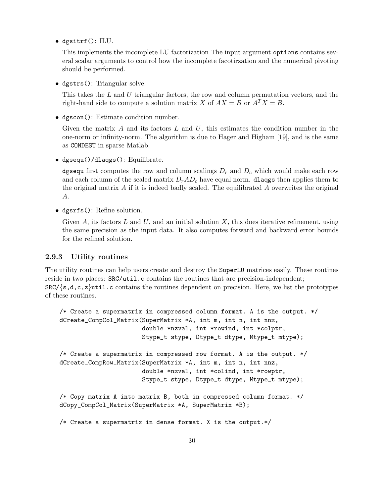• dgsitrf(): ILU.

This implements the incomplete LU factorization The input argument options contains several scalar arguments to control how the incomplete facotirzation and the numerical pivoting should be performed.

• dgstrs(): Triangular solve.

This takes the L and U triangular factors, the row and column permutation vectors, and the right-hand side to compute a solution matrix X of  $AX = B$  or  $A^T X = B$ .

• dgscon(): Estimate condition number.

Given the matrix A and its factors  $L$  and  $U$ , this estimates the condition number in the one-norm or infinity-norm. The algorithm is due to Hager and Higham [19], and is the same as CONDEST in sparse Matlab.

• dgsequ()/dlaqgs(): Equilibrate.

dgsequ first computes the row and column scalings  $D_r$  and  $D_c$  which would make each row and each column of the scaled matrix  $D_rAD_c$  have equal norm. **dlaqgs** then applies them to the original matrix  $A$  if it is indeed badly scaled. The equilibrated  $A$  overwrites the original A.

• dgsrfs(): Refine solution.

Given A, its factors L and U, and an initial solution X, this does iterative refinement, using the same precision as the input data. It also computes forward and backward error bounds for the refined solution.

## 2.9.3 Utility routines

The utility routines can help users create and destroy the SuperLU matrices easily. These routines reside in two places:  $SRC/ttil.c$  contains the routines that are precision-independent;  $SRC/\{s,d,c,z\}$ util.c contains the routines dependent on precision. Here, we list the prototypes of these routines.

```
/* Create a supermatrix in compressed column format. A is the output. */
dCreate_CompCol_Matrix(SuperMatrix *A, int m, int n, int nnz,
                       double *nzval, int *rowind, int *colptr,
                       Stype_t stype, Dtype_t dtype, Mtype_t mtype);
/* Create a supermatrix in compressed row format. A is the output. */
dCreate_CompRow_Matrix(SuperMatrix *A, int m, int n, int nnz,
                       double *nzval, int *colind, int *rowptr,
                       Stype_t stype, Dtype_t dtype, Mtype_t mtype);
/* Copy matrix A into matrix B, both in compressed column format. */
dCopy_CompCol_Matrix(SuperMatrix *A, SuperMatrix *B);
/* Create a supermatrix in dense format. X is the output.*/
```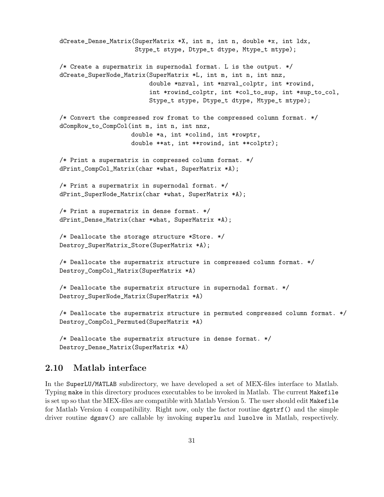```
dCreate_Dense_Matrix(SuperMatrix *X, int m, int n, double *x, int ldx,
                     Stype_t stype, Dtype_t dtype, Mtype_t mtype);
/* Create a supermatrix in supernodal format. L is the output. */
dCreate_SuperNode_Matrix(SuperMatrix *L, int m, int n, int nnz,
                         double *nzval, int *nzval_colptr, int *rowind,
                         int *rowind_colptr, int *col_to_sup, int *sup_to_col,
                         Stype_t stype, Dtype_t dtype, Mtype_t mtype);
/* Convert the compressed row fromat to the compressed column format. */
dCompRow_to_CompCol(int m, int n, int nnz,
                    double *a, int *colind, int *rowptr,
                    double **at, int **rowind, int **colptr);
/* Print a supermatrix in compressed column format. */
dPrint_CompCol_Matrix(char *what, SuperMatrix *A);
/* Print a supermatrix in supernodal format. */
dPrint_SuperNode_Matrix(char *what, SuperMatrix *A);
/* Print a supermatrix in dense format. */
dPrint_Dense_Matrix(char *what, SuperMatrix *A);
/* Deallocate the storage structure *Store. */
Destroy_SuperMatrix_Store(SuperMatrix *A);
/* Deallocate the supermatrix structure in compressed column format. */
Destroy_CompCol_Matrix(SuperMatrix *A)
/* Deallocate the supermatrix structure in supernodal format. */
Destroy_SuperNode_Matrix(SuperMatrix *A)
/* Deallocate the supermatrix structure in permuted compressed column format. */
Destroy_CompCol_Permuted(SuperMatrix *A)
```
/\* Deallocate the supermatrix structure in dense format. \*/ Destroy\_Dense\_Matrix(SuperMatrix \*A)

## 2.10 Matlab interface

In the SuperLU/MATLAB subdirectory, we have developed a set of MEX-files interface to Matlab. Typing make in this directory produces executables to be invoked in Matlab. The current Makefile is set up so that the MEX-files are compatible with Matlab Version 5. The user should edit Makefile for Matlab Version 4 compatibility. Right now, only the factor routine dgstrf() and the simple driver routine dgssv() are callable by invoking superlu and lusolve in Matlab, respectively.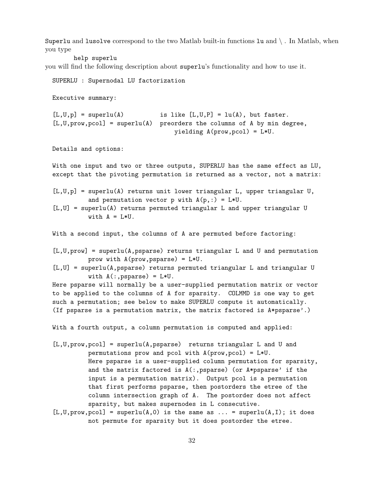Superlu and lusolve correspond to the two Matlab built-in functions  $\mathfrak{u}$  and  $\setminus$ . In Matlab, when you type

help superlu

you will find the following description about superlu's functionality and how to use it.

```
SUPERLU : Supernodal LU factorization
```
Executive summary:

 $[L,U,p] = superlu(A)$  is like  $[L,U,P] = lu(A)$ , but faster.  $[L, U, \text{prov}, \text{pcol}] = \text{superlu}(A)$  preorders the columns of A by min degree, yielding A(prow,pcol) = L\*U.

Details and options:

With one input and two or three outputs, SUPERLU has the same effect as LU, except that the pivoting permutation is returned as a vector, not a matrix:

```
[L,U,p] = superlu(A) returns unit lower triangular L, upper triangular U,
          and permutation vector p with A(p,:) = L*U.
```

```
[L,U] = superlu(A) returns permuted triangular L and upper triangular U
         with A = L*U.
```
With a second input, the columns of A are permuted before factoring:

[L,U,prow] = superlu(A,psparse) returns triangular L and U and permutation prow with A(prow,psparse) = L\*U.

[L,U] = superlu(A,psparse) returns permuted triangular L and triangular U with  $A($ :, psparse) =  $L*U$ .

Here psparse will normally be a user-supplied permutation matrix or vector to be applied to the columns of A for sparsity. COLMMD is one way to get such a permutation; see below to make SUPERLU compute it automatically. (If psparse is a permutation matrix, the matrix factored is A\*psparse'.)

With a fourth output, a column permutation is computed and applied:

- [L,U,prow,pcol] = superlu(A,psparse) returns triangular L and U and permutations prow and pcol with A(prow,pcol) = L\*U. Here psparse is a user-supplied column permutation for sparsity, and the matrix factored is A(:,psparse) (or A\*psparse' if the input is a permutation matrix). Output pcol is a permutation that first performs psparse, then postorders the etree of the column intersection graph of A. The postorder does not affect sparsity, but makes supernodes in L consecutive.
- $[L, U, prov, pcol] = superlu(A, 0)$  is the same as ... = superlu $(A, I)$ ; it does not permute for sparsity but it does postorder the etree.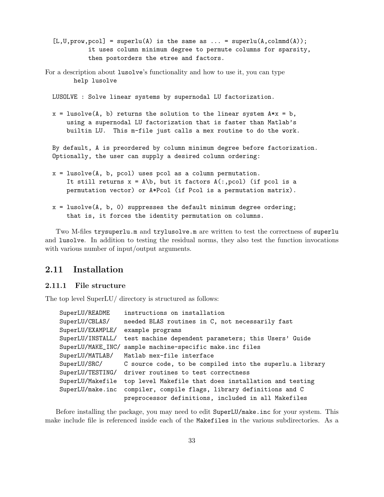- $[L, U, prov, pcol] = superlu(A)$  is the same as ... = superlu $(A, column(A))$ ; it uses column minimum degree to permute columns for sparsity, then postorders the etree and factors.
- For a description about lusolve's functionality and how to use it, you can type help lusolve

LUSOLVE : Solve linear systems by supernodal LU factorization.

 $x = \text{lusolve}(A, b)$  returns the solution to the linear system  $A*x = b$ , using a supernodal LU factorization that is faster than Matlab's builtin LU. This m-file just calls a mex routine to do the work.

By default, A is preordered by column minimum degree before factorization. Optionally, the user can supply a desired column ordering:

- x = lusolve(A, b, pcol) uses pcol as a column permutation. It still returns  $x = A/b$ , but it factors  $A(:, \text{pcol})$  (if pcol is a permutation vector) or A\*Pcol (if Pcol is a permutation matrix).
- $x = \text{lusolve}(A, b, 0)$  suppresses the default minimum degree ordering; that is, it forces the identity permutation on columns.

Two M-files trysuperlu.m and trylusolve.m are written to test the correctness of superlu and lusolve. In addition to testing the residual norms, they also test the function invocations with various number of input/output arguments.

## 2.11 Installation

#### 2.11.1 File structure

The top level SuperLU/ directory is structured as follows:

| SuperLU/README    | instructions on installation                             |
|-------------------|----------------------------------------------------------|
| SuperLU/CBLAS/    | needed BLAS routines in C, not necessarily fast          |
| SuperLU/EXAMPLE/  | example programs                                         |
| SuperLU/INSTALL/  | test machine dependent parameters; this Users' Guide     |
| SuperLU/MAKE_INC/ | sample machine-specific make.inc files                   |
| SuperLU/MATLAB/   | Matlab mex-file interface                                |
| SuperLU/SRC/      | C source code, to be compiled into the superlu.a library |
| SuperLU/TESTING/  | driver routines to test correctness                      |
| SuperLU/Makefile  | top level Makefile that does installation and testing    |
| SuperLU/make.inc  | compiler, compile flags, library definitions and C       |
|                   | preprocessor definitions, included in all Makefiles      |

Before installing the package, you may need to edit SuperLU/make.inc for your system. This make include file is referenced inside each of the Makefiles in the various subdirectories. As a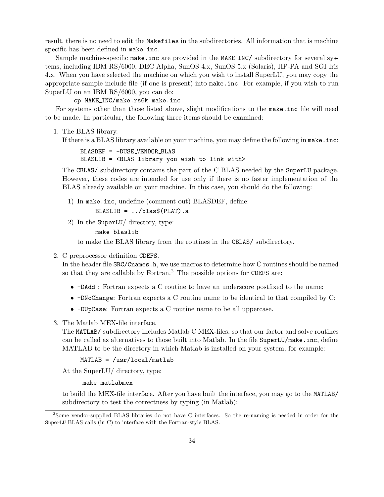result, there is no need to edit the Makefiles in the subdirectories. All information that is machine specific has been defined in make.inc.

Sample machine-specific make.inc are provided in the MAKE\_INC/ subdirectory for several systems, including IBM RS/6000, DEC Alpha, SunOS 4.x, SunOS 5.x (Solaris), HP-PA and SGI Iris 4.x. When you have selected the machine on which you wish to install SuperLU, you may copy the appropriate sample include file (if one is present) into make.inc. For example, if you wish to run SuperLU on an IBM RS/6000, you can do:

cp MAKE INC/make.rs6k make.inc

For systems other than those listed above, slight modifications to the make.inc file will need to be made. In particular, the following three items should be examined:

1. The BLAS library.

If there is a BLAS library available on your machine, you may define the following in make.inc:

BLASDEF = -DUSE VENDOR BLAS BLASLIB = <BLAS library you wish to link with>

The CBLAS/ subdirectory contains the part of the C BLAS needed by the SuperLU package. However, these codes are intended for use only if there is no faster implementation of the BLAS already available on your machine. In this case, you should do the following:

1) In make.inc, undefine (comment out) BLASDEF, define:  $BLASLIB = ../blas$(PLAT).a$ 

2) In the SuperLU/ directory, type:

make blaslib

to make the BLAS library from the routines in the CBLAS/ subdirectory.

2. C preprocessor definition CDEFS.

In the header file SRC/Cnames.h, we use macros to determine how C routines should be named so that they are callable by Fortran.<sup>2</sup> The possible options for CDEFS are:

- -DAdd : Fortran expects a C routine to have an underscore postfixed to the name;
- -DNoChange: Fortran expects a C routine name to be identical to that compiled by C;
- -DUpCase: Fortran expects a C routine name to be all uppercase.
- 3. The Matlab MEX-file interface.

The MATLAB/ subdirectory includes Matlab C MEX-files, so that our factor and solve routines can be called as alternatives to those built into Matlab. In the file SuperLU/make.inc, define MATLAB to be the directory in which Matlab is installed on your system, for example:

## MATLAB = /usr/local/matlab

At the SuperLU/ directory, type:

#### make matlabmex

to build the MEX-file interface. After you have built the interface, you may go to the MATLAB/ subdirectory to test the correctness by typing (in Matlab):

<sup>&</sup>lt;sup>2</sup>Some vendor-supplied BLAS libraries do not have C interfaces. So the re-naming is needed in order for the SuperLU BLAS calls (in C) to interface with the Fortran-style BLAS.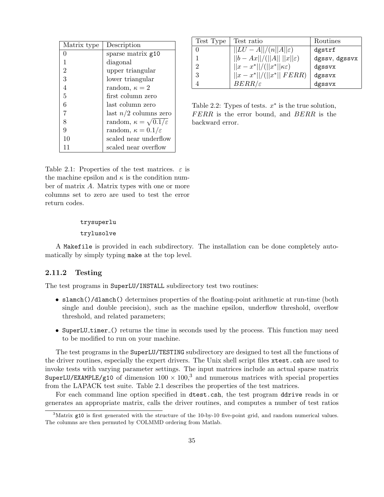| Matrix type    | Description                               |
|----------------|-------------------------------------------|
| 0              | sparse matrix g10                         |
| 1              | diagonal                                  |
| $\overline{2}$ | upper triangular                          |
| 3              | lower triangular                          |
| 4              | random, $\kappa = 2$                      |
| 5              | first column zero                         |
| 6              | last column zero                          |
| 7              | last $n/2$ columns zero                   |
| 8              | random, $\kappa = \sqrt{0.1/\varepsilon}$ |
| 9              | random, $\kappa = 0.1/\varepsilon$        |
| 10             | scaled near underflow                     |
| 11             | scaled near overflow                      |

| Test Type | Test ratio                               | Routines      |
|-----------|------------------------------------------|---------------|
|           | $  LU - A  /(n  A  \varepsilon)$         | dgstrf        |
|           | $  b - Ax   / (  A     x   \varepsilon)$ | dgssv, dgssvx |
| റ         | $  x-x^*  /(  x^*  \kappa\varepsilon) $  | dgssvx        |
| 3         | $  x - x^*   / (  x^*   FERR)$           | dgssvx        |
|           | $BERR/\varepsilon$                       | dgssvx        |

Table 2.2: Types of tests.  $x^*$  is the true solution, FERR is the error bound, and BERR is the backward error.

Table 2.1: Properties of the test matrices.  $\varepsilon$  is the machine epsilon and  $\kappa$  is the condition number of matrix A. Matrix types with one or more columns set to zero are used to test the error return codes.

#### trysuperlu

#### trylusolve

A Makefile is provided in each subdirectory. The installation can be done completely automatically by simply typing make at the top level.

## 2.11.2 Testing

The test programs in SuperLU/INSTALL subdirectory test two routines:

- slamch()/dlamch() determines properties of the floating-point arithmetic at run-time (both single and double precision), such as the machine epsilon, underflow threshold, overflow threshold, and related parameters;
- SuperLU\_timer\_() returns the time in seconds used by the process. This function may need to be modified to run on your machine.

The test programs in the SuperLU/TESTING subdirectory are designed to test all the functions of the driver routines, especially the expert drivers. The Unix shell script files xtest.csh are used to invoke tests with varying parameter settings. The input matrices include an actual sparse matrix SuperLU/EXAMPLE/g10 of dimension  $100 \times 100$ ,<sup>3</sup> and numerous matrices with special properties from the LAPACK test suite. Table 2.1 describes the properties of the test matrices.

For each command line option specified in dtest.csh, the test program ddrive reads in or generates an appropriate matrix, calls the driver routines, and computes a number of test ratios

 $3$ Matrix g10 is first generated with the structure of the 10-by-10 five-point grid, and random numerical values. The columns are then permuted by COLMMD ordering from Matlab.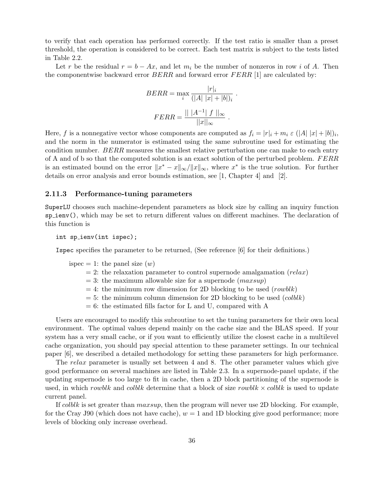to verify that each operation has performed correctly. If the test ratio is smaller than a preset threshold, the operation is considered to be correct. Each test matrix is subject to the tests listed in Table 2.2.

Let r be the residual  $r = b - Ax$ , and let  $m_i$  be the number of nonzeros in row i of A. Then the componentwise backward error  $BERR$  and forward error  $FERR$  [1] are calculated by:

$$
BERR = \max_{i} \frac{|r|_{i}}{(|A| |x| + |b|)_{i}}
$$

$$
FERR = \frac{|| |A^{-1}| |f||_{\infty}}{||x||_{\infty}}.
$$

.

Here, f is a nonnegative vector whose components are computed as  $f_i = |r|_i + m_i \varepsilon (|A| |x| + |b|)_i$ , and the norm in the numerator is estimated using the same subroutine used for estimating the condition number. BERR measures the smallest relative perturbation one can make to each entry of A and of b so that the computed solution is an exact solution of the perturbed problem. FERR is an estimated bound on the error  $||x^* - x||_{\infty}/||x||_{\infty}$ , where  $x^*$  is the true solution. For further details on error analysis and error bounds estimation, see [1, Chapter 4] and [2].

#### 2.11.3 Performance-tuning parameters

SuperLU chooses such machine-dependent parameters as block size by calling an inquiry function sp ienv(), which may be set to return different values on different machines. The declaration of this function is

int sp\_ienv(int ispec);

Ispec specifies the parameter to be returned, (See reference [6] for their definitions.)

ispec = 1: the panel size  $(w)$ 

- $= 2$ : the relaxation parameter to control supernode amalgamation (relax)
- $= 3$ : the maximum allowable size for a supernode (*maxsup*)
- $= 4$ : the minimum row dimension for 2D blocking to be used (rowblk)
- $= 5$ : the minimum column dimension for 2D blocking to be used (colble)
- $= 6$ : the estimated fills factor for L and U, compared with A

Users are encouraged to modify this subroutine to set the tuning parameters for their own local environment. The optimal values depend mainly on the cache size and the BLAS speed. If your system has a very small cache, or if you want to efficiently utilize the closest cache in a multilevel cache organization, you should pay special attention to these parameter settings. In our technical paper [6], we described a detailed methodology for setting these parameters for high performance.

The relax parameter is usually set between 4 and 8. The other parameter values which give good performance on several machines are listed in Table 2.3. In a supernode-panel update, if the updating supernode is too large to fit in cache, then a 2D block partitioning of the supernode is used, in which rowblk and colblk determine that a block of size rowblk  $\times$  colblk is used to update current panel.

If colble is set greater than  $maxsup$ , then the program will never use 2D blocking. For example, for the Cray J90 (which does not have cache),  $w = 1$  and 1D blocking give good performance; more levels of blocking only increase overhead.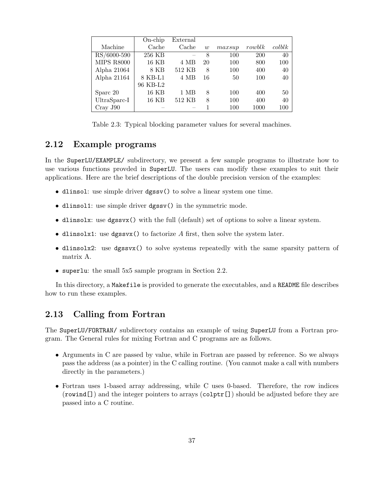|                   | $On-chip$ | External |    |        |            |           |
|-------------------|-----------|----------|----|--------|------------|-----------|
| Machine           | Cache     | Cache    | w  | maxsup | rowblk     | $\cosh k$ |
| RS/6000-590       | 256 KB    |          | 8  | 100    | <b>200</b> | 40        |
| <b>MIPS R8000</b> | 16 KB     | 4 MB     | 20 | 100    | 800        | 100       |
| Alpha $21064$     | 8 KB      | 512 KB   | 8  | 100    | 400        | 40        |
| Alpha 21164       | 8 KB-L1   | 4 MB     | 16 | 50     | 100        | 40        |
|                   | 96 KB-L2  |          |    |        |            |           |
| Sparc 20          | 16 KB     | 1 MB     | 8  | 100    | 400        | 50        |
| UltraSparc-I      | 16 KB     | 512 KB   | 8  | 100    | 400        | 40        |
| Cray J90          |           |          |    | 100    | 1000       | 100       |

Table 2.3: Typical blocking parameter values for several machines.

# 2.12 Example programs

In the SuperLU/EXAMPLE/ subdirectory, we present a few sample programs to illustrate how to use various functions provded in SuperLU. The users can modify these examples to suit their applications. Here are the brief descriptions of the double precision version of the examples:

- dlinsol: use simple driver dgssv() to solve a linear system one time.
- dlinsol1: use simple driver dgssv() in the symmetric mode.
- dlinsolx: use dgssvx() with the full (default) set of options to solve a linear system.
- dlinsolx1: use dgssvx() to factorize  $A$  first, then solve the system later.
- dlinsolx2: use dgssvx() to solve systems repeatedly with the same sparsity pattern of matrix A.
- superlu: the small 5x5 sample program in Section 2.2.

In this directory, a Makefile is provided to generate the executables, and a README file describes how to run these examples.

# 2.13 Calling from Fortran

The SuperLU/FORTRAN/ subdirectory contains an example of using SuperLU from a Fortran program. The General rules for mixing Fortran and C programs are as follows.

- Arguments in C are passed by value, while in Fortran are passed by reference. So we always pass the address (as a pointer) in the C calling routine. (You cannot make a call with numbers directly in the parameters.)
- Fortran uses 1-based array addressing, while C uses 0-based. Therefore, the row indices (rowind  $\Box$ ) and the integer pointers to arrays (colptr $\Box$ ) should be adjusted before they are passed into a C routine.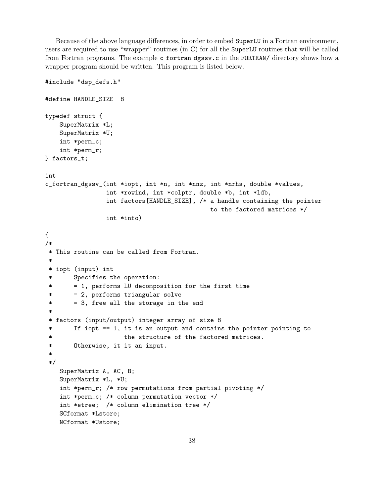Because of the above language differences, in order to embed SuperLU in a Fortran environment, users are required to use "wrapper" routines (in C) for all the SuperLU routines that will be called from Fortran programs. The example c\_fortran\_dgssv.c in the FORTRAN/ directory shows how a wrapper program should be written. This program is listed below.

```
#include "dsp_defs.h"
#define HANDLE_SIZE 8
typedef struct {
   SuperMatrix *L;
   SuperMatrix *U;
   int *perm_c;
   int *perm_r;
} factors_t;
int
c_fortran_dgssv_(int *iopt, int *n, int *nnz, int *nrhs, double *values,
                int *rowind, int *colptr, double *b, int *ldb,
                int factors[HANDLE_SIZE], /* a handle containing the pointer
                                            to the factored matrices */
                int *info)
{
/*
 * This routine can be called from Fortran.
 *
 * iopt (input) int
 * Specifies the operation:
 * = 1, performs LU decomposition for the first time
 * = 2, performs triangular solve
 * = 3, free all the storage in the end
 *
 * factors (input/output) integer array of size 8
 * If iopt == 1, it is an output and contains the pointer pointing to
 * the structure of the factored matrices.
 * Otherwise, it it an input.
 *
 */
   SuperMatrix A, AC, B;
   SuperMatrix *L, *U;
   int *perm_r; /* row permutations from partial pivoting */
   int *perm_c; /* column permutation vector */
   int *etree; /* column elimination tree */
   SCformat *Lstore;
   NCformat *Ustore;
```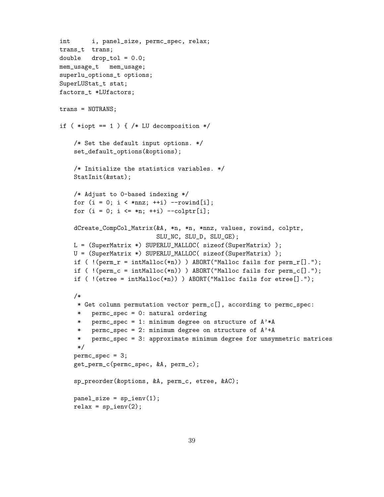```
int i, panel_size, permc_spec, relax;
trans_t trans;
double drop_tol = 0.0;
mem_usage_t mem_usage;
superlu_options_t options;
SuperLUStat_t stat;
factors_t *LUfactors;
trans = NOTRANS;
if (*iopt == 1 ) { /* LU decomposition *//* Set the default input options. */
    set_default_options(&options);
    /* Initialize the statistics variables. */
    StatInit(&stat);
    /* Adjust to 0-based indexing */
    for (i = 0; i < *nnz; ++i) --rowind[i];
    for (i = 0; i \leq *n; ++i) --colptr[i];
    dCreate_CompCol_Matrix(&A, *n, *n, *nnz, values, rowind, colptr,
                           SLU_NC, SLU_D, SLU_GE);
    L = (SuperMatrix *) SUPERLU_MALLOC( sizeof(SuperMatrix) );
    U = (SuperMatrix *) SUPERLU_MALLOC( sizeof(SuperMatrix) );
    if ( !(perm_r = intMalloc(*n)) ) ABORT("Malloc fails for perm_r[].");
    if ( !(perm_c = intMalloc(*n)) ) ABORT("Malloc fails for perm<sub>-</sub>c[].");
    if ( !(\text{etre} = \text{intMalloc}(*n)) ) ABORT("Malloc fails for etree[].");
    /*
     * Get column permutation vector perm_c[], according to permc_spec:
     * permc_spec = 0: natural ordering
     * permc_spec = 1: minimum degree on structure of A'*A
     * permc_spec = 2: minimum degree on structure of A'+A
     * permc_spec = 3: approximate minimum degree for unsymmetric matrices
     */
    permc_spec = 3;
    get_perm_c(permc_spec, &A, perm_c);
    sp_preorder(&options, &A, perm_c, etree, &AC);
    panel_size = sp_ienv(1);relax = sp_ienv(2);
```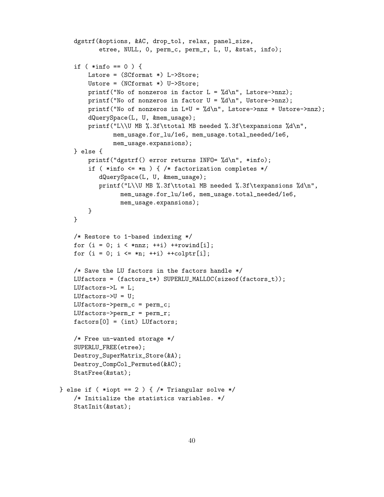```
dgstrf(&options, &AC, drop_tol, relax, panel_size,
           etree, NULL, 0, perm_c, perm_r, L, U, &stat, info);
    if ( *info == 0 ) {
        Lstore = (SCformat *) L->Store;
        Ustore = (NCformat *) U->Store;printf("No of nonzeros in factor L = \frac{\lambda}{\lambda} \cdot \ln \frac{m}{n}, Lstore->nnz);
        printf("No of nonzeros in factor U = \frac{\lambda}{\lambda} \cdot W, Ustore->nnz);
        printf("No of nonzeros in L+U = %d\n", Lstore->nnz + Ustore->nnz);
        dQuerySpace(L, U, &mem_usage);
        printf("L\\U MB %.3f\ttotal MB needed %.3f\texpansions %d\n",
               mem_usage.for_lu/1e6, mem_usage.total_needed/1e6,
               mem_usage.expansions);
    } else {
        printf("dgstrf() error returns INFO= %d\n", *info);
        if ( *info <= *n ) { /* factorization completes */
           dQuerySpace(L, U, &mem_usage);
           printf("L\\U MB %.3f\ttotal MB needed %.3f\texpansions %d\n",
                  mem_usage.for_lu/1e6, mem_usage.total_needed/1e6,
                  mem_usage.expansions);
        }
    }
    /* Restore to 1-based indexing */
    for (i = 0; i < *nnz; ++i) ++round[i];for (i = 0; i \leq m; ++i) + toight[i];/* Save the LU factors in the factors handle */
    LUfactors = (factors_t*) SUPERLU_MALLOC(sizeof(factors_t));
    LUfactors->L = L;
    LUfactors->U = U;LUfactors->perm_c = perm_c;
    LUfactors->perm_r = perm_r;
    factors[0] = (int) LUfactors;
    /* Free un-wanted storage */
    SUPERLU_FREE(etree);
    Destroy_SuperMatrix_Store(&A);
    Destroy_CompCol_Permuted(&AC);
    StatFree(&stat);
} else if ( *iopt == 2 ) { /* Triangular solve */
    /* Initialize the statistics variables. */
    StatInit(&stat);
```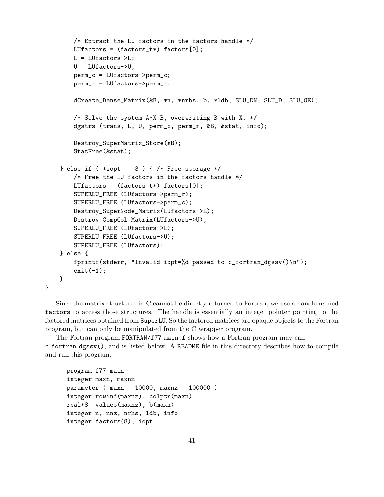```
/* Extract the LU factors in the factors handle */
    LUfactors = (factors_t*) factors[0];
    L = LUfactors - \sum L;U = LUfactors->U;
    perm_c = LUfactors->perm_c;
    perm_r = LUfactors->perm_r;
    dCreate_Dense_Matrix(&B, *n, *nrhs, b, *ldb, SLU_DN, SLU_D, SLU_GE);
    /* Solve the system A*X=B, overwriting B with X. */
    dgstrs (trans, L, U, perm_c, perm_r, &B, &stat, info);
    Destroy_SuperMatrix_Store(&B);
    StatFree(&stat);
} else if ( *iopt == 3 ) { /* Free storage */
    /* Free the LU factors in the factors handle */
    LUfactors = (factors_t*) factors[0];
    SUPERLU_FREE (LUfactors->perm_r);
    SUPERLU_FREE (LUfactors->perm_c);
    Destroy_SuperNode_Matrix(LUfactors->L);
    Destroy_CompCol_Matrix(LUfactors->U);
    SUPERLU_FREE (LUfactors->L);
    SUPERLU_FREE (LUfactors->U);
    SUPERLU_FREE (LUfactors);
} else {
    fprintf(stderr, "Invalid iopt=%d passed to c_f fortran_dgssv()\n");
    exit(-1);
}
```
Since the matrix structures in C cannot be directly returned to Fortran, we use a handle named factors to access those structures. The handle is essentially an integer pointer pointing to the factored matrices obtained from SuperLU. So the factored matrices are opaque objects to the Fortran program, but can only be manipulated from the C wrapper program.

The Fortran program FORTRAN/f77 main.f shows how a Fortran program may call c fortran dgssv(), and is listed below. A README file in this directory describes how to compile and run this program.

```
program f77_main
integer maxn, maxnz
parameter ( maxn = 10000, maxnz = 100000 )
integer rowind(maxnz), colptr(maxn)
real*8 values(maxnz), b(maxn)
integer n, nnz, nrhs, ldb, info
integer factors(8), iopt
```
}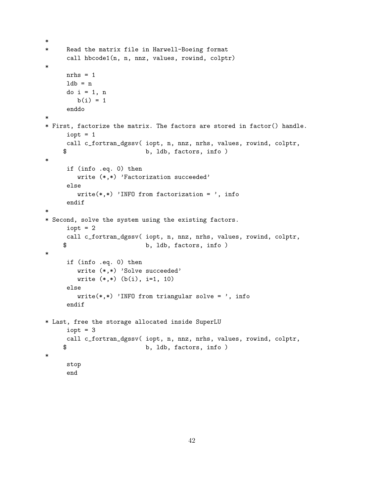```
*
* Read the matrix file in Harwell-Boeing format
     call hbcode1(n, n, nnz, values, rowind, colptr)
*
     nrhs = 11db = ndo i = 1, n
        b(i) = 1enddo
*
* First, factorize the matrix. The factors are stored in factor() handle.
     icall c_fortran_dgssv( iopt, n, nnz, nrhs, values, rowind, colptr,
    $ b, ldb, factors, info )
*
     if (info .eq. 0) then
        write (*,*) 'Factorization succeeded'
     else
        write(*,*) 'INFO from factorization = ', info
     endif
*
* Second, solve the system using the existing factors.
     icall c_fortran_dgssv( iopt, n, nnz, nrhs, values, rowind, colptr,
    $ b, ldb, factors, info )
*
     if (info .eq. 0) then
        write (*,*) 'Solve succeeded'
        write (*,*) (b(i), i=1, 10)
     else
        write(*,*) 'INFO from triangular solve = ', info
     endif
* Last, free the storage allocated inside SuperLU
     icall c_fortran_dgssv( iopt, n, nnz, nrhs, values, rowind, colptr,
    $ b, ldb, factors, info )
*
     stop
     end
```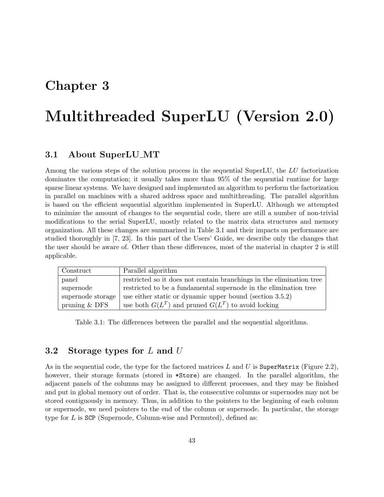# Chapter 3

# Multithreaded SuperLU (Version 2.0)

# 3.1 About SuperLU MT

Among the various steps of the solution process in the sequential SuperLU, the LU factorization dominates the computation; it usually takes more than 95% of the sequential runtime for large sparse linear systems. We have designed and implemented an algorithm to perform the factorization in parallel on machines with a shared address space and multithreading. The parallel algorithm is based on the efficient sequential algorithm implemented in SuperLU. Although we attempted to minimize the amount of changes to the sequential code, there are still a number of non-trivial modifications to the serial SuperLU, mostly related to the matrix data structures and memory organization. All these changes are summarized in Table 3.1 and their impacts on performance are studied thoroughly in [7, 23]. In this part of the Users' Guide, we describe only the changes that the user should be aware of. Other than these differences, most of the material in chapter 2 is still applicable.

| Construct         | Parallel algorithm                                                   |
|-------------------|----------------------------------------------------------------------|
| panel             | restricted so it does not contain branchings in the elimination tree |
| supernode         | restricted to be a fundamental supernode in the elimination tree     |
| supernode storage | use either static or dynamic upper bound (section $3.5.2$ )          |
| pruning $&$ DFS   | use both $G(L^T)$ and pruned $G(L^T)$ to avoid locking               |

Table 3.1: The differences between the parallel and the sequential algorithms.

# 3.2 Storage types for L and U

As in the sequential code, the type for the factored matrices L and U is SuperMatrix (Figure 2.2), however, their storage formats (stored in \*Store) are changed. In the parallel algorithm, the adjacent panels of the columns may be assigned to different processes, and they may be finished and put in global memory out of order. That is, the consecutive columns or supernodes may not be stored contiguously in memory. Thus, in addition to the pointers to the beginning of each column or supernode, we need pointers to the end of the column or supernode. In particular, the storage type for  $L$  is SCP (Supernode, Column-wise and Permuted), defined as: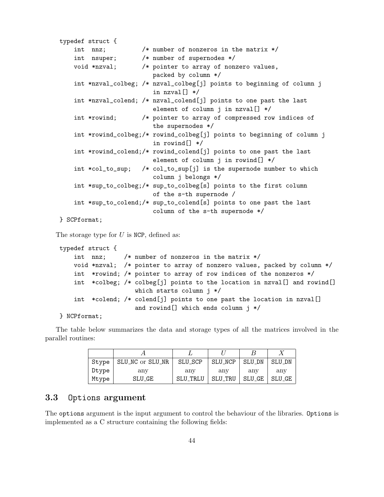```
typedef struct {
   int nnz; /* number of nonzeros in the matrix */
   int nsuper; /* number of supernodes */
   void *nzval; /* pointer to array of nonzero values,
                         packed by column */
    int *nzval_colbeg; /* nzval_colbeg[j] points to beginning of column j
                         in nzval[] */
    int *nzval_colend; /* nzval_colend[j] points to one past the last
                         element of column j in nzval[] */
    int *rowind; /* pointer to array of compressed row indices of
                         the supernodes */
    int *rowind_colbeg;/* rowind_colbeg[j] points to beginning of column j
                         in rowind[] */
    int *rowind_colend;/* rowind_colend[j] points to one past the last
                         element of column j in rowind[] */
    int *col_to_sup; /* col_to_sup[j] is the supernode number to which
                         column j belongs */
    int *sup_to_colbeg;/* sup_to_colbeg[s] points to the first column
                         of the s-th supernode /
    int *sup_to_colend;/* sup_to_colend[s] points to one past the last
                         column of the s-th supernode */
} SCPformat;
```
The storage type for  $U$  is NCP, defined as:

```
typedef struct {
    int nnz; /* number of nonzeros in the matrix */
    void *nzval; /* pointer to array of nonzero values, packed by column */
    int *rowind; /* pointer to array of row indices of the nonzeros */
    int *colbeg; /* colbeg[j] points to the location in nzval[] and rowind[]
                    which starts column j */
    int *colend; /* colend[j] points to one past the location in nzval[]
                    and rowind[] which ends column j */
```
#### } NCPformat;

The table below summarizes the data and storage types of all the matrices involved in the parallel routines:

| Stype | SLU_NC or SLU_NR | SLU_SCP    | SLU_NCP    | SLU_DN | SLU_DN |
|-------|------------------|------------|------------|--------|--------|
| Dtype | any              | $\rm{any}$ | $\rm{any}$ | anv    | any    |
| Mtype | SLU_GE           | SLU_TRLU   | SLU_TRU    | SLU_GE | SLU GE |

## 3.3 Options argument

The options argument is the input argument to control the behaviour of the libraries. Options is implemented as a C structure containing the following fields: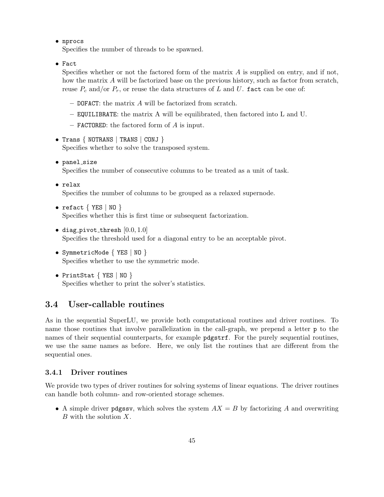• nprocs

Specifies the number of threads to be spawned.

• Fact

Specifies whether or not the factored form of the matrix  $A$  is supplied on entry, and if not, how the matrix A will be factorized base on the previous history, such as factor from scratch, reuse  $P_c$  and/or  $P_r$ , or reuse the data structures of L and U. fact can be one of:

- $-$  DOFACT: the matrix  $A$  will be factorized from scratch.
- EQUILIBRATE: the matrix A will be equilibrated, then factored into L and U.
- $-$  **FACTORED:** the factored form of A is input.

• Trans { NOTRANS | TRANS | CONJ } Specifies whether to solve the transposed system.

- panel\_size Specifies the number of consecutive columns to be treated as a unit of task.
- relax

Specifies the number of columns to be grouped as a relaxed supernode.

- refact  $\{$  YES  $\|$  NO  $\}$ Specifies whether this is first time or subsequent factorization.
- diag\_pivot\_thresh  $[0.0, 1.0]$ Specifies the threshold used for a diagonal entry to be an acceptable pivot.
- SymmetricMode { YES | NO } Specifies whether to use the symmetric mode.
- PrintStat  $\{$  YES  $\|$  NO  $\}$ Specifies whether to print the solver's statistics.

# 3.4 User-callable routines

As in the sequential SuperLU, we provide both computational routines and driver routines. To name those routines that involve parallelization in the call-graph, we prepend a letter **p** to the names of their sequential counterparts, for example pdgstrf. For the purely sequential routines, we use the same names as before. Here, we only list the routines that are different from the sequential ones.

#### 3.4.1 Driver routines

We provide two types of driver routines for solving systems of linear equations. The driver routines can handle both column- and row-oriented storage schemes.

• A simple driver pdgssv, which solves the system  $AX = B$  by factorizing A and overwriting B with the solution X.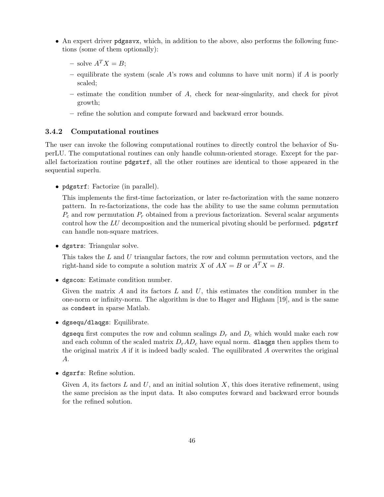- An expert driver pdgssvx, which, in addition to the above, also performs the following functions (some of them optionally):
	- solve  $A^T X = B$ ;
	- equilibrate the system (scale A's rows and columns to have unit norm) if A is poorly scaled;
	- estimate the condition number of A, check for near-singularity, and check for pivot growth;
	- refine the solution and compute forward and backward error bounds.

#### 3.4.2 Computational routines

The user can invoke the following computational routines to directly control the behavior of SuperLU. The computational routines can only handle column-oriented storage. Except for the parallel factorization routine pdgstrf, all the other routines are identical to those appeared in the sequential superlu.

• pdgstrf: Factorize (in parallel).

This implements the first-time factorization, or later re-factorization with the same nonzero pattern. In re-factorizations, the code has the ability to use the same column permutation  $P_c$  and row permutation  $P_r$  obtained from a previous factorization. Several scalar arguments control how the  $LU$  decomposition and the numerical pivoting should be performed.  $p$ dgstrf can handle non-square matrices.

• dgstrs: Triangular solve.

This takes the  $L$  and  $U$  triangular factors, the row and column permutation vectors, and the right-hand side to compute a solution matrix X of  $AX = B$  or  $A^T X = B$ .

• dgscon: Estimate condition number.

Given the matrix A and its factors  $L$  and  $U$ , this estimates the condition number in the one-norm or infinity-norm. The algorithm is due to Hager and Higham [19], and is the same as condest in sparse Matlab.

• dgsequ/dlaqgs: Equilibrate.

dgsequ first computes the row and column scalings  $D_r$  and  $D_c$  which would make each row and each column of the scaled matrix  $D_rAD_c$  have equal norm. **dlaqgs** then applies them to the original matrix A if it is indeed badly scaled. The equilibrated A overwrites the original A.

• dgsrfs: Refine solution.

Given A, its factors L and U, and an initial solution X, this does iterative refinement, using the same precision as the input data. It also computes forward and backward error bounds for the refined solution.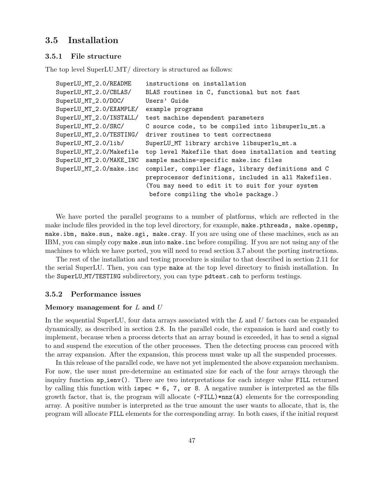# 3.5 Installation

#### 3.5.1 File structure

The top level SuperLU\_MT/ directory is structured as follows:

```
SuperLU_MT_2.0/README instructions on installation
SuperLU_MT_2.0/CBLAS/ BLAS routines in C, functional but not fast
SuperLU_MT_2.0/DOC/ Users' Guide
SuperLU_MT_2.0/EXAMPLE/ example programs
SuperLU_MT_2.0/INSTALL/ test machine dependent parameters
SuperLU_MT_2.0/SRC/ C source code, to be compiled into libsuperlu_mt.a
SuperLU_MT_2.0/TESTING/ driver routines to test correctness
SuperLU_MT_2.0/lib/ SuperLU_MT library archive libsuperlu_mt.a
SuperLU_MT_2.0/Makefile top level Makefile that does installation and testing
SuperLU_MT_2.0/MAKE_INC sample machine-specific make.inc files
SuperLU_MT_2.0/make.inc compiler, compiler flags, library definitions and C
                        preprocessor definitions, included in all Makefiles.
                        (You may need to edit it to suit for your system
                         before compiling the whole package.)
```
We have ported the parallel programs to a number of platforms, which are reflected in the make include files provided in the top level directory, for example, make.pthreads, make.openmp, make.ibm, make.sun, make.sgi, make.cray. If you are using one of these machines, such as an IBM, you can simply copy make. sun into make. inc before compiling. If you are not using any of the machines to which we have ported, you will need to read section 3.7 about the porting instructions.

The rest of the installation and testing procedure is similar to that described in section 2.11 for the serial SuperLU. Then, you can type make at the top level directory to finish installation. In the SuperLU MT/TESTING subdirectory, you can type pdtest.csh to perform testings.

#### 3.5.2 Performance issues

#### Memory management for  $L$  and  $U$

In the sequential SuperLU, four data arrays associated with the  $L$  and  $U$  factors can be expanded dynamically, as described in section 2.8. In the parallel code, the expansion is hard and costly to implement, because when a process detects that an array bound is exceeded, it has to send a signal to and suspend the execution of the other processes. Then the detecting process can proceed with the array expansion. After the expansion, this process must wake up all the suspended processes.

In this release of the parallel code, we have not yet implemented the above expansion mechanism. For now, the user must pre-determine an estimated size for each of the four arrays through the inquiry function sp ienv(). There are two interpretations for each integer value FILL returned by calling this function with  $ispec = 6, 7, or 8$ . A negative number is interpreted as the fills growth factor, that is, the program will allocate  $(-FILL)*nnz(A)$  elements for the corresponding array. A positive number is interpreted as the true amount the user wants to allocate, that is, the program will allocate FILL elements for the corresponding array. In both cases, if the initial request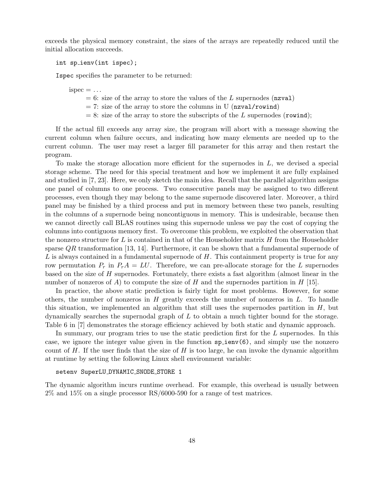exceeds the physical memory constraint, the sizes of the arrays are repeatedly reduced until the initial allocation succeeds.

int sp ienv(int ispec);

Ispec specifies the parameter to be returned:

 $ispec = \ldots$ 

- $= 6$ : size of the array to store the values of the L supernodes (nzval)
- $= 7$ : size of the array to store the columns in U (nzval/rowind)
- $= 8$ : size of the array to store the subscripts of the L supernodes (rowind);

If the actual fill exceeds any array size, the program will abort with a message showing the current column when failure occurs, and indicating how many elements are needed up to the current column. The user may reset a larger fill parameter for this array and then restart the program.

To make the storage allocation more efficient for the supernodes in L, we devised a special storage scheme. The need for this special treatment and how we implement it are fully explained and studied in [7, 23]. Here, we only sketch the main idea. Recall that the parallel algorithm assigns one panel of columns to one process. Two consecutive panels may be assigned to two different processes, even though they may belong to the same supernode discovered later. Moreover, a third panel may be finished by a third process and put in memory between these two panels, resulting in the columns of a supernode being noncontiguous in memory. This is undesirable, because then we cannot directly call BLAS routines using this supernode unless we pay the cost of copying the columns into contiguous memory first. To overcome this problem, we exploited the observation that the nonzero structure for L is contained in that of the Householder matrix  $H$  from the Householder sparse  $QR$  transformation [13, 14]. Furthermore, it can be shown that a fundamental supernode of  $L$  is always contained in a fundamental supernode of  $H$ . This containment property is true for any row permutation  $P_r$  in  $P_rA = LU$ . Therefore, we can pre-allocate storage for the L supernodes based on the size of H supernodes. Fortunately, there exists a fast algorithm (almost linear in the number of nonzeros of A) to compute the size of H and the supernodes partition in H [15].

In practice, the above static prediction is fairly tight for most problems. However, for some others, the number of nonzeros in  $H$  greatly exceeds the number of nonzeros in  $L$ . To handle this situation, we implemented an algorithm that still uses the supernodes partition in  $H$ , but dynamically searches the supernodal graph of L to obtain a much tighter bound for the storage. Table 6 in [7] demonstrates the storage efficiency achieved by both static and dynamic approach.

In summary, our program tries to use the static prediction first for the L supernodes. In this case, we ignore the integer value given in the function sp ienv(6), and simply use the nonzero count of H. If the user finds that the size of H is too large, he can invoke the dynamic algorithm at runtime by setting the following Linux shell environment variable:

#### setenv SuperLU DYNAMIC SNODE STORE 1

The dynamic algorithm incurs runtime overhead. For example, this overhead is usually between 2% and 15% on a single processor RS/6000-590 for a range of test matrices.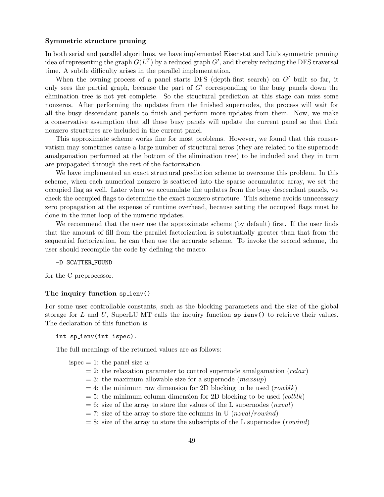#### Symmetric structure pruning

In both serial and parallel algorithms, we have implemented Eisenstat and Liu's symmetric pruning idea of representing the graph  $G(L^T)$  by a reduced graph  $G'$ , and thereby reducing the DFS traversal time. A subtle difficulty arises in the parallel implementation.

When the owning process of a panel starts DFS (depth-first search) on  $G'$  built so far, it only sees the partial graph, because the part of  $G'$  corresponding to the busy panels down the elimination tree is not yet complete. So the structural prediction at this stage can miss some nonzeros. After performing the updates from the finished supernodes, the process will wait for all the busy descendant panels to finish and perform more updates from them. Now, we make a conservative assumption that all these busy panels will update the current panel so that their nonzero structures are included in the current panel.

This approximate scheme works fine for most problems. However, we found that this conservatism may sometimes cause a large number of structural zeros (they are related to the supernode amalgamation performed at the bottom of the elimination tree) to be included and they in turn are propagated through the rest of the factorization.

We have implemented an exact structural prediction scheme to overcome this problem. In this scheme, when each numerical nonzero is scattered into the sparse accumulator array, we set the occupied flag as well. Later when we accumulate the updates from the busy descendant panels, we check the occupied flags to determine the exact nonzero structure. This scheme avoids unnecessary zero propagation at the expense of runtime overhead, because setting the occupied flags must be done in the inner loop of the numeric updates.

We recommend that the user use the approximate scheme (by default) first. If the user finds that the amount of fill from the parallel factorization is substantially greater than that from the sequential factorization, he can then use the accurate scheme. To invoke the second scheme, the user should recompile the code by defining the macro:

#### -D SCATTER FOUND

for the C preprocessor.

#### The inquiry function sp\_ienv()

For some user controllable constants, such as the blocking parameters and the size of the global storage for L and U, SuperLU MT calls the inquiry function  $\text{sp}$  ienv() to retrieve their values. The declaration of this function is

int sp\_ienv(int ispec).

The full meanings of the returned values are as follows:

ispec  $= 1$ : the panel size w

- $= 2$ : the relaxation parameter to control supernode amalgamation (relax)
- $= 3$ : the maximum allowable size for a supernode (*maxsup*)
- $= 4$ : the minimum row dimension for 2D blocking to be used (rowblk)
- $= 5$ : the minimum column dimension for 2D blocking to be used (colblk)
- $= 6$ : size of the array to store the values of the L supernodes (nzval)
- $= 7:$  size of the array to store the columns in U (nzval/rowind)
- $= 8$ : size of the array to store the subscripts of the L supernodes (rowind)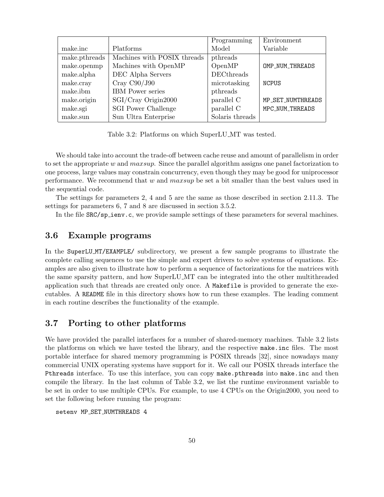|               |                             | Programming       | Environment       |
|---------------|-----------------------------|-------------------|-------------------|
| make.inc      | Platforms                   | Model             | Variable          |
| make.pthreads | Machines with POSIX threads | pthreads          |                   |
| make.openmp   | Machines with OpenMP        | OpenMP            | OMP_NUM_THREADS   |
| make.alpha    | DEC Alpha Servers           | <b>DECthreads</b> |                   |
| make.cray     | Cray C90/J90                | microtasking      | <b>NCPUS</b>      |
| make.ibm      | <b>IBM</b> Power series     | pthreads          |                   |
| make.origin   | SGI/Cray Origin2000         | parallel C        | MP_SET_NUMTHREADS |
| make.sgi      | <b>SGI Power Challenge</b>  | parallel C        | MPC_NUM_THREADS   |
| make.sun      | Sun Ultra Enterprise        | Solaris threads   |                   |

Table 3.2: Platforms on which SuperLU MT was tested.

We should take into account the trade-off between cache reuse and amount of parallelism in order to set the appropriate w and  $maxsup$ . Since the parallel algorithm assigns one panel factorization to one process, large values may constrain concurrency, even though they may be good for uniprocessor performance. We recommend that  $w$  and  $maxsup$  be set a bit smaller than the best values used in the sequential code.

The settings for parameters 2, 4 and 5 are the same as those described in section 2.11.3. The settings for parameters 6, 7 and 8 are discussed in section 3.5.2.

In the file  $SRC/sp\_ienv.c$ , we provide sample settings of these parameters for several machines.

# 3.6 Example programs

In the SuperLU MT/EXAMPLE/ subdirectory, we present a few sample programs to illustrate the complete calling sequences to use the simple and expert drivers to solve systems of equations. Examples are also given to illustrate how to perform a sequence of factorizations for the matrices with the same sparsity pattern, and how SuperLU MT can be integrated into the other multithreaded application such that threads are created only once. A Makefile is provided to generate the executables. A README file in this directory shows how to run these examples. The leading comment in each routine describes the functionality of the example.

# 3.7 Porting to other platforms

We have provided the parallel interfaces for a number of shared-memory machines. Table 3.2 lists the platforms on which we have tested the library, and the respective make.inc files. The most portable interface for shared memory programming is POSIX threads [32], since nowadays many commercial UNIX operating systems have support for it. We call our POSIX threads interface the Pthreads interface. To use this interface, you can copy make.pthreads into make.inc and then compile the library. In the last column of Table 3.2, we list the runtime environment variable to be set in order to use multiple CPUs. For example, to use 4 CPUs on the Origin2000, you need to set the following before running the program:

setenv MP SET NUMTHREADS 4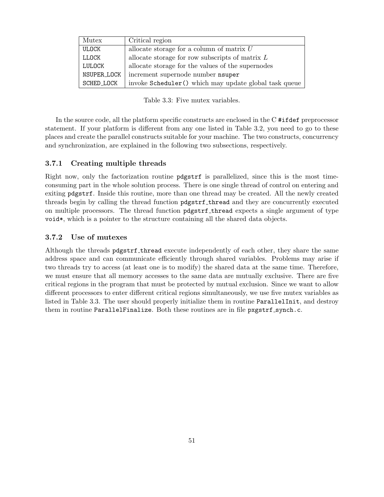| Mutex         | Critical region                                        |
|---------------|--------------------------------------------------------|
| ULOCK         | allocate storage for a column of matrix $U$            |
| LLOCK         | allocate storage for row subscripts of matrix $L$      |
| <b>LULOCK</b> | allocate storage for the values of the supernodes      |
| NSUPER_LOCK   | increment supernode number nsuper                      |
| SCHED LOCK    | invoke Scheduler () which may update global task queue |

Table 3.3: Five mutex variables.

In the source code, all the platform specific constructs are enclosed in the C #ifdef preprocessor statement. If your platform is different from any one listed in Table 3.2, you need to go to these places and create the parallel constructs suitable for your machine. The two constructs, concurrency and synchronization, are explained in the following two subsections, respectively.

#### 3.7.1 Creating multiple threads

Right now, only the factorization routine pdgstrf is parallelized, since this is the most timeconsuming part in the whole solution process. There is one single thread of control on entering and exiting pdgstrf. Inside this routine, more than one thread may be created. All the newly created threads begin by calling the thread function  $\beta$ dgstrf\_thread and they are concurrently executed on multiple processors. The thread function pdgstrf thread expects a single argument of type void\*, which is a pointer to the structure containing all the shared data objects.

#### 3.7.2 Use of mutexes

Although the threads pdgstrf thread execute independently of each other, they share the same address space and can communicate efficiently through shared variables. Problems may arise if two threads try to access (at least one is to modify) the shared data at the same time. Therefore, we must ensure that all memory accesses to the same data are mutually exclusive. There are five critical regions in the program that must be protected by mutual exclusion. Since we want to allow different processors to enter different critical regions simultaneously, we use five mutex variables as listed in Table 3.3. The user should properly initialize them in routine ParallelInit, and destroy them in routine ParallelFinalize. Both these routines are in file pxgstrf\_synch.c.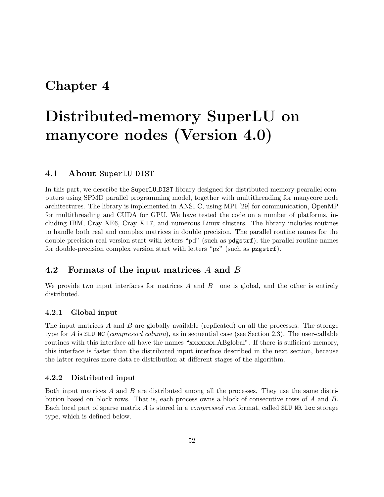# Chapter 4

# Distributed-memory SuperLU on manycore nodes (Version 4.0)

# 4.1 About SuperLU DIST

In this part, we describe the SuperLU DIST library designed for distributed-memory pearallel computers using SPMD parallel programming model, together with multithreading for manycore node architectures. The library is implemented in ANSI C, using MPI [29] for communication, OpenMP for multithreading and CUDA for GPU. We have tested the code on a number of platforms, including IBM, Cray XE6, Cray XT7, and numerous Linux clusters. The library includes routines to handle both real and complex matrices in double precision. The parallel routine names for the double-precision real version start with letters "pd" (such as pdgstrf); the parallel routine names for double-precision complex version start with letters "pz" (such as pzgstrf).

# 4.2 Formats of the input matrices A and B

We provide two input interfaces for matrices  $A$  and  $B$ —one is global, and the other is entirely distributed.

#### 4.2.1 Global input

The input matrices  $A$  and  $B$  are globally available (replicated) on all the processes. The storage type for A is SLUNC (*compressed column*), as in sequential case (see Section 2.3). The user-callable routines with this interface all have the names "xxxxxxx ABglobal". If there is sufficient memory, this interface is faster than the distributed input interface described in the next section, because the latter requires more data re-distribution at different stages of the algorithm.

#### 4.2.2 Distributed input

Both input matrices  $A$  and  $B$  are distributed among all the processes. They use the same distribution based on block rows. That is, each process owns a block of consecutive rows of A and B. Each local part of sparse matrix  $\vec{A}$  is stored in a *compressed row* format, called SLU<sub>NR</sub> loc storage type, which is defined below.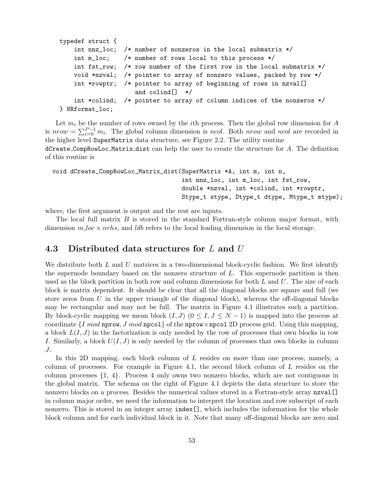```
typedef struct {
    int nnz_loc; /* number of nonzeros in the local submatrix */
    int m_loc; /* number of rows local to this process */
    int fst_row; /* row number of the first row in the local submatrix */void *nzval; /* pointer to array of nonzero values, packed by row */
    int *rowptr; /* pointer to array of beginning of rows in nzval[]
                    and colind[] */
    int *colind; /* pointer to array of column indices of the nonzeros */
} NRformat_loc;
```
Let  $m_i$  be the number of rows owned by the *i*th process. Then the global row dimension for A is  $nrow = \sum_{i=0}^{P-1} m_i$ . The global column dimension is ncol. Both nrow and ncol are recorded in the higher level SuperMatrix data structure, see Figure 2.2. The utility routine  $d$ Create CompRowLoc Matrix dist can help the user to create the structure for  $A$ . The definition of this routine is

```
void dCreate_CompRowLoc_Matrix_dist(SuperMatrix *A, int m, int n,
                                    int nnz_loc, int m_loc, int fst_row,
                                    double *nzval, int *colind, int *rowptr,
                                    Stype_t stype, Dtype_t dtype, Mtype_t mtype);
```
where, the first argument is output and the rest are inputs.

The local full matrix  $B$  is stored in the standard Fortran-style column major format, with dimension  $m\Delta c \times nr$  hs, and ldb refers to the local leading dimension in the local storage.

## 4.3 Distributed data structures for  $L$  and  $U$

We distribute both  $L$  and  $U$  matrices in a two-dimensional block-cyclic fashion. We first identify the supernode boundary based on the nonzero structure of  $L$ . This supernode partition is then used as the block partition in both row and column dimensions for both  $L$  and  $U$ . The size of each block is matrix dependent. It should be clear that all the diagonal blocks are square and full (we store zeros from  $U$  in the upper triangle of the diagonal block), whereas the off-diagonal blocks may be rectangular and may not be full. The matrix in Figure 4.1 illustrates such a partition. By block-cyclic mapping we mean block  $(I, J)$   $(0 \leq I, J \leq N - 1)$  is mapped into the process at coordinate  $\{I \mod \text{nprow}, J \mod \text{npcol}\}\$  of the nprow  $\times$  npcol 2D process grid. Using this mapping, a block  $L(I, J)$  in the factorization is only needed by the row of processes that own blocks in row I. Similarly, a block  $U(I, J)$  is only needed by the column of processes that own blocks in column J.

In this 2D mapping, each block column of L resides on more than one process, namely, a column of processes. For example in Figure 4.1, the second block column of  $L$  resides on the column processes {1, 4}. Process 4 only owns two nonzero blocks, which are not contiguous in the global matrix. The schema on the right of Figure 4.1 depicts the data structure to store the nonzero blocks on a process. Besides the numerical values stored in a Fortran-style array nzval. in column major order, we need the information to interpret the location and row subscript of each nonzero. This is stored in an integer array  $\text{index}[]$ , which includes the information for the whole block column and for each individual block in it. Note that many off-diagonal blocks are zero and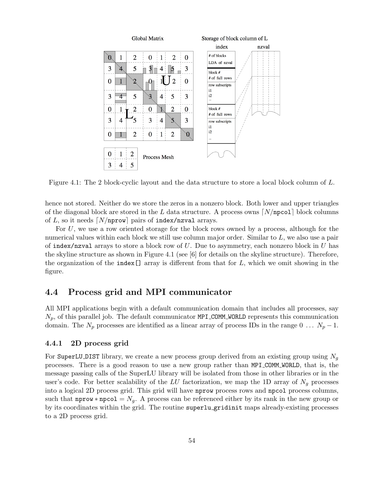

Figure 4.1: The 2 block-cyclic layout and the data structure to store a local block column of L.

hence not stored. Neither do we store the zeros in a nonzero block. Both lower and upper triangles of the diagonal block are stored in the L data structure. A process owns  $N/npc01$  block columns of L, so it needs  $\lfloor N/nprow \rfloor$  pairs of index/nzval arrays.

For  $U$ , we use a row oriented storage for the block rows owned by a process, although for the numerical values within each block we still use column major order. Similar to L, we also use a pair of index/nzval arrays to store a block row of  $U$ . Due to asymmetry, each nonzero block in  $U$  has the skyline structure as shown in Figure 4.1 (see [6] for details on the skyline structure). Therefore, the organization of the index  $[]$  array is different from that for  $L$ , which we omit showing in the figure.

# 4.4 Process grid and MPI communicator

All MPI applications begin with a default communication domain that includes all processes, say  $N_p$ , of this parallel job. The default communicator MPI\_COMM\_WORLD represents this communication domain. The  $N_p$  processes are identified as a linear array of process IDs in the range 0 ...  $N_p - 1$ .

#### 4.4.1 2D process grid

For SuperLU DIST library, we create a new process group derived from an existing group using  $N_q$ processes. There is a good reason to use a new group rather than MPI COMM WORLD, that is, the message passing calls of the SuperLU library will be isolated from those in other libraries or in the user's code. For better scalability of the LU factorization, we map the 1D array of  $N_g$  processes into a logical 2D process grid. This grid will have nprow process rows and npcol process columns, such that nprow \* npcol =  $N_g$ . A process can be referenced either by its rank in the new group or by its coordinates within the grid. The routine superlu gridinit maps already-existing processes to a 2D process grid.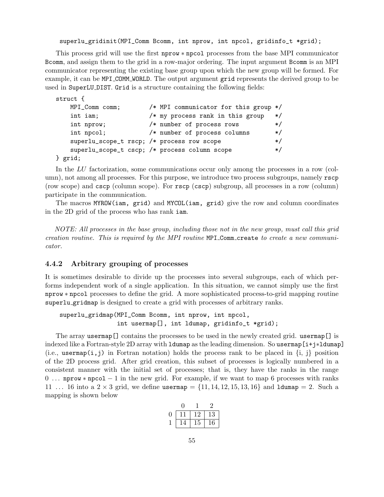superlu\_gridinit(MPI\_Comm Bcomm, int nprow, int npcol, gridinfo\_t \*grid);

This process grid will use the first nprow ∗ npcol processes from the base MPI communicator Bcomm, and assign them to the grid in a row-major ordering. The input argument Bcomm is an MPI communicator representing the existing base group upon which the new group will be formed. For example, it can be MPI COMM WORLD. The output argument grid represents the derived group to be used in SuperLU DIST. Grid is a structure containing the following fields:

```
struct {
   MPI_Comm comm; /* MPI communicator for this group */
   int iam; /* my process rank in this group */
   int nprow; /* number of process rows */
   int npcol; /* number of process columns */superlu_scope_t rscp; /* process row scope */
   superlu_scope_t cscp; /* process column scope */
```
} grid;

In the LU factorization, some communications occur only among the processes in a row (column), not among all processes. For this purpose, we introduce two process subgroups, namely rscp (row scope) and cscp (column scope). For rscp (cscp) subgroup, all processes in a row (column) participate in the communication.

The macros MYROW(iam, grid) and MYCOL(iam, grid) give the row and column coordinates in the 2D grid of the process who has rank iam.

NOTE: All processes in the base group, including those not in the new group, must call this grid creation routine. This is required by the MPI routine MPI Comm create to create a new communicator.

#### 4.4.2 Arbitrary grouping of processes

It is sometimes desirable to divide up the processes into several subgroups, each of which performs independent work of a single application. In this situation, we cannot simply use the first nprow ∗ npcol processes to define the grid. A more sophisticated process-to-grid mapping routine superlu gridmap is designed to create a grid with processes of arbitrary ranks.

```
superlu_gridmap(MPI_Comm Bcomm, int nprow, int npcol,
                int usermap[], int ldumap, gridinfo_t *grid);
```
The array usermap[] contains the processes to be used in the newly created grid. usermap[] is indexed like a Fortran-style 2D array with ldumap as the leading dimension. So usermap[i+j∗ldumap] (i.e., usermap(i,j) in Fortran notation) holds the process rank to be placed in  $\{i, j\}$  position of the 2D process grid. After grid creation, this subset of processes is logically numbered in a consistent manner with the initial set of processes; that is, they have the ranks in the range 0 . . . nprow ∗ npcol − 1 in the new grid. For example, if we want to map 6 processes with ranks 11 ... 16 into a  $2 \times 3$  grid, we define usermap  $= \{11, 14, 12, 15, 13, 16\}$  and 1dumap  $= 2$ . Such a mapping is shown below

|  |    | 13 |
|--|----|----|
|  | 15 | 16 |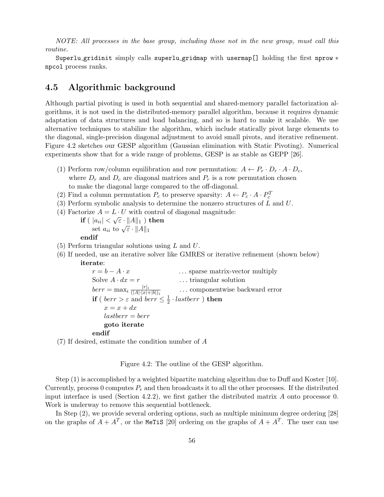NOTE: All processes in the base group, including those not in the new group, must call this routine.

Superlu gridinit simply calls superlu gridmap with usermap[] holding the first nprow ∗ npcol process ranks.

# 4.5 Algorithmic background

Although partial pivoting is used in both sequential and shared-memory parallel factorization algorithms, it is not used in the distributed-memory parallel algorithm, because it requires dynamic adaptation of data structures and load balancing, and so is hard to make it scalable. We use alternative techniques to stabilize the algorithm, which include statically pivot large elements to the diagonal, single-precision diagonal adjustment to avoid small pivots, and iterative refinement. Figure 4.2 sketches our GESP algorithm (Gaussian elimination with Static Pivoting). Numerical experiments show that for a wide range of problems, GESP is as stable as GEPP [26].

- (1) Perform row/column equilibration and row permutation:  $A \leftarrow P_r \cdot D_r \cdot A \cdot D_c$ , where  $D_r$  and  $D_c$  are diagonal matrices and  $P_r$  is a row permutation chosen to make the diagonal large compared to the off-diagonal.
- (2) Find a column permutation  $P_c$  to preserve sparsity:  $A \leftarrow P_c \cdot A \cdot P_c^T$
- (3) Perform symbolic analysis to determine the nonzero structures of  $L$  and  $U$ .
- (4) Factorize  $A = L \cdot U$  with control of diagonal magnitude:
	- $\mathbf{if}\ (\ |a_{ii}|<\sqrt{\varepsilon}\cdot\|A\|_1\ )\ \mathbf{then}$  $|a_{ii}| \leq \sqrt{\varepsilon} \cdot ||A||_1$ <br>set  $a_{ii}$  to  $\sqrt{\varepsilon} \cdot ||A||_1$

#### endif

- (5) Perform triangular solutions using L and U.
- (6) If needed, use an iterative solver like GMRES or iterative refinement (shown below) iterate:

 $r = b - A \cdot x$  ... sparse matrix-vector multiply Solve  $A \cdot dx = r$  ... triangular solution  $berr = \max_i \frac{|r|_i}{(|A| \cdot |x|_i)}$  $(|A|\cdot|x|+|b|)_i$ . . . componentwise backward error **if** (  $\text{berr} > \varepsilon$  and  $\text{berr} \leq \frac{1}{2}$  $\frac{1}{2}$  · lastberr  $)$  then  $x = x + dx$  $lastberr = berr$ goto iterate

#### endif

(7) If desired, estimate the condition number of A

Figure 4.2: The outline of the GESP algorithm.

Step (1) is accomplished by a weighted bipartite matching algorithm due to Duff and Koster [10]. Currently, process 0 computes  $P_r$  and then broadcasts it to all the other processes. If the distributed input interface is used (Section 4.2.2), we first gather the distributed matrix  $A$  onto processor 0. Work is underway to remove this sequential bottleneck.

In Step (2), we provide several ordering options, such as multiple minimum degree ordering [28] on the graphs of  $A + A^T$ , or the MeTiS [20] ordering on the graphs of  $A + A^T$ . The user can use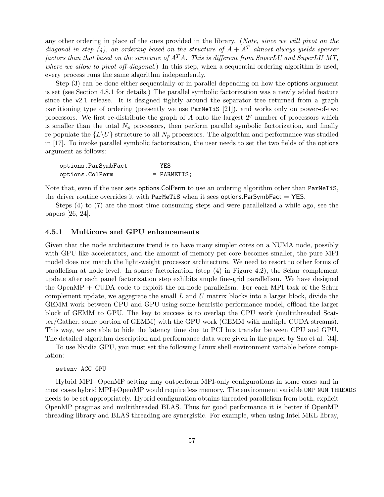any other ordering in place of the ones provided in the library. (Note, since we will pivot on the diagonal in step (4), an ordering based on the structure of  $A + A<sup>T</sup>$  almost always yields sparser factors than that based on the structure of  $A<sup>T</sup>A$ . This is different from SuperLU and SuperLU\_MT, where we allow to pivot off-diagonal.) In this step, when a sequential ordering algorithm is used, every process runs the same algorithm independently.

Step (3) can be done either sequentially or in parallel depending on how the options argument is set (see Section 4.8.1 for details.) The parallel symbolic factorization was a newly added feature since the v2.1 release. It is designed tightly around the separator tree returned from a graph partitioning type of ordering (presently we use ParMeTiS [21]), and works only on power-of-two processors. We first re-distribute the graph of A onto the largest  $2<sup>q</sup>$  number of processors which is smaller than the total  $N_p$  processors, then perform parallel symbolic factorization, and finally re-populate the  $\{L\setminus U\}$  structure to all  $N_p$  processors. The algorithm and performance was studied in [17]. To invoke parallel symbolic factorization, the user needs to set the two fields of the options argument as follows:

| options.ParSymbFact | $=$ YES       |
|---------------------|---------------|
| options.ColPerm     | $=$ PARMETIS; |

Note that, even if the user sets options. ColPerm to use an ordering algorithm other than ParMeTiS, the driver routine overrides it with ParMeTiS when it sees options. ParSymbFact  $=$  YES.

Steps (4) to (7) are the most time-consuming steps and were parallelized a while ago, see the papers [26, 24].

#### 4.5.1 Multicore and GPU enhancements

Given that the node architecture trend is to have many simpler cores on a NUMA node, possibly with GPU-like accelerators, and the amount of memory per-core becomes smaller, the pure MPI model does not match the light-weight processor architecture. We need to resort to other forms of parallelism at node level. In sparse factorization (step (4) in Figure 4.2), the Schur complement update after each panel factorization step exhibits ample fine-grid parallelism. We have designed the OpenMP + CUDA code to exploit the on-node parallelism. For each MPI task of the Schur complement update, we aggegrate the small  $L$  and  $U$  matrix blocks into a larger block, divide the GEMM work between CPU and GPU using some heuristic performance model, offload the larger block of GEMM to GPU. The key to success is to overlap the CPU work (multithreaded Scatter/Gather, some portion of GEMM) with the GPU work (GEMM with multiple CUDA streams). This way, we are able to hide the latency time due to PCI bus transfer between CPU and GPU. The detailed algorithm description and performance data were given in the paper by Sao et al. [34].

To use Nvidia GPU, you must set the following Linux shell environment variable before compilation:

#### setenv ACC GPU

Hybrid MPI+OpenMP setting may outperform MPI-only configurations in some cases and in most cases hybrid MPI+OpenMP would require less memory. The environment variable OMP\_NUM\_THREADS needs to be set appropriately. Hybrid configuration obtains threaded parallelism from both, explicit OpenMP pragmas and multithreaded BLAS. Thus for good performance it is better if OpenMP threading library and BLAS threading are synergistic. For example, when using Intel MKL libray,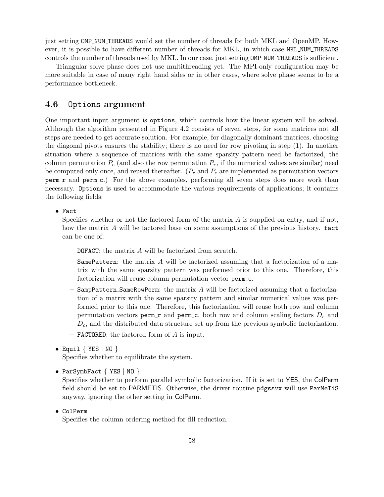just setting OMP NUM THREADS would set the number of threads for both MKL and OpenMP. However, it is possible to have different number of threads for MKL, in which case MKL NUM THREADS controls the number of threads used by MKL. In our case, just setting OMP\_NUM\_THREADS is sufficient.

Triangular solve phase does not use multithreading yet. The MPI-only configuration may be more suitable in case of many right hand sides or in other cases, where solve phase seems to be a performance bottleneck.

## 4.6 Options argument

One important input argument is options, which controls how the linear system will be solved. Although the algorithm presented in Figure 4.2 consists of seven steps, for some matrices not all steps are needed to get accurate solution. For example, for diagonally dominant matrices, choosing the diagonal pivots ensures the stability; there is no need for row pivoting in step (1). In another situation where a sequence of matrices with the same sparsity pattern need be factorized, the column permutation  $P_c$  (and also the row permutation  $P_r$ , if the numerical values are similar) need be computed only once, and reused thereafter.  $(P_r \text{ and } P_c \text{ are implemented as permutation vectors})$ perm r and perm c.) For the above examples, performing all seven steps does more work than necessary. Options is used to accommodate the various requirements of applications; it contains the following fields:

• Fact

Specifies whether or not the factored form of the matrix  $A$  is supplied on entry, and if not, how the matrix A will be factored base on some assumptions of the previous history. fact can be one of:

- DOFACT: the matrix A will be factorized from scratch.
- $-$  SamePattern: the matrix  $A$  will be factorized assuming that a factorization of a matrix with the same sparsity pattern was performed prior to this one. Therefore, this factorization will reuse column permutation vector perm\_c.
- $-$  SampPattern SameRowPerm: the matrix  $A$  will be factorized assuming that a factorization of a matrix with the same sparsity pattern and similar numerical values was performed prior to this one. Therefore, this factorization will reuse both row and column permutation vectors perm  $\mathbf r$  and perm  $\mathbf c$ , both row and column scaling factors  $D_r$  and  $D<sub>c</sub>$ , and the distributed data structure set up from the previous symbolic factorization.
- $-$  **FACTORED:** the factored form of A is input.
- Equil  $\{$  YES  $\|$  NO  $\}$

Specifies whether to equilibrate the system.

```
• ParSymbFact { YES | NO }
```
Specifies whether to perform parallel symbolic factorization. If it is set to YES, the ColPerm field should be set to PARMETIS. Otherwise, the driver routine pdgssvx will use ParMeTiS anyway, ignoring the other setting in ColPerm.

• ColPerm

Specifies the column ordering method for fill reduction.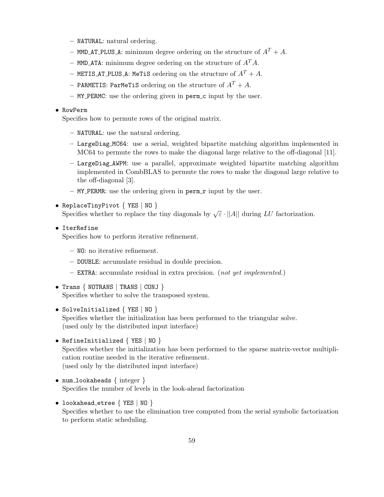- NATURAL: natural ordering.
- MMD\_AT\_PLUS\_A: minimum degree ordering on the structure of  $A<sup>T</sup> + A$ .
- MMD ATA: minimum degree ordering on the structure of  $A<sup>T</sup>A$ .
- METIS AT PLUS A: MeTiS ordering on the structure of  $A<sup>T</sup> + A$ .
- PARMETIS: ParMeTiS ordering on the structure of  $A<sup>T</sup> + A$ .
- MY PERMC: use the ordering given in perm c input by the user.

#### • RowPerm

Specifies how to permute rows of the original matrix.

- NATURAL: use the natural ordering.
- LargeDiag MC64: use a serial, weighted bipartite matching algorithm implemented in MC64 to permute the rows to make the diagonal large relative to the off-diagonal [11].
- LargeDiag AWPM: use a parallel, approximate weighted bipartite matching algorithm implemented in CombBLAS to permute the rows to make the diagonal large relative to the off-diagonal [3].
- $-$  MY\_PERMR: use the ordering given in perm\_r input by the user.
- ReplaceTinyPivot { YES | NO } Specifies whether to replace the tiny diagonals by  $\sqrt{\varepsilon} \cdot ||A||$  during LU factorization.
- IterRefine

Specifies how to perform iterative refinement.

- NO: no iterative refinement.
- DOUBLE: accumulate residual in double precision.
- EXTRA: accumulate residual in extra precision. (not yet implemented.)
- Trans { NOTRANS | TRANS | CONJ } Specifies whether to solve the transposed system.
- SolveInitialized  $\{$  YES  $\|$  NO  $\}$ Specifies whether the initialization has been performed to the triangular solve. (used only by the distributed input interface)
- RefineInitialized { YES | NO } Specifies whether the initialization has been performed to the sparse matrix-vector multiplication routine needed in the iterative refinement. (used only by the distributed input interface)
- num\_lookaheads { integer } Specifies the number of levels in the look-ahead factorization
- lookahead\_etree { YES | NO } Specifies whether to use the elimination tree computed from the serial symbolic factorization to perform static scheduling.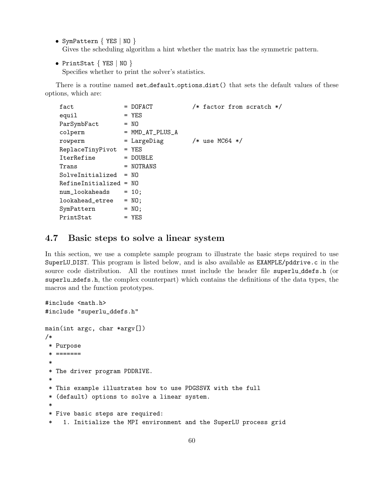- SymPattern { YES | NO } Gives the scheduling algorithm a hint whether the matrix has the symmetric pattern.
- PrintStat { YES | NO }

Specifies whether to print the solver's statistics.

There is a routine named set\_default\_options\_dist() that sets the default values of these options, which are:

| fact                     | $=$ DOFACT        | $/*$ factor from scratch $*/$ |
|--------------------------|-------------------|-------------------------------|
| equil                    | $=$ YES           |                               |
| ParSymbFact              | $= 30$            |                               |
| colperm                  | $=$ MMD_AT_PLUS_A |                               |
| rowperm                  | = LargeDiag       | $/*$ use MC64 $*/$            |
| ReplaceTinyPivot         | $=$ YES           |                               |
| IterRefine               | $=$ DOUBLE        |                               |
| Trans                    | = NOTRANS         |                               |
| SolveInitialized         | $= 30$            |                               |
| $RefineInitialized = NO$ |                   |                               |
| num_lookaheads           | $= 10$ ;          |                               |
| lookahead_etree          | $= NO;$           |                               |
| SymPattern               | $= \text{NO}$     |                               |
| PrintStat                | $=$ YES           |                               |

# 4.7 Basic steps to solve a linear system

In this section, we use a complete sample program to illustrate the basic steps required to use SuperLU DIST. This program is listed below, and is also available as EXAMPLE/pddrive.c in the source code distribution. All the routines must include the header file superlu ddefs.h (or superlu zdefs.h, the complex counterpart) which contains the definitions of the data types, the macros and the function prototypes.

```
#include <math.h>
#include "superlu_ddefs.h"
main(int argc, char *argv[])
/*
 * Purpose
 * =======
 *
 * The driver program PDDRIVE.
 *
 * This example illustrates how to use PDGSSVX with the full
 * (default) options to solve a linear system.
 *
 * Five basic steps are required:
 * 1. Initialize the MPI environment and the SuperLU process grid
```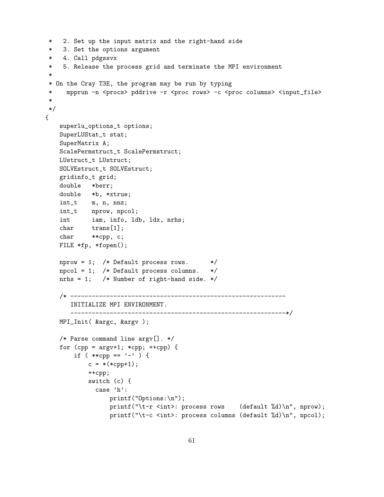```
2. Set up the input matrix and the right-hand side
    3. Set the options argument
   4. Call pdgssvx
* 5. Release the process grid and terminate the MPI environment
 *
* On the Cray T3E, the program may be run by typing
* mpprun -n <procs> pddrive -r <proc rows> -c <proc columns> <input_file>
*
*/
{
   superlu_options_t options;
   SuperLUStat_t stat;
   SuperMatrix A;
   ScalePermstruct_t ScalePermstruct;
   LUstruct_t LUstruct;
   SOLVEstruct_t SOLVEstruct;
   gridinfo_t grid;
   double *berr;
   double *b, *xtrue;
   int_t m, n, nnz;
   int_t nprow, npcol;
   int iam, info, ldb, ldx, nrhs;
   char trans[1];
   char **cpp, c;
   FILE *fp, *fopen();
   nprox = 1; /* Default process rows. */
   npcol = 1; /* Default process columns. */
   nrhs = 1; /* Number of right-hand side. */
   /* ------------------------------------------------------------
      INITIALIZE MPI ENVIRONMENT.
      ------------------------------------------------------------*/
   MPI_Init( &argc, &argv );
   /* Parse command line argv[]. */
   for (cpp = argv+1; *cpp; ++cpp) {
       if ( **cpp == '-' ) {
           c = *(*cpp+1);++cpp;
           switch (c) {
             case 'h':
                 printf("Options:\n");
                 printf("\t-r <int>: process rows (default %d)\n", nprow);
                 printf("\t-c <int>: process columns (default %d)\n", npcol);
```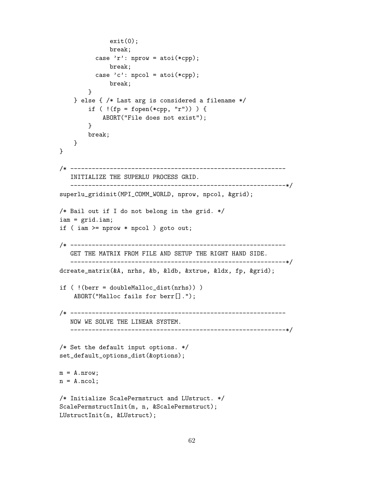```
exit(0);break;
          case 'r': nprow = atoi(*cpp);
              break;
          case 'c': npcol = atoi(*cpp);break;
        }
    } else { /* Last arg is considered a filename */
        if ( !(fp = fopen(*cpp, "r")) ) {
            ABORT("File does not exist");
        }
        break;
    }
}
/* ------------------------------------------------------------
   INITIALIZE THE SUPERLU PROCESS GRID.
   ------------------------------------------------------------*/
superlu_gridinit(MPI_COMM_WORLD, nprow, npcol, &grid);
/* Bail out if I do not belong in the grid. */
iam = grid.iam;
if ( iam >= nprow * npcol ) goto out;
/* ------------------------------------------------------------
   GET THE MATRIX FROM FILE AND SETUP THE RIGHT HAND SIDE.
   ------------------------------------------------------------*/
dcreate_matrix(&A, nrhs, &b, &ldb, &xtrue, &ldx, fp, &grid);
if ( !(berr = doubleMalloc_dist(nrhs)) )
    ABORT("Malloc fails for berr[].");
/* ------------------------------------------------------------
   NOW WE SOLVE THE LINEAR SYSTEM.
   ------------------------------------------------------------*/
/* Set the default input options. */
set_default_options_dist(&options);
m = A.nrow;n = A.ncol;
/* Initialize ScalePermstruct and LUstruct. */
ScalePermstructInit(m, n, &ScalePermstruct);
LUstructInit(n, &LUstruct);
```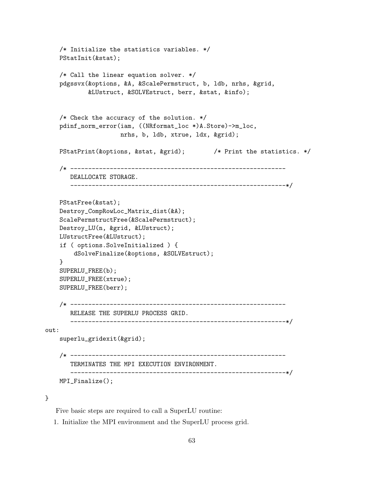```
/* Initialize the statistics variables. */
   PStatInit(&stat);
   /* Call the linear equation solver. */
   pdgssvx(&options, &A, &ScalePermstruct, b, ldb, nrhs, &grid,
            &LUstruct, &SOLVEstruct, berr, &stat, &info);
   /* Check the accuracy of the solution. */
   pdinf_norm_error(iam, ((NRformat_loc *)A.Store)->m_loc,
                     nrhs, b, ldb, xtrue, ldx, &grid);
   PStatPrint(&options, &stat, &grid); /* Print the statistics. */
    /* ------------------------------------------------------------
       DEALLOCATE STORAGE.
       ------------------------------------------------------------*/
   PStatFree(&stat);
   Destroy_CompRowLoc_Matrix_dist(&A);
   ScalePermstructFree(&ScalePermstruct);
   Destroy_LU(n, &grid, &LUstruct);
   LUstructFree(&LUstruct);
   if ( options.SolveInitialized ) {
        dSolveFinalize(&options, &SOLVEstruct);
   }
   SUPERLU_FREE(b);
   SUPERLU_FREE(xtrue);
   SUPERLU_FREE(berr);
    /* ------------------------------------------------------------
       RELEASE THE SUPERLU PROCESS GRID.
           ------------------------------------------------------------*/
out:
   superlu_gridexit(&grid);
   /* ------------------------------------------------------------
       TERMINATES THE MPI EXECUTION ENVIRONMENT.
       ------------------------------------------------------------*/
   MPI_Finalize();
```
#### }

Five basic steps are required to call a SuperLU routine:

1. Initialize the MPI environment and the SuperLU process grid.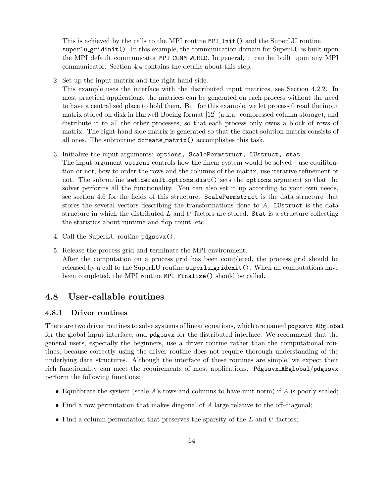This is achieved by the calls to the MPI routine MPI\_Init() and the SuperLU routine superlu gridinit(). In this example, the communication domain for SuperLU is built upon the MPI default communicator MPI COMM WORLD. In general, it can be built upon any MPI communicator. Section 4.4 contains the details about this step.

2. Set up the input matrix and the right-hand side.

This example uses the interface with the distributed input matrices, see Section 4.2.2. In most practical applications, the matrices can be generated on each process without the need to have a centralized place to hold them. But for this example, we let process 0 read the input matrix stored on disk in Harwell-Boeing format [12] (a.k.a. compressed column storage), and distribute it to all the other processes, so that each process only owns a block of rows of matrix. The right-hand side matrix is generated so that the exact solution matrix consists of all ones. The subroutine dcreate matrix() accomplishes this task.

- 3. Initialize the input arguments: options, ScalePermstruct, LUstruct, stat. The input argument options controls how the linear system would be solved—use equilibration or not, how to order the rows and the columns of the matrix, use iterative refinement or not. The subroutine set default options dist() sets the options argument so that the solver performs all the functionality. You can also set it up according to your own needs, see section 4.6 for the fields of this structure. ScalePermstruct is the data structure that stores the several vectors describing the transformations done to A. LUstruct is the data structure in which the distributed  $L$  and  $U$  factors are stored. Stat is a structure collecting the statistics about runtime and flop count, etc.
- 4. Call the SuperLU routine pdgssvx().
- 5. Release the process grid and terminate the MPI environment. After the computation on a process grid has been completed, the process grid should be released by a call to the SuperLU routine superlu gridexit(). When all computations have been completed, the MPI routine MPI Finalize() should be called.

# 4.8 User-callable routines

#### 4.8.1 Driver routines

There are two driver routines to solve systems of linear equations, which are named pdgssvx ABglobal for the global input interface, and pdgssvx for the distributed interface. We recommend that the general users, especially the beginners, use a driver routine rather than the computational routines, because correctly using the driver routine does not require thorough understanding of the underlying data structures. Although the interface of these routines are simple, we expect their rich functionality can meet the requirements of most applications. Pdgssvx ABglobal/pdgssvx perform the following functions:

- Equilibrate the system (scale  $A$ 's rows and columns to have unit norm) if  $A$  is poorly scaled;
- Find a row permutation that makes diagonal of  $A$  large relative to the off-diagonal;
- Find a column permutation that preserves the sparsity of the  $L$  and  $U$  factors;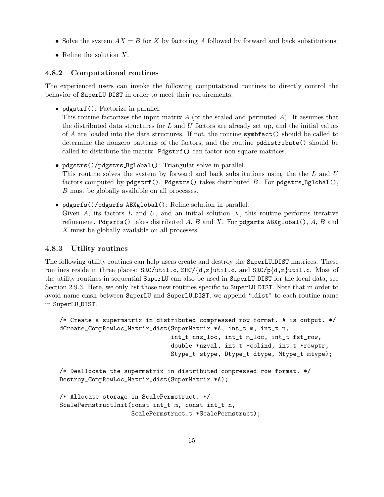- Solve the system  $AX = B$  for X by factoring A followed by forward and back substitutions;
- Refine the solution  $X$ .

#### 4.8.2 Computational routines

The experienced users can invoke the following computational routines to directly control the behavior of SuperLU DIST in order to meet their requirements.

• pdgstrf(): Factorize in parallel.

This routine factorizes the input matrix  $A$  (or the scaled and permuted  $A$ ). It assumes that the distributed data structures for  $L$  and  $U$  factors are already set up, and the initial values of A are loaded into the data structures. If not, the routine symbfact() should be called to determine the nonzero patterns of the factors, and the routine pddistribute() should be called to distribute the matrix. Pdgstrf() can factor non-square matrices.

- pdgstrs()/pdgstrs Bglobal(): Triangular solve in parallel. This routine solves the system by forward and back substitutions using the the L and U factors computed by  $p$ dgstrf(). Pdgstrs() takes distributed  $B$ . For  $p$ dgstrs Bglobal(), B must be globally available on all processes.
- pdgsrfs()/pdgsrfs ABXglobal(): Refine solution in parallel. Given A, its factors  $L$  and  $U$ , and an initial solution  $X$ , this routine performs iterative refinement. Pdgsrfs() takes distributed A, B and X. For pdgsrfs  $ABXg$ lobal(), A, B and X must be globally available on all processes.

#### 4.8.3 Utility routines

The following utility routines can help users create and destroy the SuperLU DIST matrices. These routines reside in three places:  $SRC/til.c$ ,  $SRC/\{d,z\}$ util.c, and  $SRC/p\{d,z\}$ util.c. Most of the utility routines in sequential SuperLU can also be used in SuperLU DIST for the local data, see Section 2.9.3. Here, we only list those new routines specific to SuperLU DIST. Note that in order to avoid name clash between SuperLU and SuperLU DIST, we append "dist" to each routine name in SuperLU DIST.

```
/* Create a supermatrix in distributed compressed row format. A is output. */
dCreate_CompRowLoc_Matrix_dist(SuperMatrix *A, int_t m, int_t n,
                               int_t nnz_loc, int_t m_loc, int_t fst_row,
                               double *nzval, int_t *colind, int_t *rowptr,
                               Stype_t stype, Dtype_t dtype, Mtype_t mtype);
/* Deallocate the supermatrix in distributed compressed row format. */
Destroy_CompRowLoc_Matrix_dist(SuperMatrix *A);
/* Allocate storage in ScalePermstruct. */
ScalePermstructInit(const int_t m, const int_t n,
                    ScalePermstruct_t *ScalePermstruct);
```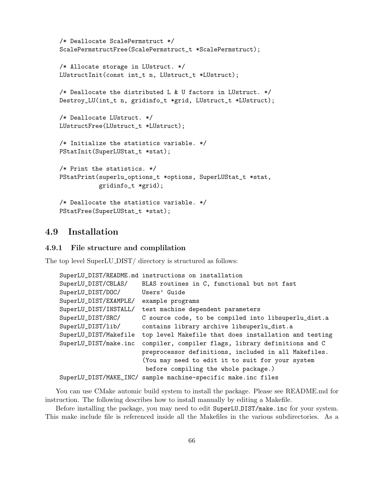```
/* Deallocate ScalePermstruct */
ScalePermstructFree(ScalePermstruct_t *ScalePermstruct);
/* Allocate storage in LUstruct. */
LUstructInit(const int_t n, LUstruct_t *LUstruct);
/* Deallocate the distributed L & U factors in LUstruct. */
Destroy_LU(int_t n, gridinfo_t *grid, LUstruct_t *LUstruct);
/* Deallocate LUstruct. */
LUstructFree(LUstruct_t *LUstruct);
/* Initialize the statistics variable. */
PStatInit(SuperLUStat_t *stat);
/* Print the statistics. */
PStatPrint(superlu_options_t *options, SuperLUStat_t *stat,
           gridinfo_t *grid);
/* Deallocate the statistics variable. */
PStatFree(SuperLUStat_t *stat);
```
# 4.9 Installation

#### 4.9.1 File structure and complilation

The top level SuperLU DIST/ directory is structured as follows:

|                       | SuperLU_DIST/README.md instructions on installation           |
|-----------------------|---------------------------------------------------------------|
| SuperLU_DIST/CBLAS/   | BLAS routines in C, functional but not fast                   |
| SuperLU_DIST/DOC/     | Users' Guide                                                  |
| SuperLU_DIST/EXAMPLE/ | example programs                                              |
| SuperLU_DIST/INSTALL/ | test machine dependent parameters                             |
| SuperLU_DIST/SRC/     | C source code, to be compiled into libsuperlu_dist.a          |
| SuperLU_DIST/lib/     | contains library archive libsuperlu_dist.a                    |
| SuperLU_DIST/Makefile | top level Makefile that does installation and testing         |
| SuperLU_DIST/make.inc | compiler, compiler flags, library definitions and C           |
|                       | preprocessor definitions, included in all Makefiles.          |
|                       | (You may need to edit it to suit for your system              |
|                       | before compiling the whole package.)                          |
|                       | SuperLU_DIST/MAKE_INC/ sample machine-specific make.inc files |

You can use CMake automic build system to install the package. Please see README.md for instruction. The following describes how to install manually by editing a Makefile.

Before installing the package, you may need to edit SuperLU DIST/make.inc for your system. This make include file is referenced inside all the Makefiles in the various subdirectories. As a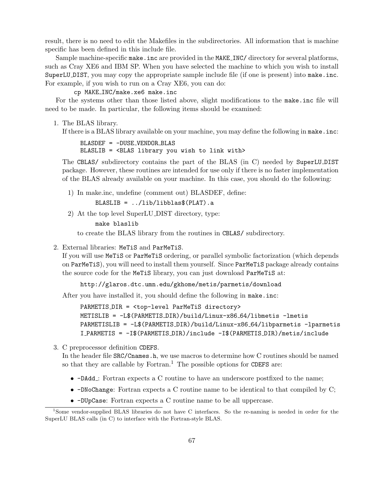result, there is no need to edit the Makefiles in the subdirectories. All information that is machine specific has been defined in this include file.

Sample machine-specific make.inc are provided in the MAKE INC/ directory for several platforms, such as Cray XE6 and IBM SP. When you have selected the machine to which you wish to install SuperLU DIST, you may copy the appropriate sample include file (if one is present) into make.inc. For example, if you wish to run on a Cray XE6, you can do:

#### cp MAKE INC/make.xe6 make.inc

For the systems other than those listed above, slight modifications to the make.inc file will need to be made. In particular, the following items should be examined:

1. The BLAS library.

If there is a BLAS library available on your machine, you may define the following in make.inc:

BLASDEF = -DUSE VENDOR BLAS BLASLIB = <BLAS library you wish to link with>

The CBLAS/ subdirectory contains the part of the BLAS (in C) needed by SuperLU DIST package. However, these routines are intended for use only if there is no faster implementation of the BLAS already available on your machine. In this case, you should do the following:

1) In make.inc, undefine (comment out) BLASDEF, define:

```
BLASLIB = ../lib/libblas$(PLAT).a
```
2) At the top level SuperLU DIST directory, type:

make blaslib

to create the BLAS library from the routines in CBLAS/ subdirectory.

2. External libraries: MeTiS and ParMeTiS.

If you will use MeTiS or ParMeTiS ordering, or parallel symbolic factorization (which depends on ParMeTiS), you will need to install them yourself. Since ParMeTiS package already contains the source code for the MeTiS library, you can just download ParMeTiS at:

http://glaros.dtc.umn.edu/gkhome/metis/parmetis/download

After you have installed it, you should define the following in make.inc:

```
PARMETIS DIR = <top-level ParMeTiS directory>
METISLIB = -L$(PARMETIS DIR)/build/Linux-x86 64/libmetis -lmetis
PARMETISLIB = -L$(PARMETIS DIR)/build/Linux-x86 64/libparmetis -lparmetis
I PARMETIS = -I$(PARMETIS DIR)/include -I$(PARMETIS DIR)/metis/include
```
3. C preprocessor definition CDEFS.

In the header file SRC/Cnames.h, we use macros to determine how C routines should be named so that they are callable by Fortran.<sup>1</sup> The possible options for CDEFS are:

- -DAdd : Fortran expects a C routine to have an underscore postfixed to the name;
- $\bullet$  -DNoChange: Fortran expects a C routine name to be identical to that compiled by C;
- -DUpCase: Fortran expects a C routine name to be all uppercase.

<sup>1</sup>Some vendor-supplied BLAS libraries do not have C interfaces. So the re-naming is needed in order for the SuperLU BLAS calls (in C) to interface with the Fortran-style BLAS.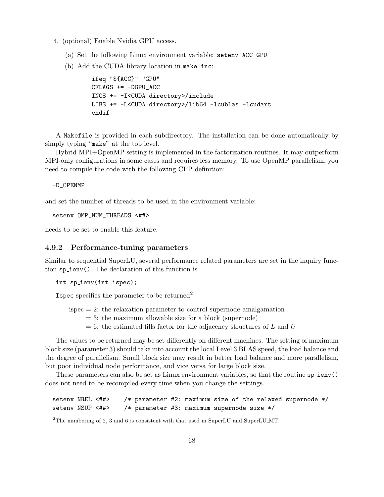- 4. (optional) Enable Nvidia GPU access.
	- (a) Set the following Linux environment variable: setenv ACC GPU
	- (b) Add the CUDA library location in make.inc:

```
ifeq "${ACC}" "GPU"
CFLAGS += -DGPU_ACCINCS += -I<CUDA directory>/include
LIBS += -L<CUDA directory>/lib64 -lcublas -lcudart
endif
```
A Makefile is provided in each subdirectory. The installation can be done automatically by simply typing "make" at the top level.

Hybrid MPI+OpenMP setting is implemented in the factorization routines. It may outperform MPI-only configurations in some cases and requires less memory. To use OpenMP parallelism, you need to compile the code with the following CPP definition:

-D\_OPENMP

and set the number of threads to be used in the environment variable:

seteny OMP NUM THREADS <##>

needs to be set to enable this feature.

#### 4.9.2 Performance-tuning parameters

Similar to sequential SuperLU, several performance related parameters are set in the inquiry function sp\_ienv(). The declaration of this function is

int sp\_ienv(int ispec);

Ispec specifies the parameter to be returned<sup>2</sup>:

- $ispec = 2$ : the relaxation parameter to control supernode amalgamation
	- $= 3$ : the maximum allowable size for a block (supernode)
	- $= 6$ : the estimated fills factor for the adjacency structures of L and U

The values to be returned may be set differently on different machines. The setting of maximum block size (parameter 3) should take into account the local Level 3 BLAS speed, the load balance and the degree of parallelism. Small block size may result in better load balance and more parallelism, but poor individual node performance, and vice versa for large block size.

These parameters can also be set as Linux environment variables, so that the routine  $sp_i$ does not need to be recompiled every time when you change the settings.

setenv NREL <##> /\* parameter #2: maximum size of the relaxed supernode \*/ setenv NSUP <##> /\* parameter #3: maximum supernode size \*/

<sup>2</sup>The numbering of 2, 3 and 6 is consistent with that used in SuperLU and SuperLU MT.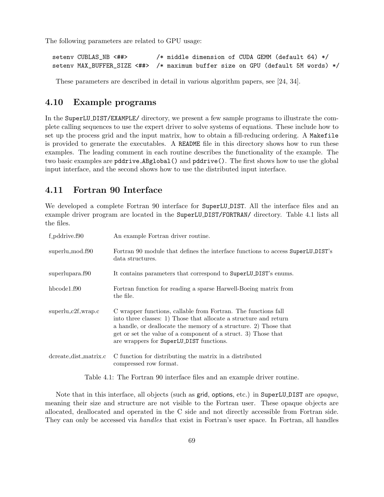The following parameters are related to GPU usage:

```
setenv CUBLAS_NB <##> * middle dimension of CUDA GEMM (default 64) */
setenv MAX_BUFFER_SIZE <##> /* maximum buffer size on GPU (default 5M words) */
```
These parameters are described in detail in various algorithm papers, see [24, 34].

# 4.10 Example programs

In the SuperLU DIST/EXAMPLE/ directory, we present a few sample programs to illustrate the complete calling sequences to use the expert driver to solve systems of equations. These include how to set up the process grid and the input matrix, how to obtain a fill-reducing ordering. A Makefile is provided to generate the executables. A README file in this directory shows how to run these examples. The leading comment in each routine describes the functionality of the example. The two basic examples are pddrive ABglobal() and pddrive(). The first shows how to use the global input interface, and the second shows how to use the distributed input interface.

# 4.11 Fortran 90 Interface

We developed a complete Fortran 90 interface for SuperLU DIST. All the interface files and an example driver program are located in the SuperLU DIST/FORTRAN/ directory. Table 4.1 lists all the files.

| f_pddrive.f90         | An example Fortran driver routine.                                                                                                                                                                                                                                                                                    |
|-----------------------|-----------------------------------------------------------------------------------------------------------------------------------------------------------------------------------------------------------------------------------------------------------------------------------------------------------------------|
| superlu_mod.f90       | Fortran 90 module that defines the interface functions to access SuperLU_DIST's<br>data structures.                                                                                                                                                                                                                   |
| superlupara.f90       | It contains parameters that correspond to SuperLU_DIST's enums.                                                                                                                                                                                                                                                       |
| hbcode1.f90           | Fortran function for reading a sparse Harwell-Boeing matrix from<br>the file.                                                                                                                                                                                                                                         |
| $superlu_c2f_wrap.c$  | C wrapper functions, callable from Fortran. The functions fall<br>into three classes: 1) Those that allocate a structure and return<br>a handle, or deallocate the memory of a structure. 2) Those that<br>get or set the value of a component of a struct. 3) Those that<br>are wrappers for SuperLU_DIST functions. |
| dcreate_dist_matrix.c | C function for distributing the matrix in a distributed<br>compressed row format.                                                                                                                                                                                                                                     |

Table 4.1: The Fortran 90 interface files and an example driver routine.

Note that in this interface, all objects (such as grid, options, etc.) in SuperLU DIST are opaque, meaning their size and structure are not visible to the Fortran user. These opaque objects are allocated, deallocated and operated in the C side and not directly accessible from Fortran side. They can only be accessed via handles that exist in Fortran's user space. In Fortran, all handles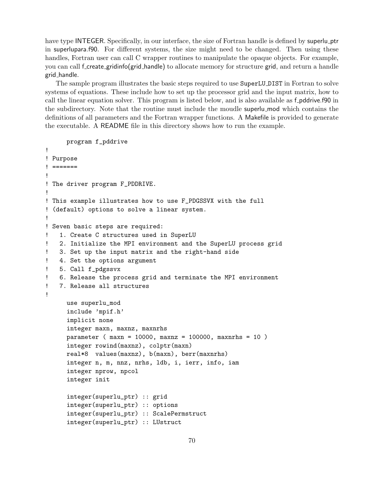have type INTEGER. Specifically, in our interface, the size of Fortran handle is defined by superlu\_ptr in superlupara.f90. For different systems, the size might need to be changed. Then using these handles, Fortran user can call C wrapper routines to manipulate the opaque objects. For example, you can call f create gridinfo(grid handle) to allocate memory for structure grid, and return a handle grid handle.

The sample program illustrates the basic steps required to use SuperLU DIST in Fortran to solve systems of equations. These include how to set up the processor grid and the input matrix, how to call the linear equation solver. This program is listed below, and is also available as f-pddrive.f90 in the subdirectory. Note that the routine must include the moudle superlu mod which contains the definitions of all parameters and the Fortran wrapper functions. A Makefile is provided to generate the executable. A README file in this directory shows how to run the example.

```
program f_pddrive
!
! Purpose
! =======
!
! The driver program F_PDDRIVE.
!
! This example illustrates how to use F_PDGSSVX with the full
! (default) options to solve a linear system.
!
! Seven basic steps are required:
! 1. Create C structures used in SuperLU
! 2. Initialize the MPI environment and the SuperLU process grid
! 3. Set up the input matrix and the right-hand side
! 4. Set the options argument
! 5. Call f_pdgssvx
! 6. Release the process grid and terminate the MPI environment
! 7. Release all structures
!
     use superlu_mod
     include 'mpif.h'
     implicit none
     integer maxn, maxnz, maxnrhs
     parameter ( maxn = 10000, maxnz = 100000, maxnrhs = 10 )
     integer rowind(maxnz), colptr(maxn)
     real*8 values(maxnz), b(maxn), berr(maxnrhs)
     integer n, m, nnz, nrhs, ldb, i, ierr, info, iam
     integer nprow, npcol
     integer init
     integer(superlu_ptr) :: grid
     integer(superlu_ptr) :: options
     integer(superlu_ptr) :: ScalePermstruct
     integer(superlu_ptr) :: LUstruct
```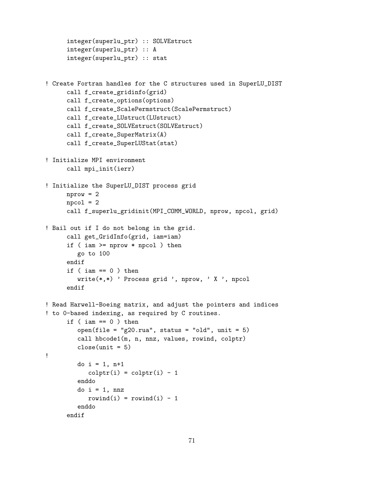```
integer(superlu_ptr) :: SOLVEstruct
      integer(superlu_ptr) :: A
      integer(superlu_ptr) :: stat
! Create Fortran handles for the C structures used in SuperLU_DIST
      call f_create_gridinfo(grid)
      call f_create_options(options)
      call f_create_ScalePermstruct(ScalePermstruct)
      call f_create_LUstruct(LUstruct)
     call f_create_SOLVEstruct(SOLVEstruct)
     call f_create_SuperMatrix(A)
      call f_create_SuperLUStat(stat)
! Initialize MPI environment
      call mpi_init(ierr)
! Initialize the SuperLU_DIST process grid
     nprox = 2npcol = 2call f_superlu_gridinit(MPI_COMM_WORLD, nprow, npcol, grid)
! Bail out if I do not belong in the grid.
      call get_GridInfo(grid, iam=iam)
      if ( iam >= nprow * npcol ) then
        go to 100
      endif
      if ( iam == 0 ) then
         write(*,*) ' Process grid ', nprow, ' X ', npcol
     endif
! Read Harwell-Boeing matrix, and adjust the pointers and indices
! to 0-based indexing, as required by C routines.
      if ( iam == 0 ) then
         open(file = "g20.rua", status = "old", unit = 5)
         call hbcode1(m, n, nnz, values, rowind, colptr)
         close(unit = 5)
!
        do i = 1, n+1\text{colptr}(i) = \text{colptr}(i) - 1enddo
         do i = 1, nnz
            rowind(i) = rowind(i) - 1
         enddo
     endif
```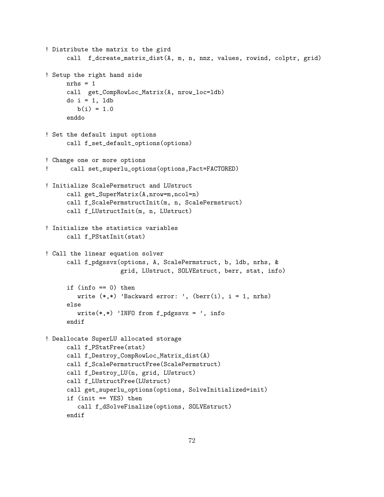```
! Distribute the matrix to the gird
     call f_dcreate_matrix_dist(A, m, n, nnz, values, rowind, colptr, grid)
! Setup the right hand side
     nrhs = 1
     call get_CompRowLoc_Matrix(A, nrow_loc=ldb)
     do i = 1, ldb
        b(i) = 1.0enddo
! Set the default input options
     call f_set_default_options(options)
! Change one or more options
! call set_superlu_options(options,Fact=FACTORED)
! Initialize ScalePermstruct and LUstruct
     call get_SuperMatrix(A,nrow=m,ncol=n)
     call f_ScalePermstructInit(m, n, ScalePermstruct)
     call f_LUstructInit(m, n, LUstruct)
! Initialize the statistics variables
     call f_PStatInit(stat)
! Call the linear equation solver
     call f_pdgssvx(options, A, ScalePermstruct, b, ldb, nrhs, &
                     grid, LUstruct, SOLVEstruct, berr, stat, info)
     if (info == 0) then
        write (*,*) 'Backward error: ', (berr(i), i = 1, nrhs)
     else
         write(*, *) 'INFO from f_pdgssvx = ', info
     endif
! Deallocate SuperLU allocated storage
     call f_PStatFree(stat)
     call f_Destroy_CompRowLoc_Matrix_dist(A)
     call f_ScalePermstructFree(ScalePermstruct)
     call f_Destroy_LU(n, grid, LUstruct)
     call f_LUstructFree(LUstruct)
     call get_superlu_options(options, SolveInitialized=init)
     if (init == YES) then
         call f_dSolveFinalize(options, SOLVEstruct)
     endif
```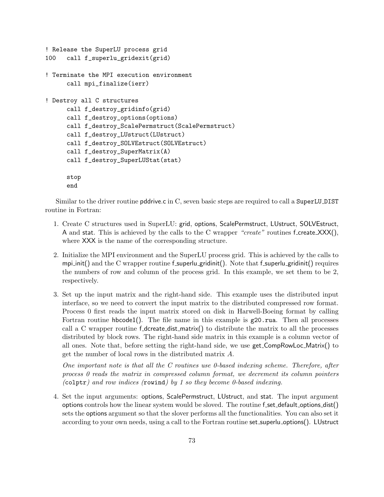```
! Release the SuperLU process grid
100 call f_superlu_gridexit(grid)
! Terminate the MPI execution environment
      call mpi_finalize(ierr)
! Destroy all C structures
      call f_destroy_gridinfo(grid)
      call f_destroy_options(options)
      call f_destroy_ScalePermstruct(ScalePermstruct)
      call f_destroy_LUstruct(LUstruct)
      call f_destroy_SOLVEstruct(SOLVEstruct)
      call f_destroy_SuperMatrix(A)
      call f_destroy_SuperLUStat(stat)
      stop
      end
```
Similar to the driver routine pddrive.c in C, seven basic steps are required to call a SuperLU DIST routine in Fortran:

- 1. Create C structures used in SuperLU: grid, options, ScalePermstruct, LUstruct, SOLVEstruct, A and stat. This is achieved by the calls to the C wrapper "create" routines f\_create\_ $XXX()$ , where XXX is the name of the corresponding structure.
- 2. Initialize the MPI environment and the SuperLU process grid. This is achieved by the calls to mpi init() and the C wrapper routine f superlu gridinit(). Note that f superlu gridinit() requires the numbers of row and column of the process grid. In this example, we set them to be 2, respectively.
- 3. Set up the input matrix and the right-hand side. This example uses the distributed input interface, so we need to convert the input matrix to the distributed compressed row format. Process 0 first reads the input matrix stored on disk in Harwell-Boeing format by calling Fortran routine hbcode1(). The file name in this example is  $g20.r$ ua. Then all processes call a C wrapper routine  $f$ -dcreate-dist-matrix $()$  to distribute the matrix to all the processes distributed by block rows. The right-hand side matrix in this example is a column vector of all ones. Note that, before setting the right-hand side, we use get CompRowLoc Matrix() to get the number of local rows in the distributed matrix A.

One important note is that all the C routines use 0-based indexing scheme. Therefore, after process 0 reads the matrix in compressed column format, we decrement its column pointers (colptr) and row indices (rowind) by 1 so they become 0-based indexing.

4. Set the input arguments: options, ScalePermstruct, LUstruct, and stat. The input argument options controls how the linear system would be sloved. The routine f\_set\_default\_options\_dist() sets the options argument so that the slover performs all the functionalities. You can also set it according to your own needs, using a call to the Fortran routine set superlu options(). LUstruct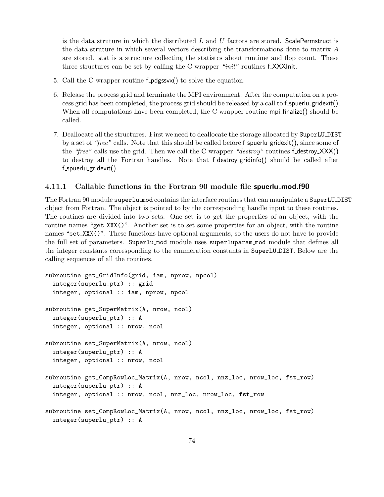is the data struture in which the distributed  $L$  and  $U$  factors are stored. ScalePermstruct is the data struture in which several vectors describing the transformations done to matrix A are stored. stat is a structure collecting the statistcs about runtime and flop count. These three structures can be set by calling the C wrapper "init" routines f.XXXInit.

- 5. Call the C wrapper routine f **pdgssv** $\chi$  to solve the equation.
- 6. Release the process grid and terminate the MPI environment. After the computation on a process grid has been completed, the process grid should be released by a call to f\_spuerlu\_gridexit(). When all computations have been completed, the C wrapper routine mpi-finalize() should be called.
- 7. Deallocate all the structures. First we need to deallocate the storage allocated by SuperLU DIST by a set of "free" calls. Note that this should be called before f\_spuerlu\_gridexit(), since some of the "free" calls use the grid. Then we call the C wrapper "destroy" routines f\_destroy\_ $XXX()$ to destroy all the Fortran handles. Note that f destroy gridinfo() should be called after  $f$ \_spuerlu\_gridexit $()$ .

## 4.11.1 Callable functions in the Fortran 90 module file spuerlu mod.f90

The Fortran 90 module superlu mod contains the interface routines that can manipulate a SuperLU DIST object from Fortran. The object is pointed to by the corresponding handle input to these routines. The routines are divided into two sets. One set is to get the properties of an object, with the routine names "get XXX()". Another set is to set some properties for an object, with the routine names "set\_XXX()". These functions have optional arguments, so the users do not have to provide the full set of parameters. Superlu mod module uses superluparam mod module that defines all the integer constants corresponding to the enumeration constants in SuperLU DIST. Below are the calling sequences of all the routines.

```
subroutine get_GridInfo(grid, iam, nprow, npcol)
  integer(superlu_ptr) :: grid
  integer, optional :: iam, nprow, npcol
subroutine get_SuperMatrix(A, nrow, ncol)
  integer(superlu_ptr) :: A
  integer, optional :: nrow, ncol
subroutine set_SuperMatrix(A, nrow, ncol)
  integer(superlu_ptr) :: A
  integer, optional :: nrow, ncol
subroutine get_CompRowLoc_Matrix(A, nrow, ncol, nnz_loc, nrow_loc, fst_row)
  integer(superlu_ptr) :: A
  integer, optional :: nrow, ncol, nnz_loc, nrow_loc, fst_row
subroutine set_CompRowLoc_Matrix(A, nrow, ncol, nnz_loc, nrow_loc, fst_row)
  integer(superlu_ptr) :: A
```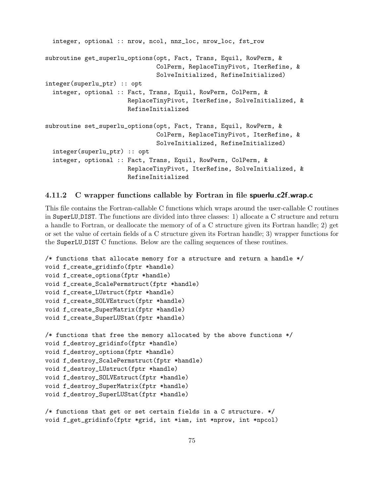```
integer, optional :: nrow, ncol, nnz_loc, nrow_loc, fst_row
subroutine get_superlu_options(opt, Fact, Trans, Equil, RowPerm, &
                               ColPerm, ReplaceTinyPivot, IterRefine, &
                               SolveInitialized, RefineInitialized)
integer(superlu_ptr) :: opt
  integer, optional :: Fact, Trans, Equil, RowPerm, ColPerm, &
                       ReplaceTinyPivot, IterRefine, SolveInitialized, &
                       RefineInitialized
subroutine set_superlu_options(opt, Fact, Trans, Equil, RowPerm, &
                               ColPerm, ReplaceTinyPivot, IterRefine, &
                               SolveInitialized, RefineInitialized)
  integer(superlu_ptr) :: opt
  integer, optional :: Fact, Trans, Equil, RowPerm, ColPerm, &
                       ReplaceTinyPivot, IterRefine, SolveInitialized, &
                       RefineInitialized
```
## 4.11.2 C wrapper functions callable by Fortran in file spuerlu c2f wrap.c

This file contains the Fortran-callable C functions which wraps around the user-callable C routines in SuperLU DIST. The functions are divided into three classes: 1) allocate a C structure and return a handle to Fortran, or deallocate the memory of of a C structure given its Fortran handle; 2) get or set the value of certain fields of a C structure given its Fortran handle; 3) wrapper functions for the SuperLU DIST C functions. Below are the calling sequences of these routines.

```
/* functions that allocate memory for a structure and return a handle */
void f_create_gridinfo(fptr *handle)
void f_create_options(fptr *handle)
void f_create_ScalePermstruct(fptr *handle)
void f_create_LUstruct(fptr *handle)
void f_create_SOLVEstruct(fptr *handle)
void f_create_SuperMatrix(fptr *handle)
void f_create_SuperLUStat(fptr *handle)
/* functions that free the memory allocated by the above functions */
void f_destroy_gridinfo(fptr *handle)
void f_destroy_options(fptr *handle)
void f_destroy_ScalePermstruct(fptr *handle)
void f_destroy_LUstruct(fptr *handle)
void f_destroy_SOLVEstruct(fptr *handle)
void f_destroy_SuperMatrix(fptr *handle)
void f_destroy_SuperLUStat(fptr *handle)
/* functions that get or set certain fields in a C structure. */
```

```
void f_get_gridinfo(fptr *grid, int *iam, int *nprow, int *npcol)
```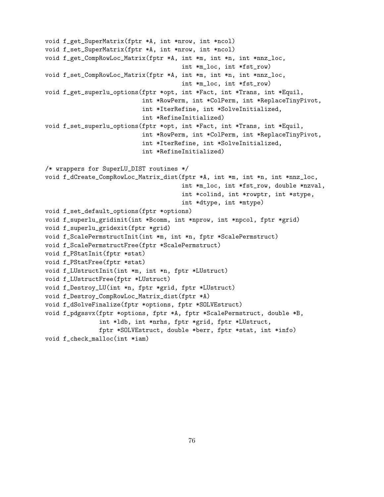void f\_get\_SuperMatrix(fptr \*A, int \*nrow, int \*ncol) void f\_set\_SuperMatrix(fptr \*A, int \*nrow, int \*ncol) void f\_get\_CompRowLoc\_Matrix(fptr \*A, int \*m, int \*n, int \*nnz\_loc, int \*m\_loc, int \*fst\_row) void f\_set\_CompRowLoc\_Matrix(fptr \*A, int \*m, int \*n, int \*nnz\_loc, int \*m\_loc, int \*fst\_row) void f\_get\_superlu\_options(fptr \*opt, int \*Fact, int \*Trans, int \*Equil, int \*RowPerm, int \*ColPerm, int \*ReplaceTinyPivot, int \*IterRefine, int \*SolveInitialized, int \*RefineInitialized) void f\_set\_superlu\_options(fptr \*opt, int \*Fact, int \*Trans, int \*Equil, int \*RowPerm, int \*ColPerm, int \*ReplaceTinyPivot, int \*IterRefine, int \*SolveInitialized, int \*RefineInitialized) /\* wrappers for SuperLU\_DIST routines \*/ void f\_dCreate\_CompRowLoc\_Matrix\_dist(fptr \*A, int \*m, int \*n, int \*nnz\_loc, int \*m\_loc, int \*fst\_row, double \*nzval, int \*colind, int \*rowptr, int \*stype, int \*dtype, int \*mtype) void f\_set\_default\_options(fptr \*options) void f\_superlu\_gridinit(int \*Bcomm, int \*nprow, int \*npcol, fptr \*grid) void f\_superlu\_gridexit(fptr \*grid) void f\_ScalePermstructInit(int \*m, int \*n, fptr \*ScalePermstruct) void f\_ScalePermstructFree(fptr \*ScalePermstruct) void f\_PStatInit(fptr \*stat) void f\_PStatFree(fptr \*stat) void f\_LUstructInit(int \*m, int \*n, fptr \*LUstruct) void f\_LUstructFree(fptr \*LUstruct) void f\_Destroy\_LU(int \*n, fptr \*grid, fptr \*LUstruct) void f\_Destroy\_CompRowLoc\_Matrix\_dist(fptr \*A) void f\_dSolveFinalize(fptr \*options, fptr \*SOLVEstruct) void f\_pdgssvx(fptr \*options, fptr \*A, fptr \*ScalePermstruct, double \*B, int \*ldb, int \*nrhs, fptr \*grid, fptr \*LUstruct, fptr \*SOLVEstruct, double \*berr, fptr \*stat, int \*info) void f\_check\_malloc(int \*iam)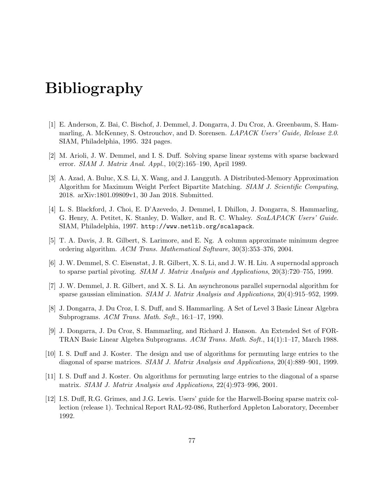## Bibliography

- [1] E. Anderson, Z. Bai, C. Bischof, J. Demmel, J. Dongarra, J. Du Croz, A. Greenbaum, S. Hammarling, A. McKenney, S. Ostrouchov, and D. Sorensen. *LAPACK Users' Guide, Release 2.0.* SIAM, Philadelphia, 1995. 324 pages.
- [2] M. Arioli, J. W. Demmel, and I. S. Duff. Solving sparse linear systems with sparse backward error. SIAM J. Matrix Anal. Appl., 10(2):165–190, April 1989.
- [3] A. Azad, A. Buluc, X.S. Li, X. Wang, and J. Langguth. A Distributed-Memory Approximation Algorithm for Maximum Weight Perfect Bipartite Matching. SIAM J. Scientific Computing, 2018. arXiv:1801.09809v1, 30 Jan 2018. Submitted.
- [4] L. S. Blackford, J. Choi, E. D'Azevedo, J. Demmel, I. Dhillon, J. Dongarra, S. Hammarling, G. Henry, A. Petitet, K. Stanley, D. Walker, and R. C. Whaley. ScaLAPACK Users' Guide. SIAM, Philadelphia, 1997. http://www.netlib.org/scalapack.
- [5] T. A. Davis, J. R. Gilbert, S. Larimore, and E. Ng. A column approximate minimum degree ordering algorithm. ACM Trans. Mathematical Software, 30(3):353–376, 2004.
- [6] J. W. Demmel, S. C. Eisenstat, J. R. Gilbert, X. S. Li, and J. W. H. Liu. A supernodal approach to sparse partial pivoting. SIAM J. Matrix Analysis and Applications, 20(3):720–755, 1999.
- [7] J. W. Demmel, J. R. Gilbert, and X. S. Li. An asynchronous parallel supernodal algorithm for sparse gaussian elimination. SIAM J. Matrix Analysis and Applications, 20(4):915–952, 1999.
- [8] J. Dongarra, J. Du Croz, I. S. Duff, and S. Hammarling. A Set of Level 3 Basic Linear Algebra Subprograms. ACM Trans. Math. Soft., 16:1–17, 1990.
- [9] J. Dongarra, J. Du Croz, S. Hammarling, and Richard J. Hanson. An Extended Set of FOR-TRAN Basic Linear Algebra Subprograms. ACM Trans. Math. Soft., 14(1):1–17, March 1988.
- [10] I. S. Duff and J. Koster. The design and use of algorithms for permuting large entries to the diagonal of sparse matrices. SIAM J. Matrix Analysis and Applications, 20(4):889–901, 1999.
- [11] I. S. Duff and J. Koster. On algorithms for permuting large entries to the diagonal of a sparse matrix. SIAM J. Matrix Analysis and Applications, 22(4):973–996, 2001.
- [12] I.S. Duff, R.G. Grimes, and J.G. Lewis. Users' guide for the Harwell-Boeing sparse matrix collection (release 1). Technical Report RAL-92-086, Rutherford Appleton Laboratory, December 1992.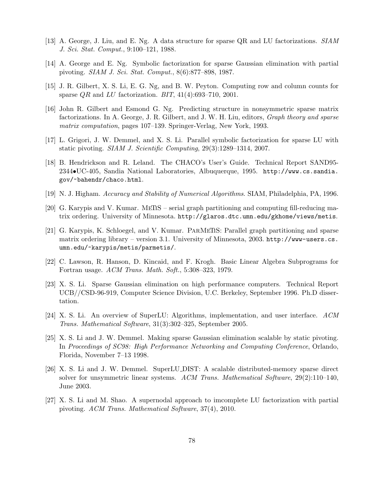- [13] A. George, J. Liu, and E. Ng. A data structure for sparse QR and LU factorizations. SIAM J. Sci. Stat. Comput., 9:100–121, 1988.
- [14] A. George and E. Ng. Symbolic factorization for sparse Gaussian elimination with partial pivoting. SIAM J. Sci. Stat. Comput., 8(6):877–898, 1987.
- [15] J. R. Gilbert, X. S. Li, E. G. Ng, and B. W. Peyton. Computing row and column counts for sparse  $QR$  and  $LU$  factorization. BIT,  $41(4):693-710$ , 2001.
- [16] John R. Gilbert and Esmond G. Ng. Predicting structure in nonsymmetric sparse matrix factorizations. In A. George, J. R. Gilbert, and J. W. H. Liu, editors, Graph theory and sparse matrix computation, pages 107–139. Springer-Verlag, New York, 1993.
- [17] L. Grigori, J. W. Demmel, and X. S. Li. Parallel symbolic factorization for sparse LU with static pivoting. SIAM J. Scientific Computing, 29(3):1289–1314, 2007.
- [18] B. Hendrickson and R. Leland. The CHACO's User's Guide. Technical Report SAND95- 2344•UC-405, Sandia National Laboratories, Albuquerque, 1995. http://www.cs.sandia. gov/~bahendr/chaco.html.
- [19] N. J. Higham. Accuracy and Stability of Numerical Algorithms. SIAM, Philadelphia, PA, 1996.
- [20] G. Karypis and V. Kumar. MeTiS serial graph partitioning and computing fill-reducing matrix ordering. University of Minnesota. http://glaros.dtc.umn.edu/gkhome/views/metis.
- [21] G. Karypis, K. Schloegel, and V. Kumar. ParMeTiS: Parallel graph partitioning and sparse matrix ordering library – version 3.1. University of Minnesota, 2003. http://www-users.cs. umn.edu/~karypis/metis/parmetis/.
- [22] C. Lawson, R. Hanson, D. Kincaid, and F. Krogh. Basic Linear Algebra Subprograms for Fortran usage. ACM Trans. Math. Soft., 5:308–323, 1979.
- [23] X. S. Li. Sparse Gaussian elimination on high performance computers. Technical Report UCB//CSD-96-919, Computer Science Division, U.C. Berkeley, September 1996. Ph.D dissertation.
- [24] X. S. Li. An overview of SuperLU: Algorithms, implementation, and user interface. ACM Trans. Mathematical Software, 31(3):302–325, September 2005.
- [25] X. S. Li and J. W. Demmel. Making sparse Gaussian elimination scalable by static pivoting. In Proceedings of SC98: High Performance Networking and Computing Conference, Orlando, Florida, November 7–13 1998.
- [26] X. S. Li and J. W. Demmel. SuperLU DIST: A scalable distributed-memory sparse direct solver for unsymmetric linear systems. ACM Trans. Mathematical Software, 29(2):110–140, June 2003.
- [27] X. S. Li and M. Shao. A supernodal approach to imcomplete LU factorization with partial pivoting. ACM Trans. Mathematical Software, 37(4), 2010.